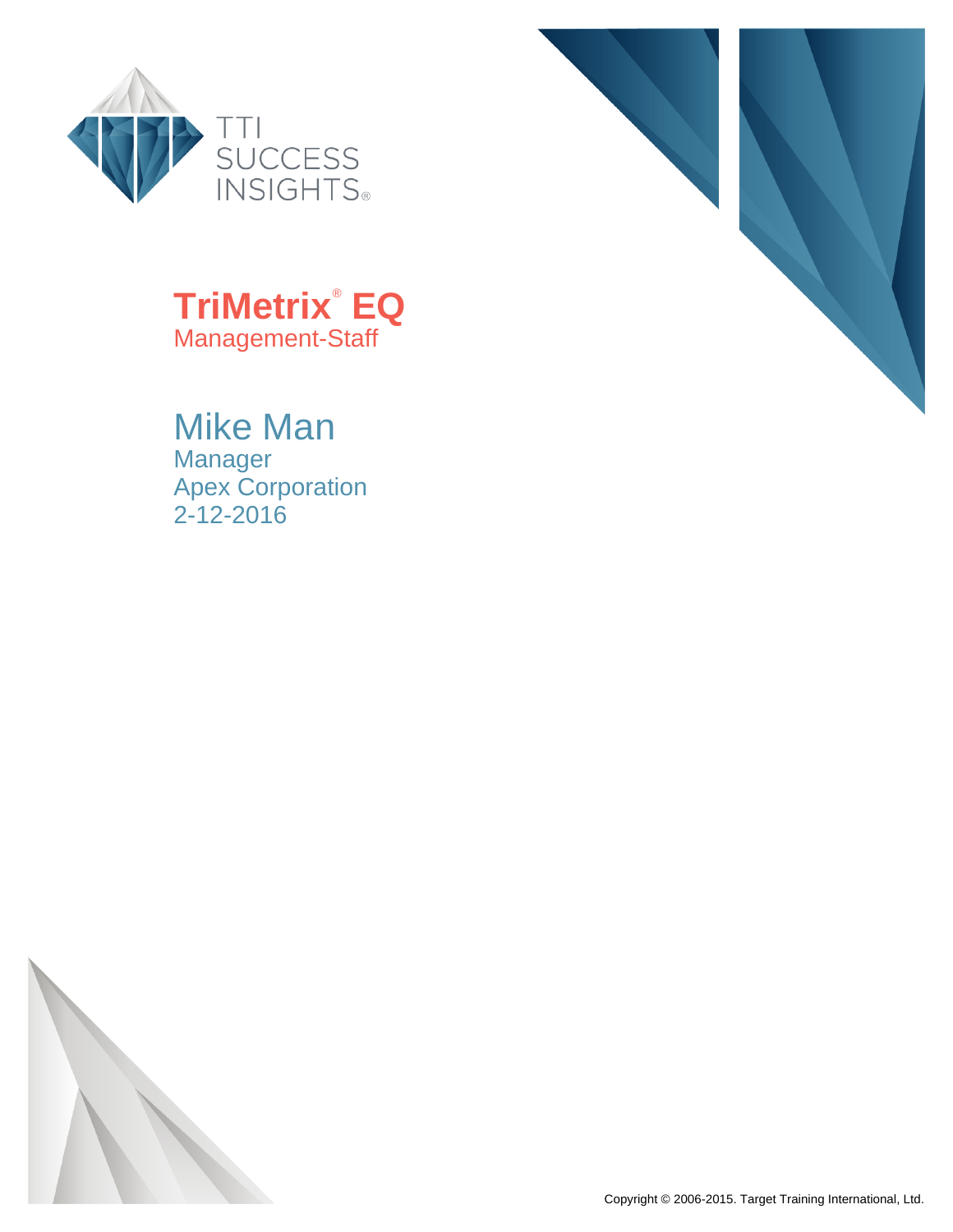



## **TriMetrix**®  **EQ** Management-Staff

## Mike Man

Manager Apex Corporation 2-12-2016

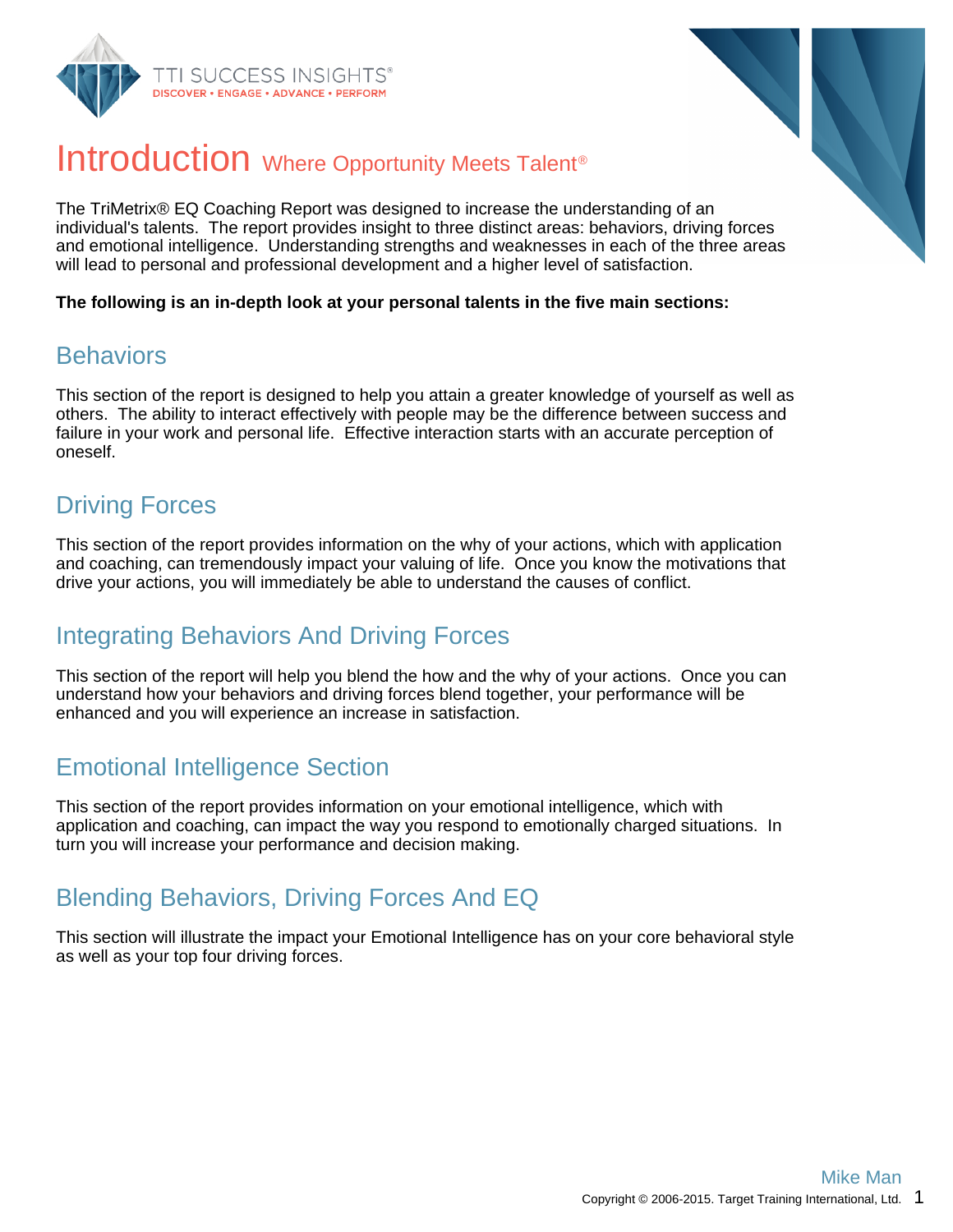



## Introduction Where Opportunity Meets Talent<sup>®</sup>

The TriMetrix® EQ Coaching Report was designed to increase the understanding of an individual's talents. The report provides insight to three distinct areas: behaviors, driving forces and emotional intelligence. Understanding strengths and weaknesses in each of the three areas will lead to personal and professional development and a higher level of satisfaction.

**The following is an in-depth look at your personal talents in the five main sections:**

### **Behaviors**

This section of the report is designed to help you attain a greater knowledge of yourself as well as others. The ability to interact effectively with people may be the difference between success and failure in your work and personal life. Effective interaction starts with an accurate perception of oneself.

### Driving Forces

This section of the report provides information on the why of your actions, which with application and coaching, can tremendously impact your valuing of life. Once you know the motivations that drive your actions, you will immediately be able to understand the causes of conflict.

### Integrating Behaviors And Driving Forces

This section of the report will help you blend the how and the why of your actions. Once you can understand how your behaviors and driving forces blend together, your performance will be enhanced and you will experience an increase in satisfaction.

### Emotional Intelligence Section

This section of the report provides information on your emotional intelligence, which with application and coaching, can impact the way you respond to emotionally charged situations. In turn you will increase your performance and decision making.

### Blending Behaviors, Driving Forces And EQ

This section will illustrate the impact your Emotional Intelligence has on your core behavioral style as well as your top four driving forces.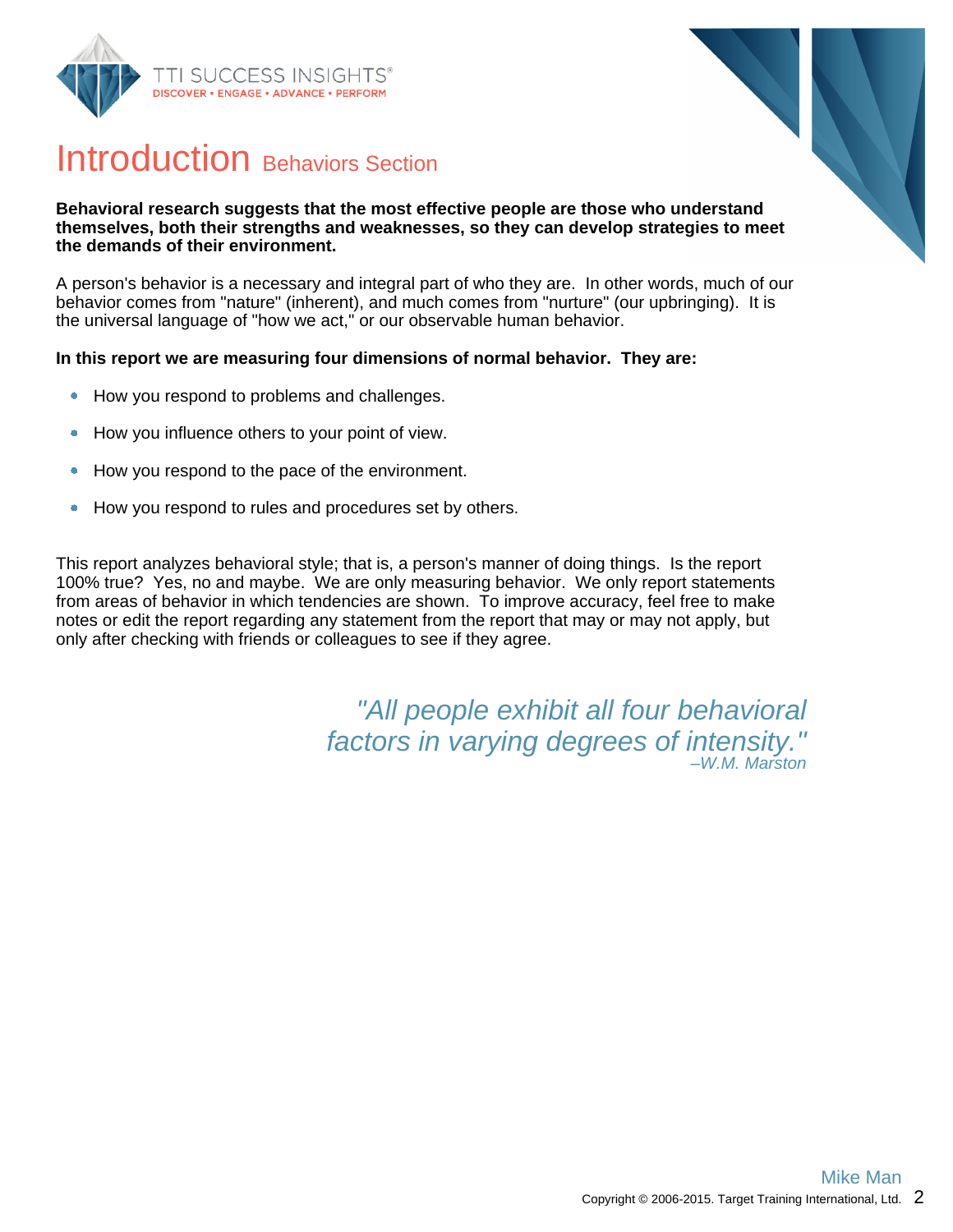



## Introduction Behaviors Section

#### **Behavioral research suggests that the most effective people are those who understand themselves, both their strengths and weaknesses, so they can develop strategies to meet the demands of their environment.**

A person's behavior is a necessary and integral part of who they are. In other words, much of our behavior comes from "nature" (inherent), and much comes from "nurture" (our upbringing). It is the universal language of "how we act," or our observable human behavior.

#### **In this report we are measuring four dimensions of normal behavior. They are:**

- How you respond to problems and challenges.  $\bullet$
- How you influence others to your point of view.  $\bullet$
- How you respond to the pace of the environment.  $\bullet$
- How you respond to rules and procedures set by others.  $\bullet$

This report analyzes behavioral style; that is, a person's manner of doing things. Is the report 100% true? Yes, no and maybe. We are only measuring behavior. We only report statements from areas of behavior in which tendencies are shown. To improve accuracy, feel free to make notes or edit the report regarding any statement from the report that may or may not apply, but only after checking with friends or colleagues to see if they agree.

> "All people exhibit all four behavioral factors in varying degrees of intensity." –W.M. Marston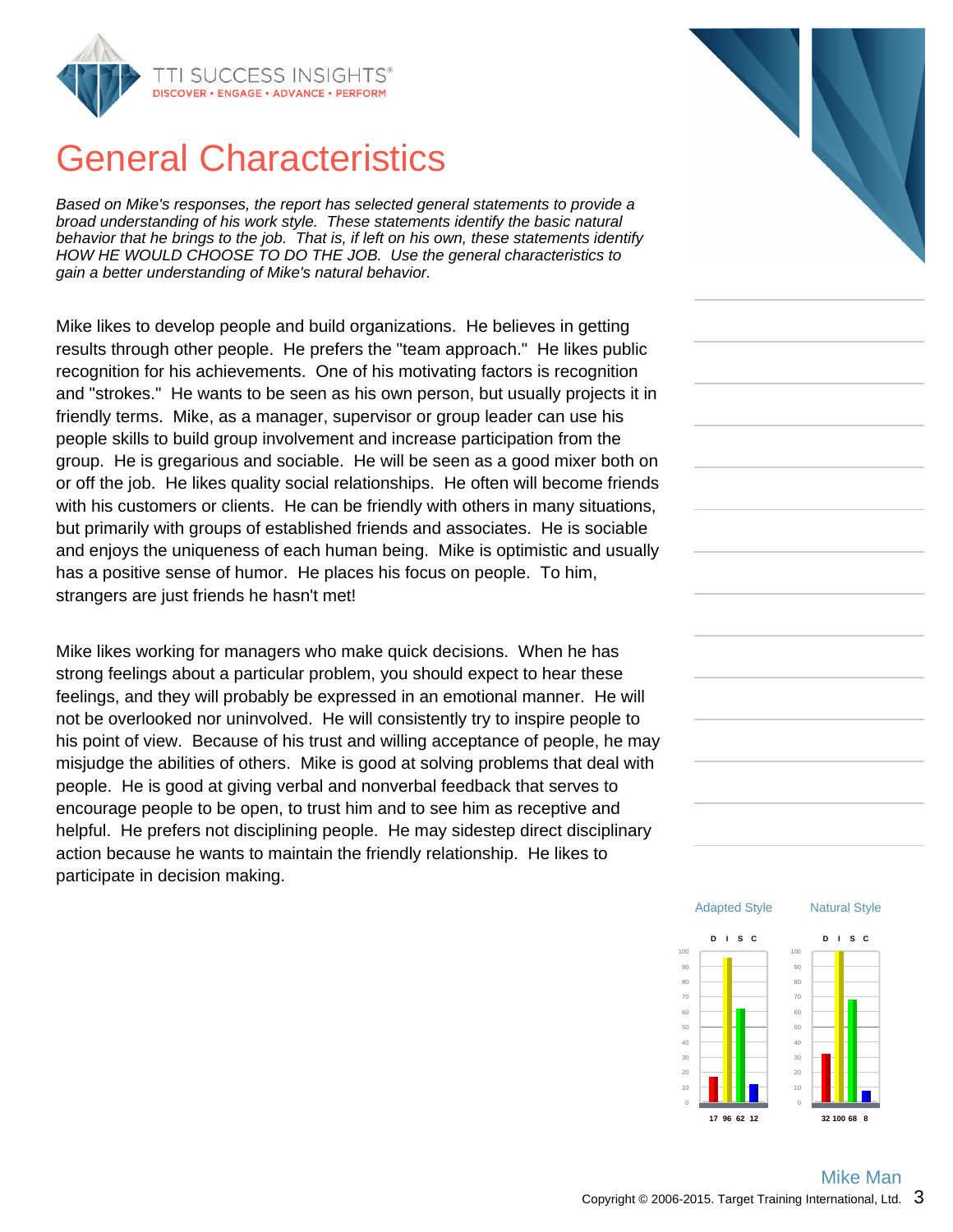

## General Characteristics

Based on Mike's responses, the report has selected general statements to provide a broad understanding of his work style. These statements identify the basic natural behavior that he brings to the job. That is, if left on his own, these statements identify HOW HE WOULD CHOOSE TO DO THE JOB. Use the general characteristics to gain a better understanding of Mike's natural behavior.

Mike likes to develop people and build organizations. He believes in getting results through other people. He prefers the "team approach." He likes public recognition for his achievements. One of his motivating factors is recognition and "strokes." He wants to be seen as his own person, but usually projects it in friendly terms. Mike, as a manager, supervisor or group leader can use his people skills to build group involvement and increase participation from the group. He is gregarious and sociable. He will be seen as a good mixer both on or off the job. He likes quality social relationships. He often will become friends with his customers or clients. He can be friendly with others in many situations, but primarily with groups of established friends and associates. He is sociable and enjoys the uniqueness of each human being. Mike is optimistic and usually has a positive sense of humor. He places his focus on people. To him, strangers are just friends he hasn't met!

Mike likes working for managers who make quick decisions. When he has strong feelings about a particular problem, you should expect to hear these feelings, and they will probably be expressed in an emotional manner. He will not be overlooked nor uninvolved. He will consistently try to inspire people to his point of view. Because of his trust and willing acceptance of people, he may misjudge the abilities of others. Mike is good at solving problems that deal with people. He is good at giving verbal and nonverbal feedback that serves to encourage people to be open, to trust him and to see him as receptive and helpful. He prefers not disciplining people. He may sidestep direct disciplinary action because he wants to maintain the friendly relationship. He likes to participate in decision making.



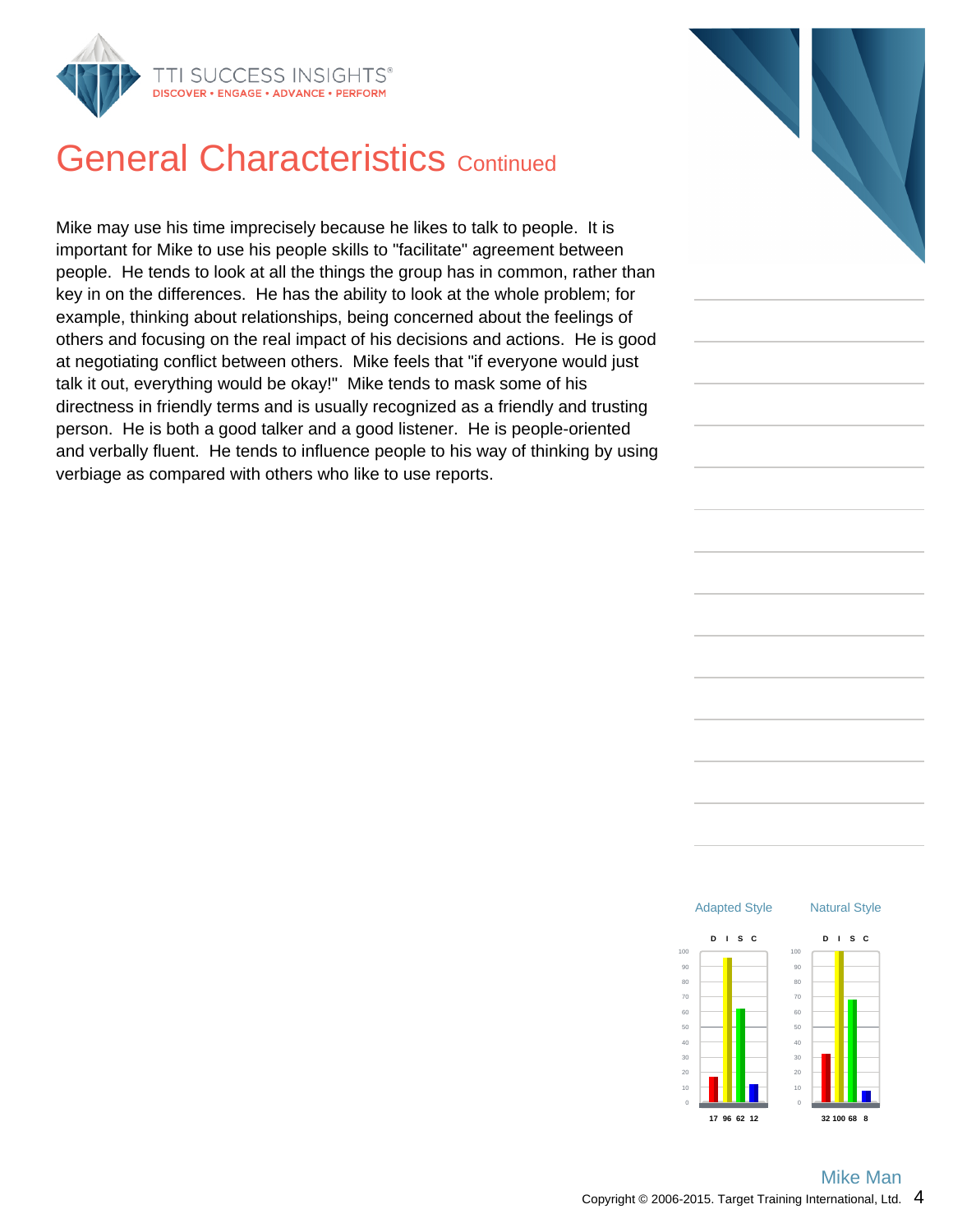

## **General Characteristics Continued**

Mike may use his time imprecisely because he likes to talk to people. It is important for Mike to use his people skills to "facilitate" agreement between people. He tends to look at all the things the group has in common, rather than key in on the differences. He has the ability to look at the whole problem; for example, thinking about relationships, being concerned about the feelings of others and focusing on the real impact of his decisions and actions. He is good at negotiating conflict between others. Mike feels that "if everyone would just talk it out, everything would be okay!" Mike tends to mask some of his directness in friendly terms and is usually recognized as a friendly and trusting person. He is both a good talker and a good listener. He is people-oriented and verbally fluent. He tends to influence people to his way of thinking by using verbiage as compared with others who like to use reports.



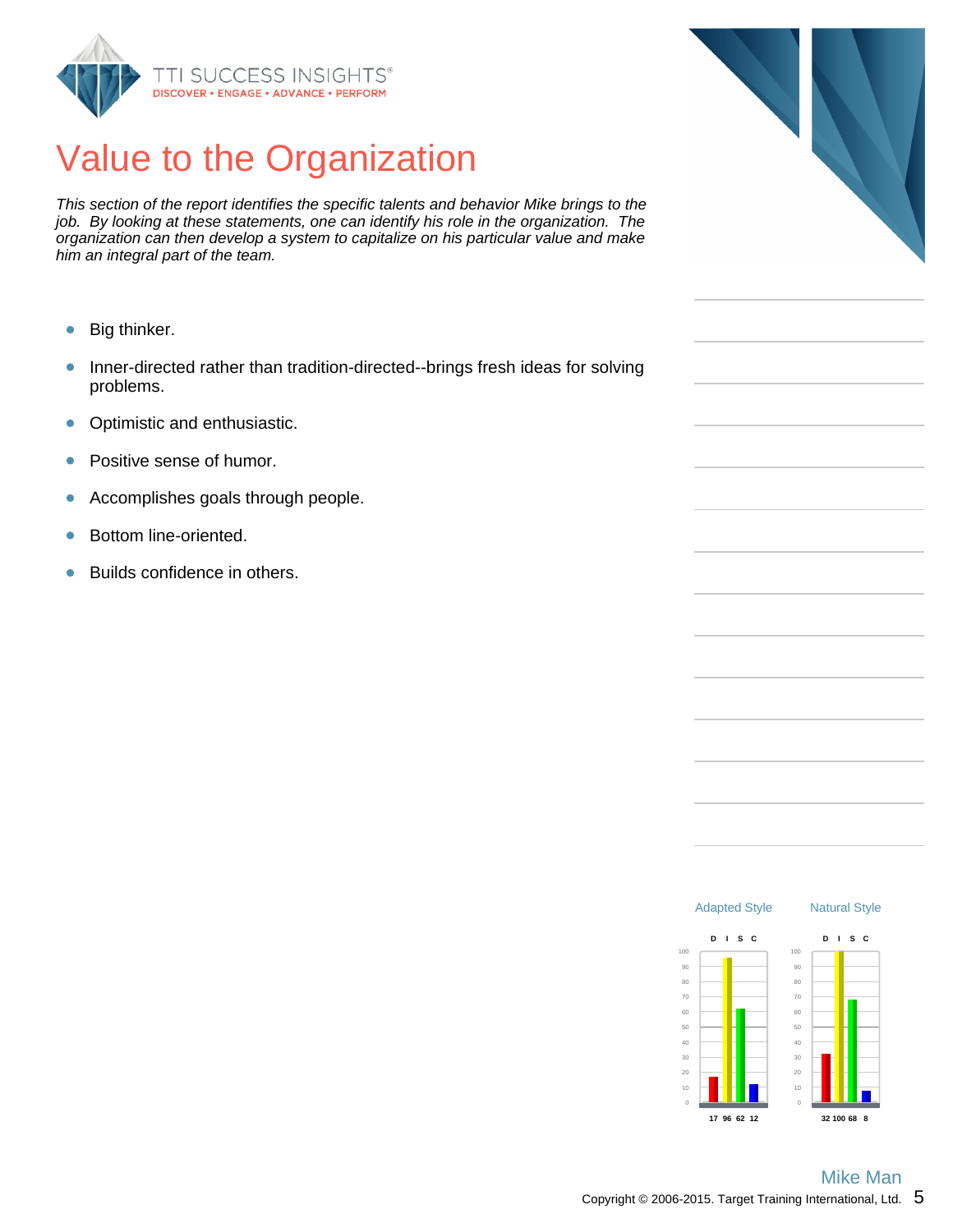

## Value to the Organization

This section of the report identifies the specific talents and behavior Mike brings to the job. By looking at these statements, one can identify his role in the organization. The organization can then develop a system to capitalize on his particular value and make him an integral part of the team.

- $\bullet$ Big thinker.
- Inner-directed rather than tradition-directed--brings fresh ideas for solving  $\bullet$ problems.
- $\bullet$ Optimistic and enthusiastic.
- Positive sense of humor.  $\bullet$
- Accomplishes goals through people.  $\bullet$
- Bottom line-oriented.  $\bullet$
- Builds confidence in others.  $\bullet$



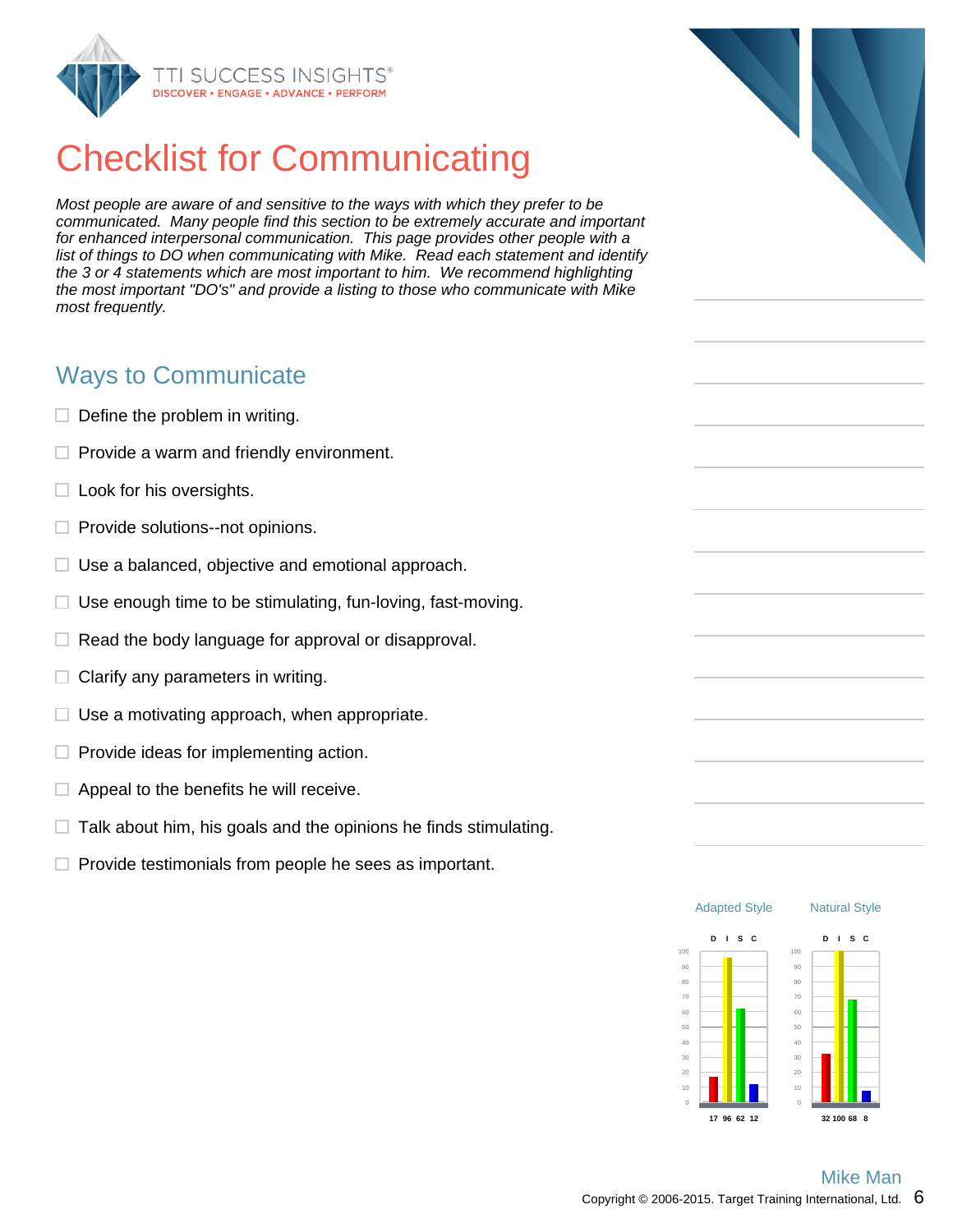

# Checklist for Communicating

Most people are aware of and sensitive to the ways with which they prefer to be communicated. Many people find this section to be extremely accurate and important for enhanced interpersonal communication. This page provides other people with a list of things to DO when communicating with Mike. Read each statement and identify the 3 or 4 statements which are most important to him. We recommend highlighting the most important "DO's" and provide a listing to those who communicate with Mike most frequently.

### Ways to Communicate

- $\Box$  Define the problem in writing.
- $\Box$  Provide a warm and friendly environment.
- $\Box$  Look for his oversights.
- $\Box$  Provide solutions--not opinions.
- $\Box$  Use a balanced, objective and emotional approach.
- $\Box$  Use enough time to be stimulating, fun-loving, fast-moving.
- $\Box$  Read the body language for approval or disapproval.
- Clarify any parameters in writing. □.
- $\Box$  Use a motivating approach, when appropriate.
- $\Box$  Provide ideas for implementing action.
- $\Box$  Appeal to the benefits he will receive.
- $\Box$  Talk about him, his goals and the opinions he finds stimulating.
- $\Box$  Provide testimonials from people he sees as important.



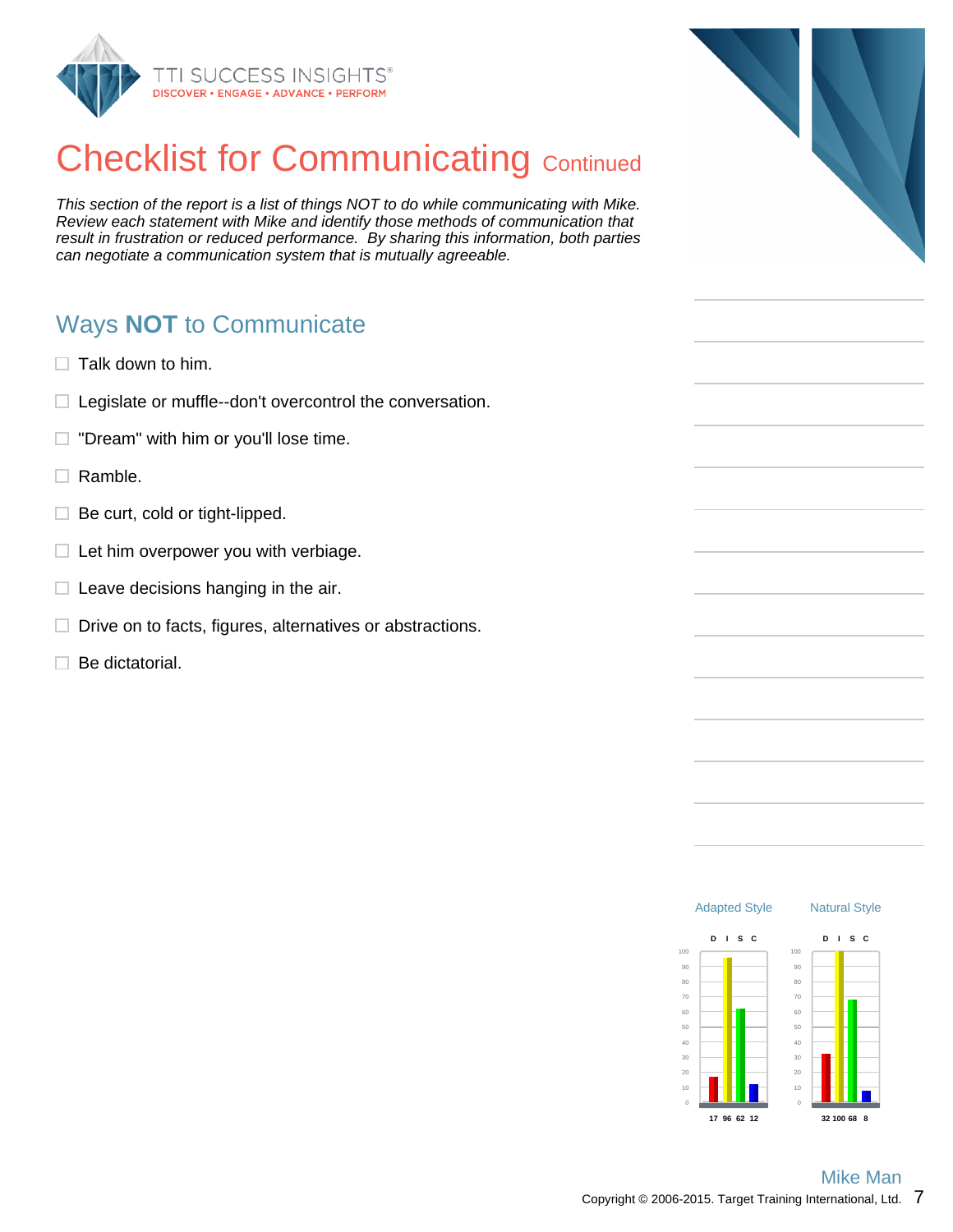

# **Checklist for Communicating Continued**

This section of the report is a list of things NOT to do while communicating with Mike. Review each statement with Mike and identify those methods of communication that result in frustration or reduced performance. By sharing this information, both parties can negotiate a communication system that is mutually agreeable.

## Ways **NOT** to Communicate

- $\Box$  Talk down to him.
- $\Box$  Legislate or muffle--don't overcontrol the conversation.
- "Dream" with him or you'll lose time.  $\Box$
- $\Box$  Ramble.
- $\Box$  Be curt, cold or tight-lipped.
- $\Box$  Let him overpower you with verbiage.
- $\Box$  Leave decisions hanging in the air.
- $\Box$  Drive on to facts, figures, alternatives or abstractions.
- $\Box$  Be dictatorial.



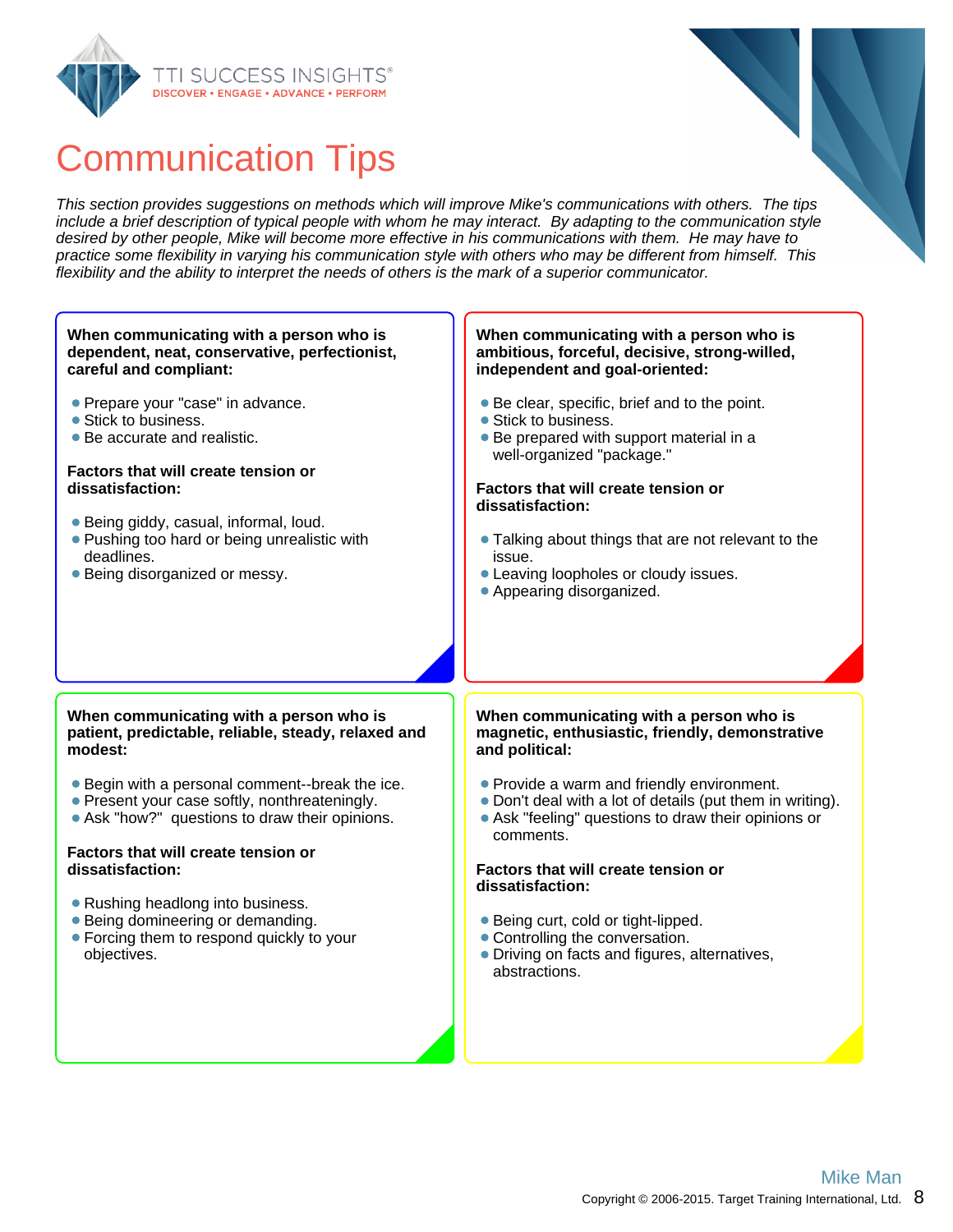



This section provides suggestions on methods which will improve Mike's communications with others. The tips include a brief description of typical people with whom he may interact. By adapting to the communication style desired by other people, Mike will become more effective in his communications with them. He may have to practice some flexibility in varying his communication style with others who may be different from himself. This flexibility and the ability to interpret the needs of others is the mark of a superior communicator.

#### **When communicating with a person who is dependent, neat, conservative, perfectionist, careful and compliant:**

- **Prepare your "case" in advance.**
- Stick to business.
- Be accurate and realistic.

#### **Factors that will create tension or dissatisfaction:**

- Being giddy, casual, informal, loud.
- **Pushing too hard or being unrealistic with** deadlines.
- Being disorganized or messy.

#### **When communicating with a person who is ambitious, forceful, decisive, strong-willed, independent and goal-oriented:**

- Be clear, specific, brief and to the point.
- Stick to business.
- Be prepared with support material in a well-organized "package."

#### **Factors that will create tension or dissatisfaction:**

- Talking about things that are not relevant to the issue.
- Leaving loopholes or cloudy issues.
- Appearing disorganized.

#### **When communicating with a person who is patient, predictable, reliable, steady, relaxed and modest:**

- Begin with a personal comment--break the ice.
- Present your case softly, nonthreateningly.
- Ask "how?" questions to draw their opinions.

#### **Factors that will create tension or dissatisfaction:**

- Rushing headlong into business.
- Being domineering or demanding.
- Forcing them to respond quickly to your objectives.

#### **When communicating with a person who is magnetic, enthusiastic, friendly, demonstrative and political:**

- Provide a warm and friendly environment.
- Don't deal with a lot of details (put them in writing).
- Ask "feeling" questions to draw their opinions or comments.

#### **Factors that will create tension or dissatisfaction:**

- Being curt, cold or tight-lipped.
- Controlling the conversation.
- Driving on facts and figures, alternatives, abstractions.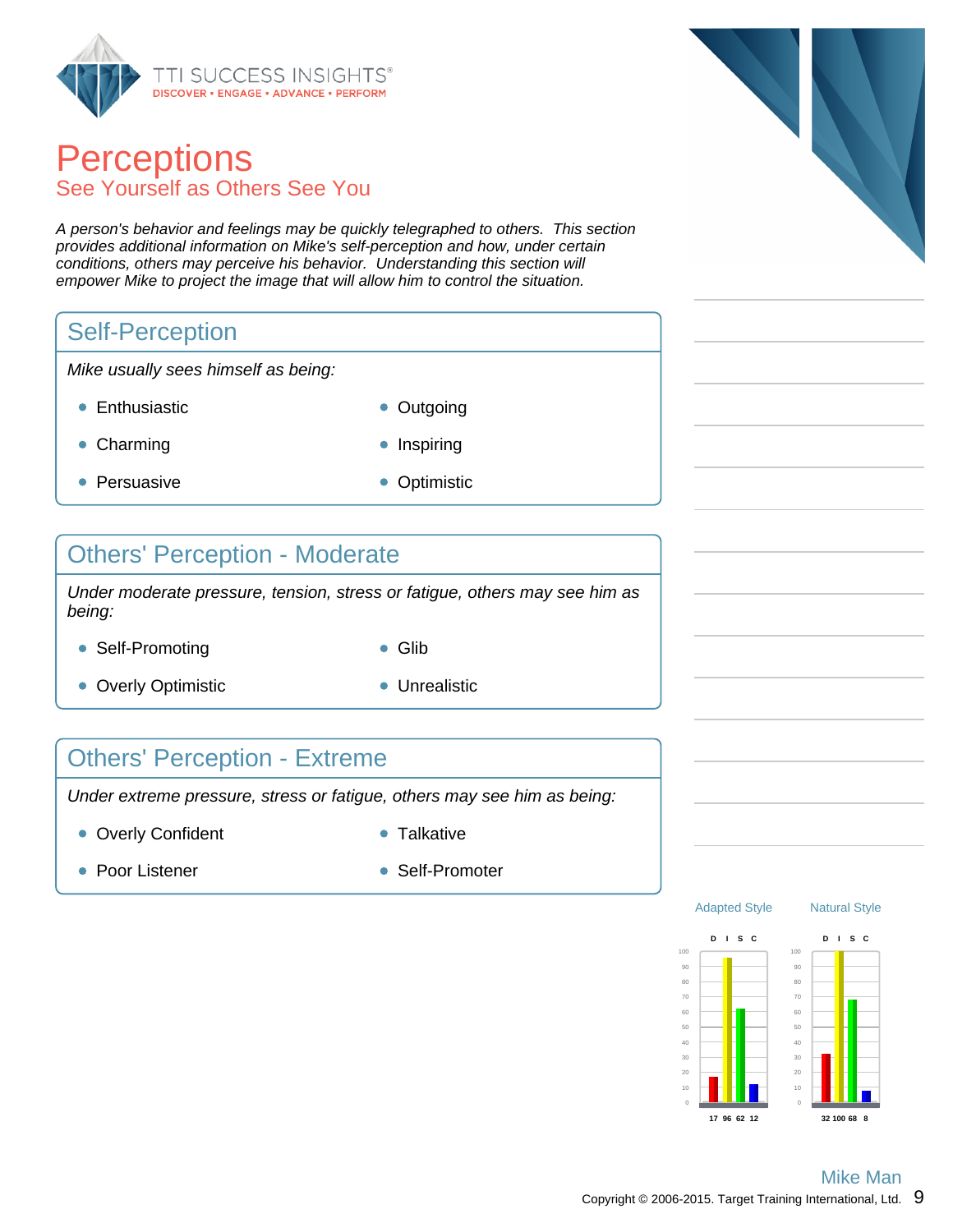

### **Perceptions** See Yourself as Others See You

A person's behavior and feelings may be quickly telegraphed to others. This section provides additional information on Mike's self-perception and how, under certain conditions, others may perceive his behavior. Understanding this section will empower Mike to project the image that will allow him to control the situation.

### Self-Perception

Mike usually sees himself as being:

- Enthusiastic **Contact Contact Contact Contact Contact Contact Contact Contact Contact Contact Contact Contact Contact Contact Contact Contact Contact Contact Contact Contact Contact Contact Contact Contact Contact Contac** 
	-
- Charming **Inspiring Inspiring**
- Persuasive **Optimistic**
- 

### Others' Perception - Moderate

Under moderate pressure, tension, stress or fatigue, others may see him as being:

- Self-Promoting **Glib** 
	-
- Overly Optimistic **Contact Contact Contact Contact Contact Contact Contact Contact Contact Contact Contact Contact Contact Contact Contact Contact Contact Contact Contact Contact Contact Contact Contact Contact Contact C**
- 

### Others' Perception - Extreme

Under extreme pressure, stress or fatigue, others may see him as being:

- Overly Confident **Canadian Confident Talkative** 
	-

- 
- Poor Listener Self-Promoter



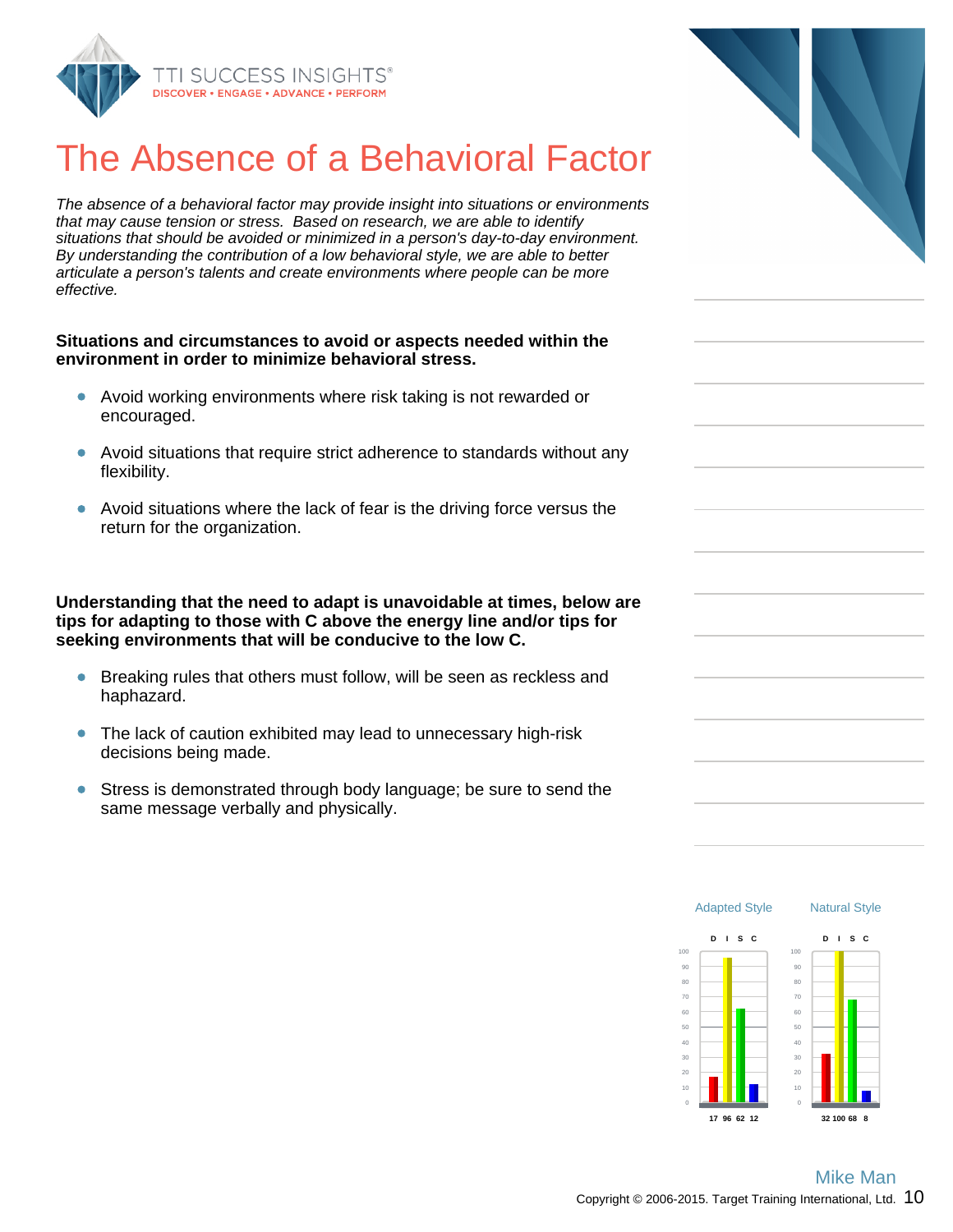

## The Absence of a Behavioral Factor

The absence of a behavioral factor may provide insight into situations or environments that may cause tension or stress. Based on research, we are able to identify situations that should be avoided or minimized in a person's day-to-day environment. By understanding the contribution of a low behavioral style, we are able to better articulate a person's talents and create environments where people can be more effective.

#### **Situations and circumstances to avoid or aspects needed within the environment in order to minimize behavioral stress.**

- Avoid working environments where risk taking is not rewarded or encouraged.
- Avoid situations that require strict adherence to standards without any flexibility.
- Avoid situations where the lack of fear is the driving force versus the return for the organization.

**Understanding that the need to adapt is unavoidable at times, below are tips for adapting to those with C above the energy line and/or tips for seeking environments that will be conducive to the low C.**

- Breaking rules that others must follow, will be seen as reckless and haphazard.
- The lack of caution exhibited may lead to unnecessary high-risk decisions being made.
- $\bullet$ Stress is demonstrated through body language; be sure to send the same message verbally and physically.



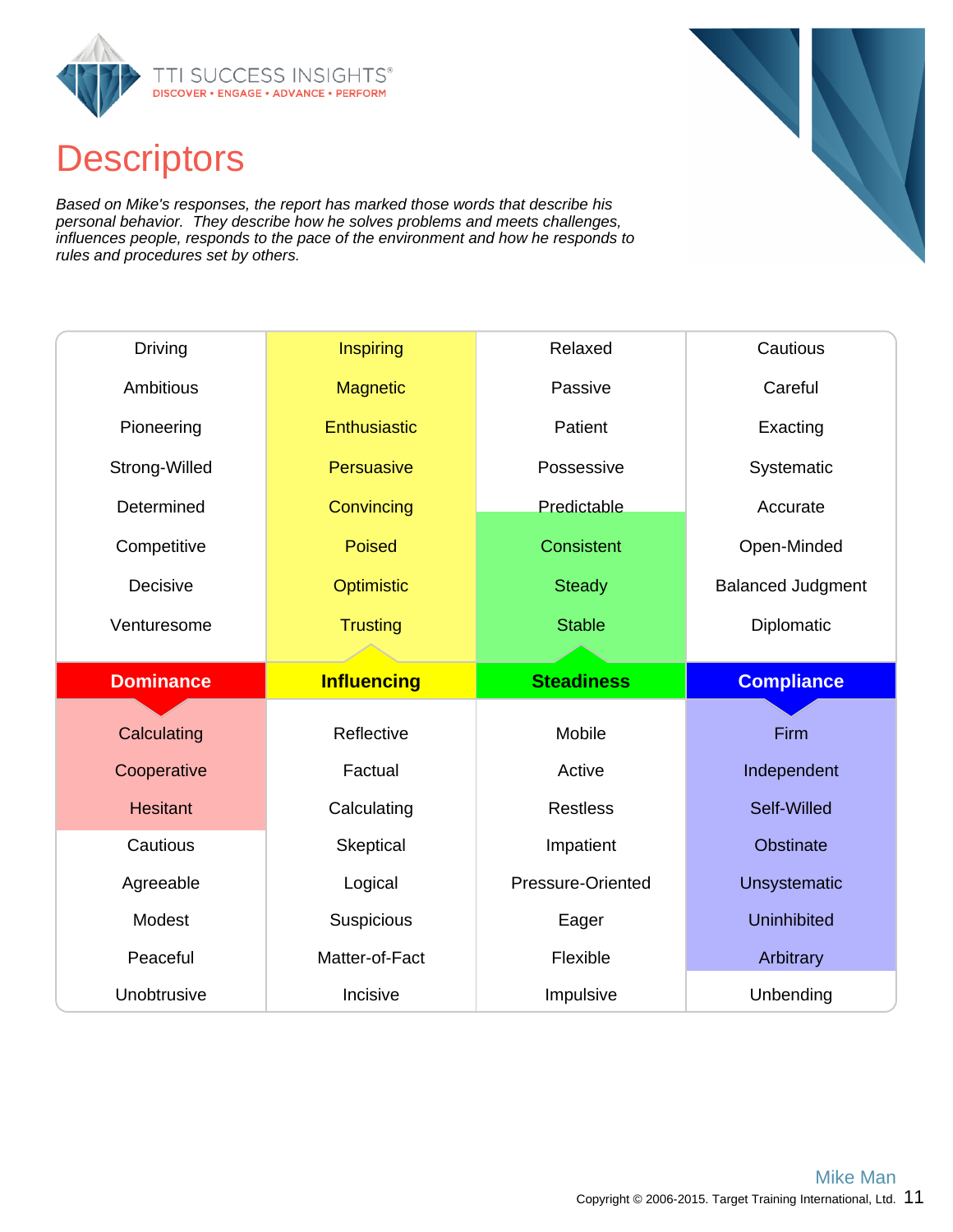

## **Descriptors**

Based on Mike's responses, the report has marked those words that describe his personal behavior. They describe how he solves problems and meets challenges, influences people, responds to the pace of the environment and how he responds to rules and procedures set by others.

| Driving          | Inspiring           | Relaxed           | Cautious                 |  |
|------------------|---------------------|-------------------|--------------------------|--|
| <b>Ambitious</b> | <b>Magnetic</b>     | Passive           | Careful                  |  |
| Pioneering       | <b>Enthusiastic</b> | Patient           | Exacting                 |  |
| Strong-Willed    | Persuasive          | Possessive        | Systematic               |  |
| Determined       | Convincing          | Predictable       | Accurate                 |  |
| Competitive      | <b>Poised</b>       | Consistent        | Open-Minded              |  |
| Decisive         | <b>Optimistic</b>   | <b>Steady</b>     | <b>Balanced Judgment</b> |  |
| Venturesome      | <b>Trusting</b>     | <b>Stable</b>     | Diplomatic               |  |
|                  |                     |                   |                          |  |
|                  |                     |                   |                          |  |
| <b>Dominance</b> | <b>Influencing</b>  | <b>Steadiness</b> | <b>Compliance</b>        |  |
|                  |                     |                   |                          |  |
| Calculating      | Reflective          | Mobile            | Firm                     |  |
| Cooperative      | Factual             | Active            | Independent              |  |
| <b>Hesitant</b>  | Calculating         | <b>Restless</b>   | Self-Willed              |  |
| Cautious         | Skeptical           | Impatient         | <b>Obstinate</b>         |  |
| Agreeable        | Logical             | Pressure-Oriented | <b>Unsystematic</b>      |  |
| Modest           | Suspicious          | Eager             | <b>Uninhibited</b>       |  |
| Peaceful         | Matter-of-Fact      | Flexible          | Arbitrary                |  |

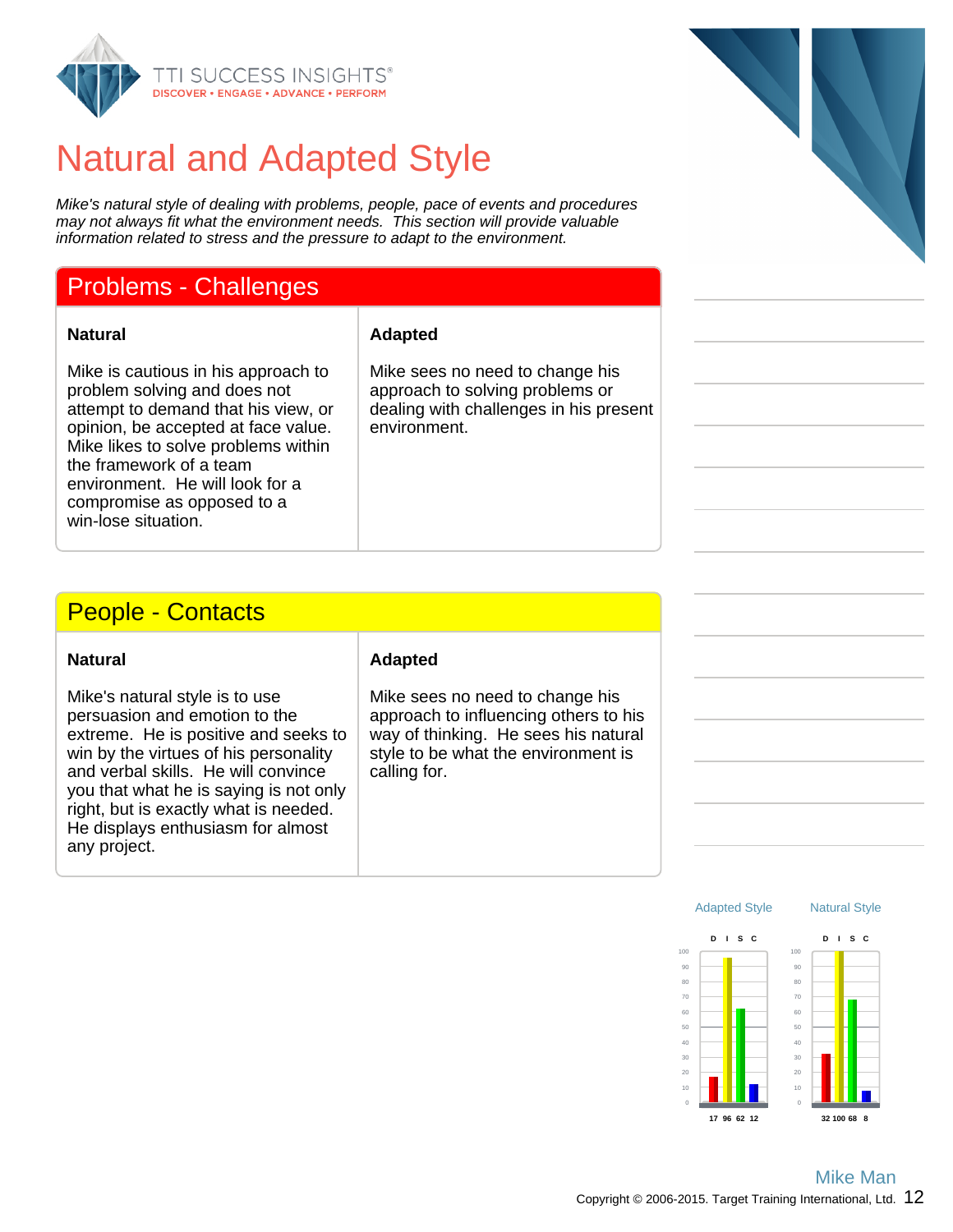

## Natural and Adapted Style

Mike's natural style of dealing with problems, people, pace of events and procedures may not always fit what the environment needs. This section will provide valuable information related to stress and the pressure to adapt to the environment.

### Problems - Challenges

**Natural Adapted**

Mike is cautious in his approach to problem solving and does not attempt to demand that his view, or opinion, be accepted at face value. Mike likes to solve problems within the framework of a team environment. He will look for a compromise as opposed to a win-lose situation.

Mike sees no need to change his approach to solving problems or dealing with challenges in his present environment.

### People - Contacts

| <b>Natural</b> |
|----------------|
|----------------|

Mike's natural style is to use persuasion and emotion to the extreme. He is positive and seeks to win by the virtues of his personality and verbal skills. He will convince you that what he is saying is not only right, but is exactly what is needed. He displays enthusiasm for almost any project.

#### **Adapted**

Mike sees no need to change his approach to influencing others to his way of thinking. He sees his natural style to be what the environment is calling for.



20

Natural Style

**32 100 68 8**

Adapted Style

**17 96 62 12**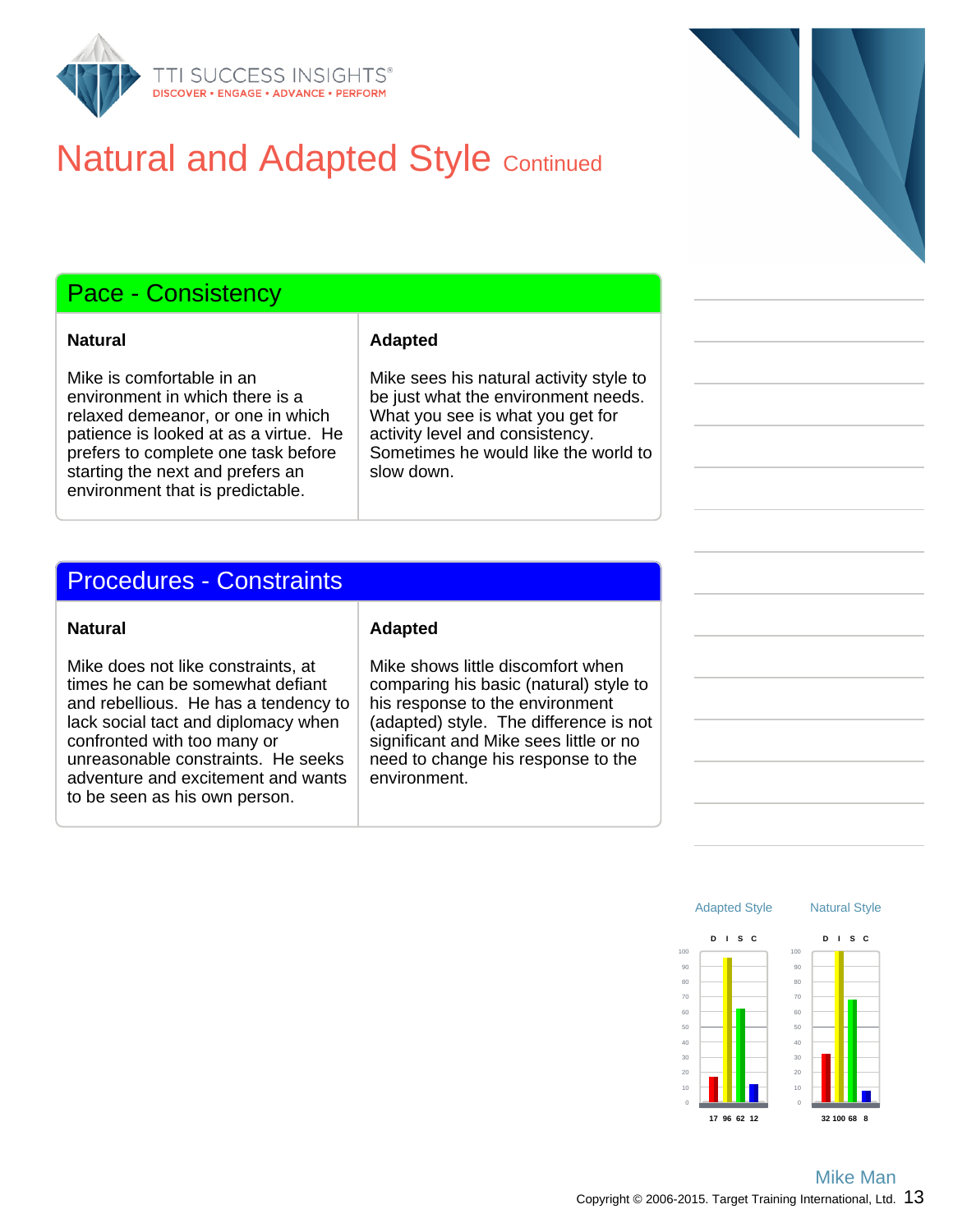

## **Natural and Adapted Style Continued**

### Pace - Consistency

Mike is comfortable in an environment in which there is a relaxed demeanor, or one in which patience is looked at as a virtue. He prefers to complete one task before starting the next and prefers an environment that is predictable.

#### **Natural Adapted**

Mike sees his natural activity style to be just what the environment needs. What you see is what you get for activity level and consistency. Sometimes he would like the world to slow down.

#### Procedures - Constraints

Mike does not like constraints, at times he can be somewhat defiant and rebellious. He has a tendency to lack social tact and diplomacy when confronted with too many or unreasonable constraints. He seeks adventure and excitement and wants to be seen as his own person.

#### **Natural Adapted**

Mike shows little discomfort when comparing his basic (natural) style to his response to the environment (adapted) style. The difference is not significant and Mike sees little or no need to change his response to the environment.

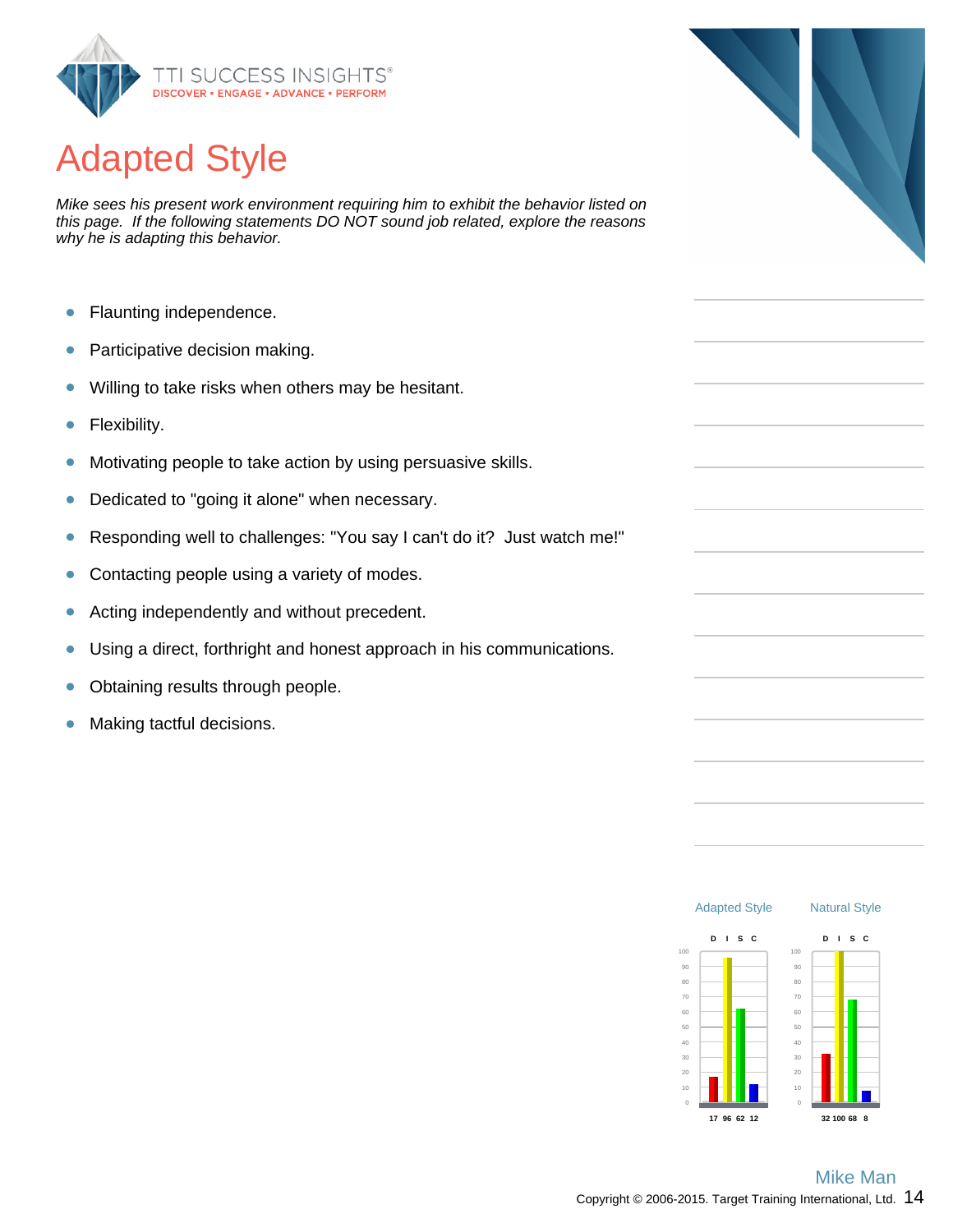

# Adapted Style

Mike sees his present work environment requiring him to exhibit the behavior listed on this page. If the following statements DO NOT sound job related, explore the reasons why he is adapting this behavior.

- $\bullet$ Flaunting independence.
- Participative decision making.  $\bullet$
- Willing to take risks when others may be hesitant.  $\bullet$
- Flexibility.  $\bullet$
- Motivating people to take action by using persuasive skills.  $\bullet$
- Dedicated to "going it alone" when necessary.  $\bullet$
- $\bullet$ Responding well to challenges: "You say I can't do it? Just watch me!"
- Contacting people using a variety of modes.  $\bullet$
- $\bullet$ Acting independently and without precedent.
- Using a direct, forthright and honest approach in his communications.  $\bullet$
- Obtaining results through people.  $\bullet$
- Making tactful decisions.  $\bullet$



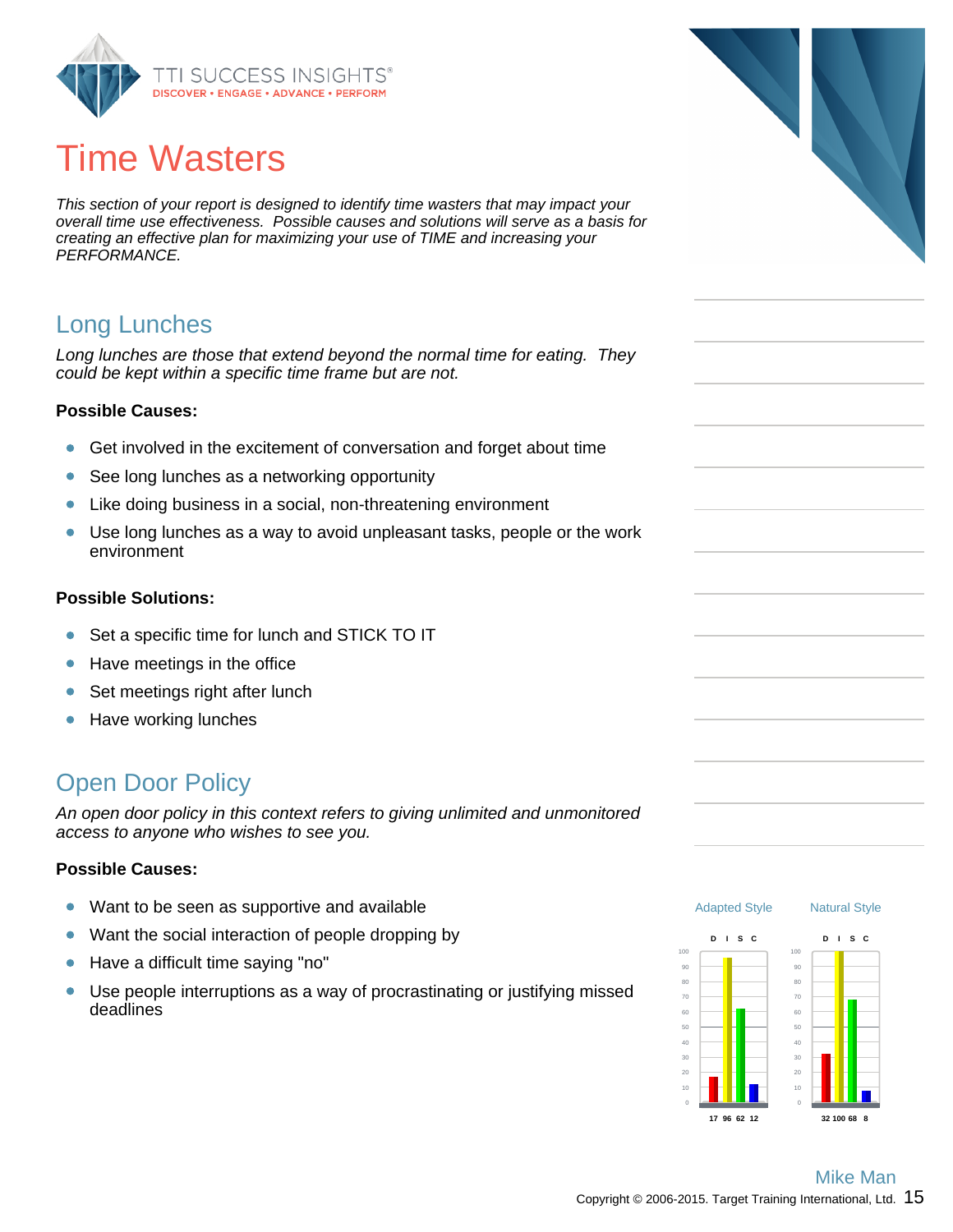

# Time Wasters

This section of your report is designed to identify time wasters that may impact your overall time use effectiveness. Possible causes and solutions will serve as a basis for creating an effective plan for maximizing your use of TIME and increasing your PERFORMANCE.

### Long Lunches

Long lunches are those that extend beyond the normal time for eating. They could be kept within a specific time frame but are not.

#### **Possible Causes:**

- Get involved in the excitement of conversation and forget about time  $\bullet$
- $\bullet$ See long lunches as a networking opportunity
- Like doing business in a social, non-threatening environment  $\bullet$
- Use long lunches as a way to avoid unpleasant tasks, people or the work  $\bullet$ environment

#### **Possible Solutions:**

- $\bullet$ Set a specific time for lunch and STICK TO IT
- Have meetings in the office  $\bullet$
- $\bullet$ Set meetings right after lunch
- Have working lunches  $\bullet$

### Open Door Policy

An open door policy in this context refers to giving unlimited and unmonitored access to anyone who wishes to see you.

#### **Possible Causes:**

- Want to be seen as supportive and available  $\bullet$
- Want the social interaction of people dropping by  $\bullet$
- Have a difficult time saying "no"  $\bullet$
- Use people interruptions as a way of procrastinating or justifying missed  $\bullet$ deadlines





**32 100 68 8**

**17 96 62 12**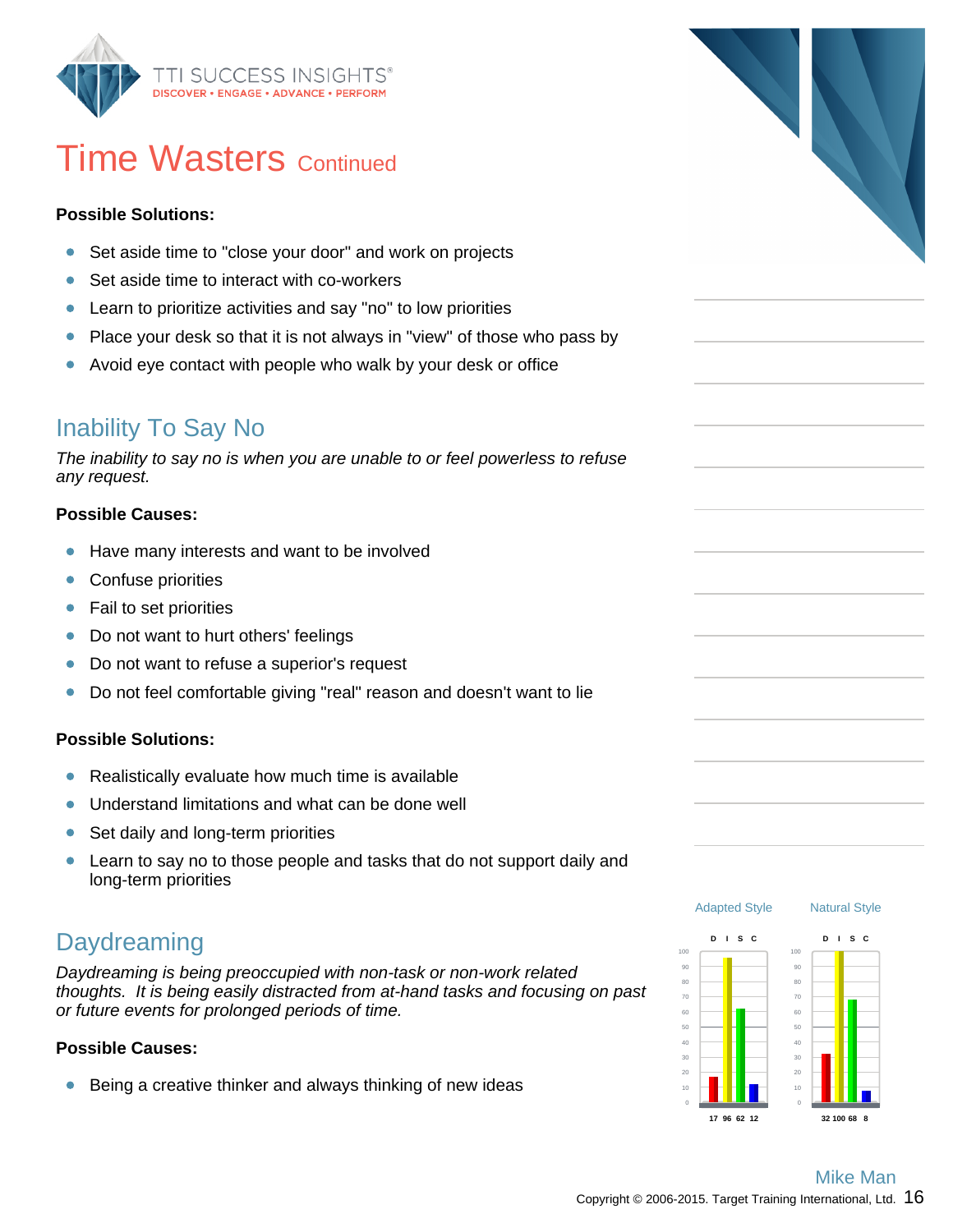

## **Time Wasters Continued**

#### **Possible Solutions:**

- Set aside time to "close your door" and work on projects  $\bullet$
- $\bullet$ Set aside time to interact with co-workers
- Learn to prioritize activities and say "no" to low priorities  $\bullet$
- Place your desk so that it is not always in "view" of those who pass by  $\bullet$
- $\bullet$ Avoid eye contact with people who walk by your desk or office

### Inability To Say No

The inability to say no is when you are unable to or feel powerless to refuse any request.

#### **Possible Causes:**

- $\bullet$ Have many interests and want to be involved
- $\bullet$ Confuse priorities
- Fail to set priorities  $\bullet$
- Do not want to hurt others' feelings  $\bullet$
- Do not want to refuse a superior's request  $\bullet$
- Do not feel comfortable giving "real" reason and doesn't want to lie  $\bullet$

#### **Possible Solutions:**

- $\bullet$ Realistically evaluate how much time is available
- $\bullet$ Understand limitations and what can be done well
- Set daily and long-term priorities  $\bullet$
- Learn to say no to those people and tasks that do not support daily and  $\bullet$ long-term priorities

### **Daydreaming**

Daydreaming is being preoccupied with non-task or non-work related thoughts. It is being easily distracted from at-hand tasks and focusing on past or future events for prolonged periods of time.

#### **Possible Causes:**

 $\bullet$ Being a creative thinker and always thinking of new ideas



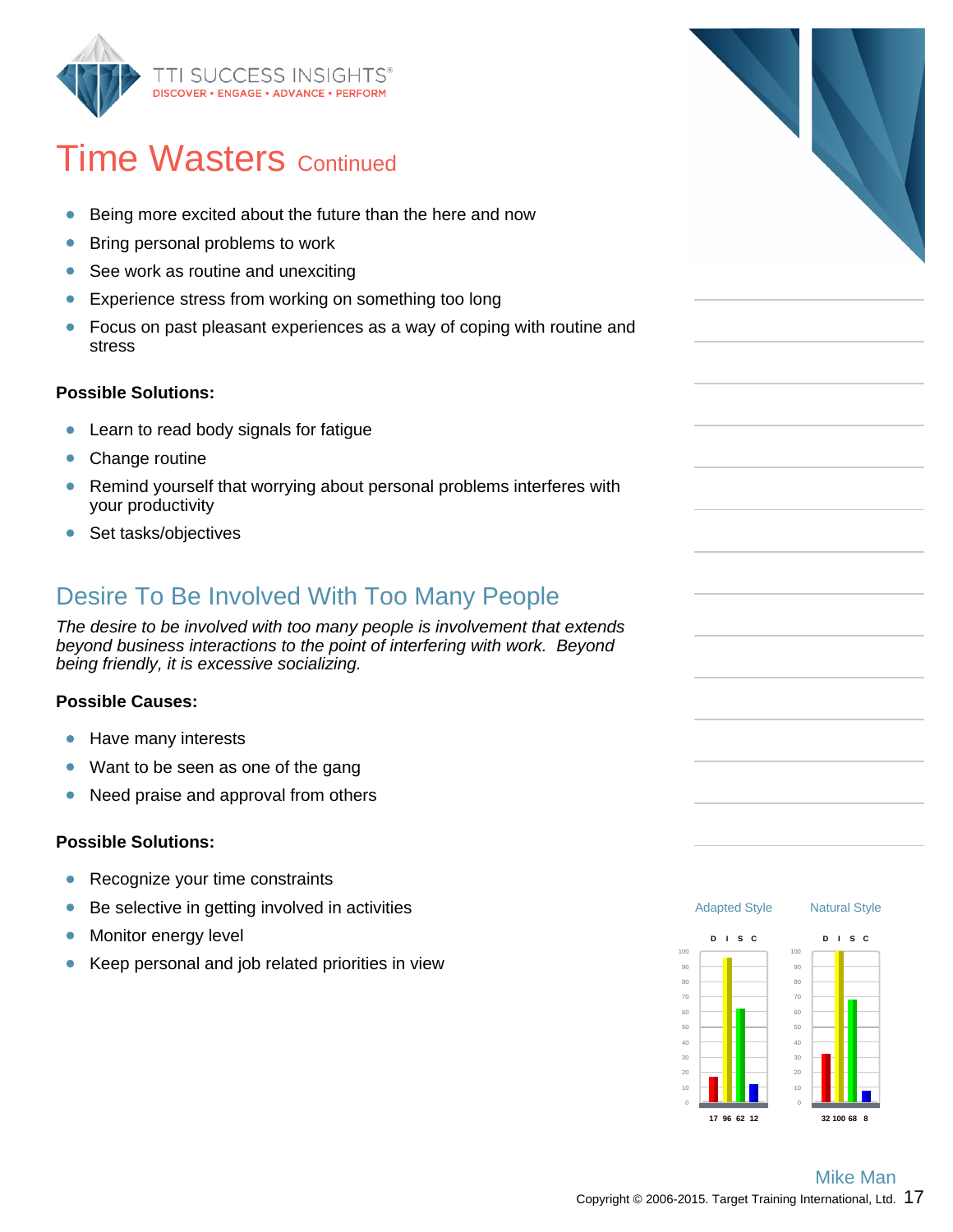

## **Time Wasters Continued**

- Being more excited about the future than the here and now  $\bullet$
- $\bullet$ Bring personal problems to work
- See work as routine and unexciting  $\bullet$
- Experience stress from working on something too long  $\bullet$
- Focus on past pleasant experiences as a way of coping with routine and  $\bullet$ stress

#### **Possible Solutions:**

- Learn to read body signals for fatigue  $\bullet$
- $\bullet$ Change routine
- Remind yourself that worrying about personal problems interferes with  $\bullet$ your productivity
- Set tasks/objectives

### Desire To Be Involved With Too Many People

The desire to be involved with too many people is involvement that extends beyond business interactions to the point of interfering with work. Beyond being friendly, it is excessive socializing.

#### **Possible Causes:**

- Have many interests  $\bullet$
- $\bullet$ Want to be seen as one of the gang
- Need praise and approval from others  $\bullet$

#### **Possible Solutions:**

- $\bullet$ Recognize your time constraints
- $\bullet$ Be selective in getting involved in activities
- Monitor energy level  $\bullet$
- Keep personal and job related priorities in view  $\bullet$

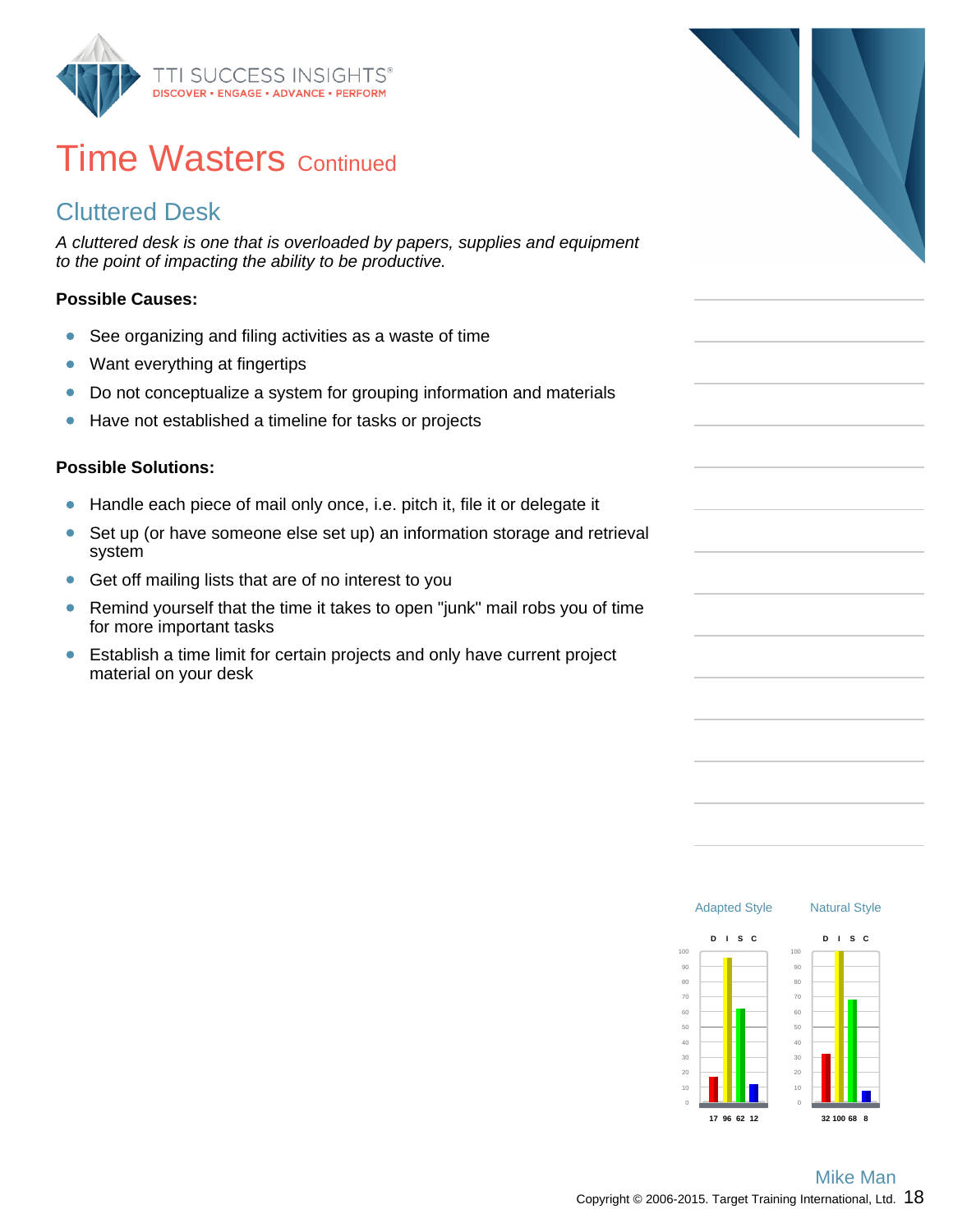

## **Time Wasters Continued**

### Cluttered Desk

A cluttered desk is one that is overloaded by papers, supplies and equipment to the point of impacting the ability to be productive.

#### **Possible Causes:**

- $\bullet$ See organizing and filing activities as a waste of time
- Want everything at fingertips  $\bullet$
- Do not conceptualize a system for grouping information and materials  $\bullet$
- $\bullet$ Have not established a timeline for tasks or projects

#### **Possible Solutions:**

- Handle each piece of mail only once, i.e. pitch it, file it or delegate it  $\bullet$
- Set up (or have someone else set up) an information storage and retrieval  $\bullet$ system
- $\bullet$ Get off mailing lists that are of no interest to you
- Remind yourself that the time it takes to open "junk" mail robs you of time  $\bullet$ for more important tasks
- Establish a time limit for certain projects and only have current project  $\bullet$ material on your desk



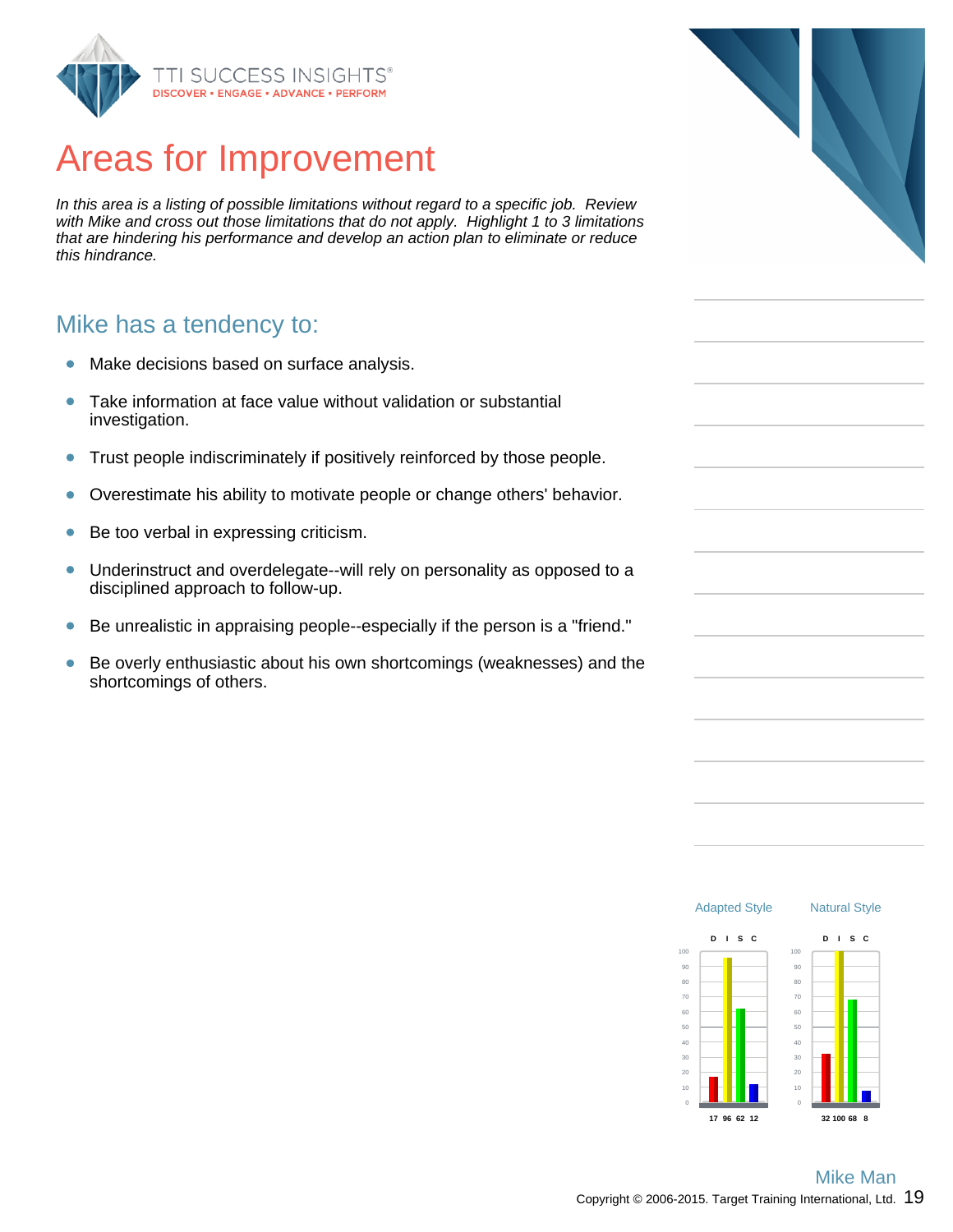

## Areas for Improvement

In this area is a listing of possible limitations without regard to a specific job. Review with Mike and cross out those limitations that do not apply. Highlight 1 to 3 limitations that are hindering his performance and develop an action plan to eliminate or reduce this hindrance.

#### Mike has a tendency to:

- Make decisions based on surface analysis.  $\bullet$
- Take information at face value without validation or substantial  $\bullet$ investigation.
- Trust people indiscriminately if positively reinforced by those people.  $\bullet$
- Overestimate his ability to motivate people or change others' behavior.  $\bullet$
- Be too verbal in expressing criticism.  $\bullet$
- Underinstruct and overdelegate--will rely on personality as opposed to a  $\bullet$ disciplined approach to follow-up.
- Be unrealistic in appraising people--especially if the person is a "friend."  $\bullet$
- Be overly enthusiastic about his own shortcomings (weaknesses) and the  $\bullet$ shortcomings of others.



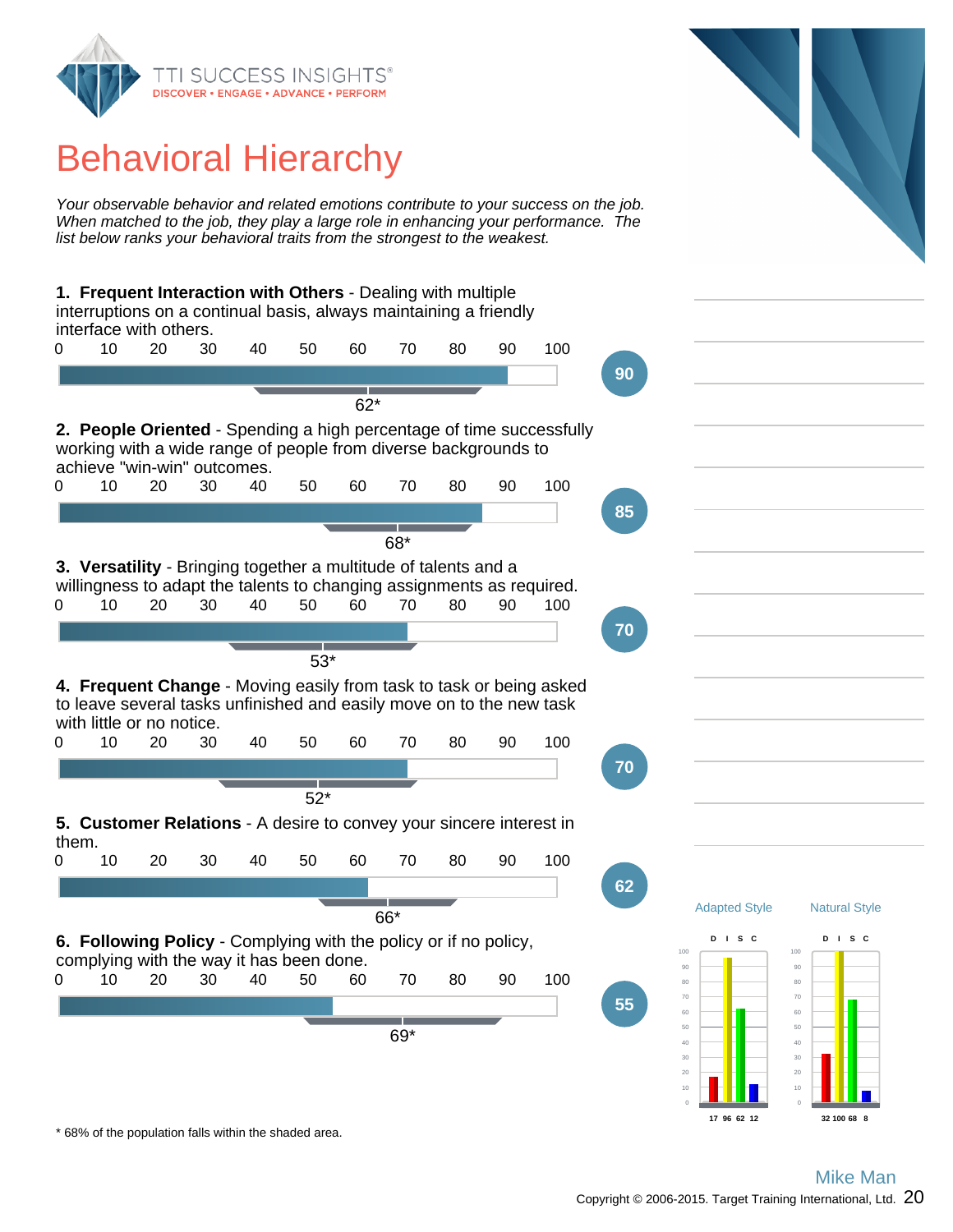

## Behavioral Hierarchy

Your observable behavior and related emotions contribute to your success on the job. When matched to the job, they play a large role in enhancing your performance. The list below ranks your behavioral traits from the strongest to the weakest.

**1. Frequent Interaction with Others** - Dealing with multiple interruptions on a continual basis, always maintaining a friendly interface with others. 0 10 20 30 40 50 60 70 80 90 100 **90** 62\* **2. People Oriented** - Spending a high percentage of time successfully working with a wide range of people from diverse backgrounds to achieve "win-win" outcomes. 0 10 20 30 40 50 60 70 80 90 100 **85** 68\* **3. Versatility** - Bringing together a multitude of talents and a willingness to adapt the talents to changing assignments as required. 0 10 20 30 40 50 60 70 80 90 100 **70** 53\* **4. Frequent Change** - Moving easily from task to task or being asked to leave several tasks unfinished and easily move on to the new task with little or no notice. 0 10 20 30 40 50 60 70 80 90 100 **70** 52\* **5. Customer Relations** - A desire to convey your sincere interest in them. 0 10 20 30 40 50 60 70 80 90 100 **62** 66\* **6. Following Policy** - Complying with the policy or if no policy, complying with the way it has been done. 0 10 20 30 40 50 60 70 80 90 100 **55** 69\* Adapted Style 100  $90$ 80 70 60 50 40 30 20 **D I S C 17 96 62 12** Natural Style 100 90 80 70 60 50 40 30 20 **D I S C 32 100 68 8**

\* 68% of the population falls within the shaded area.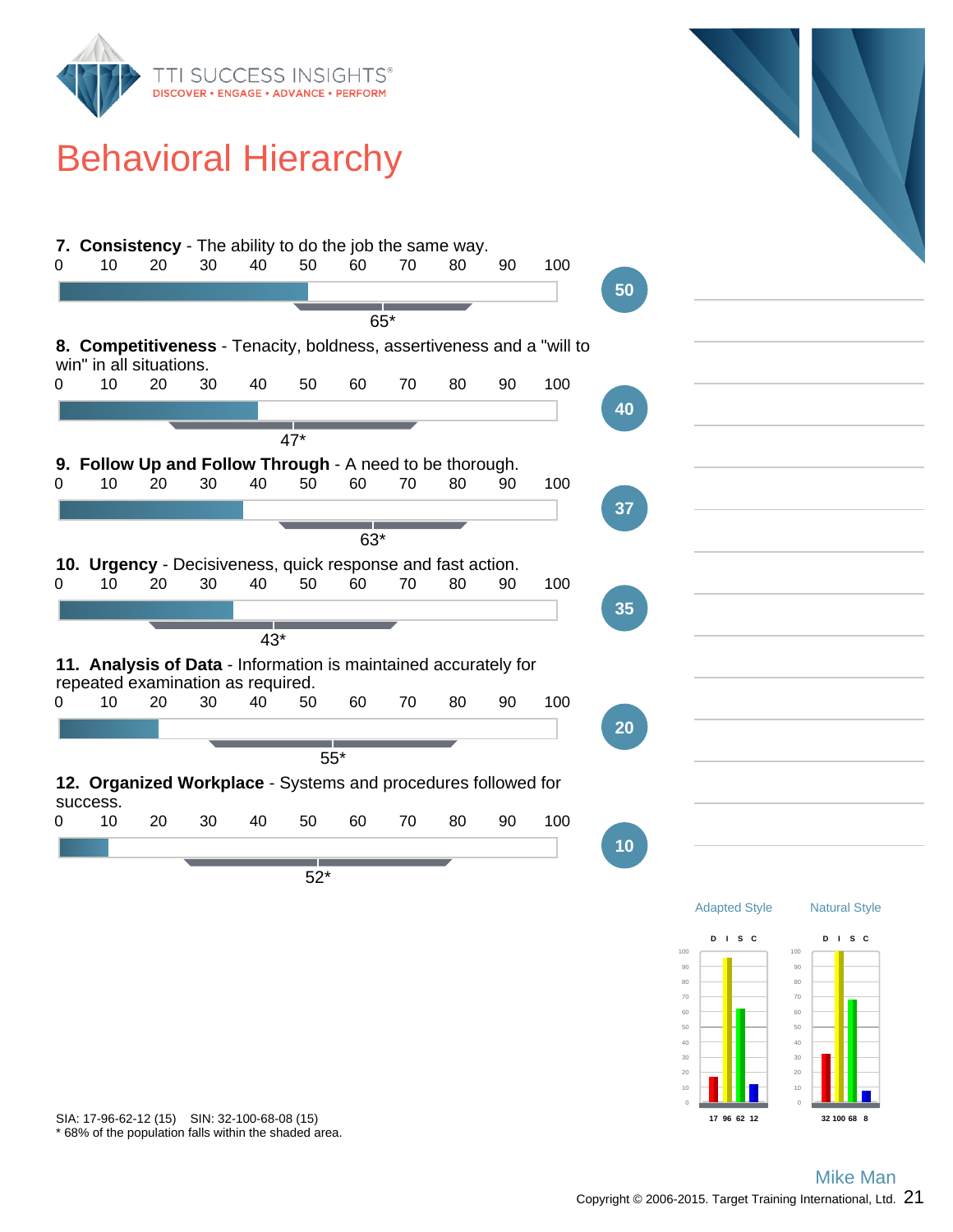

## Behavioral Hierarchy



\* 68% of the population falls within the shaded area. SIA: 17-96-62-12 (15) SIN: 32-100-68-08 (15)

**17 96 62 12**

**32 100 68 8**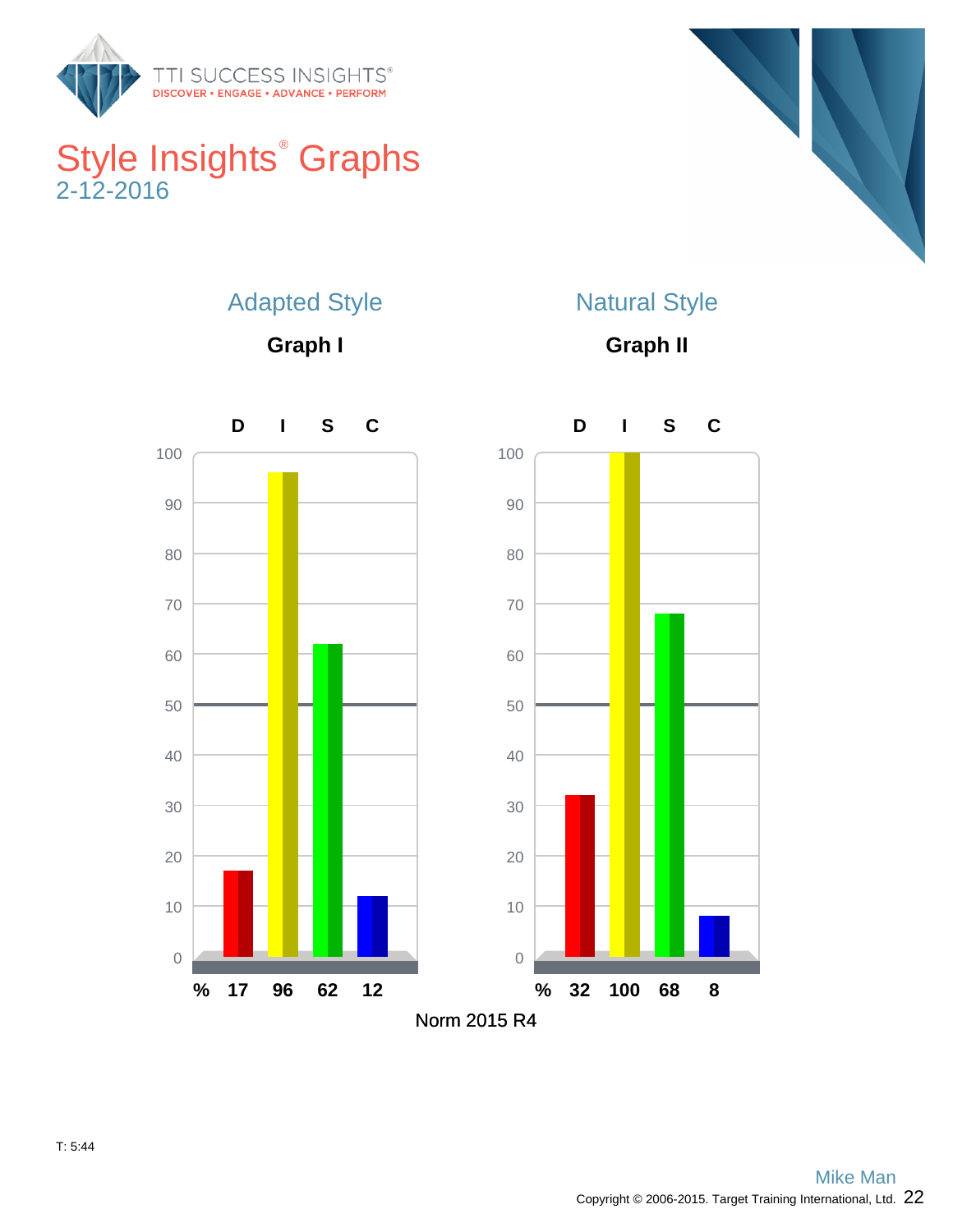

## Style Insights<sup>®</sup> Graphs 2-12-2016



## Adapted Style

**Graph I**



**Graph II**

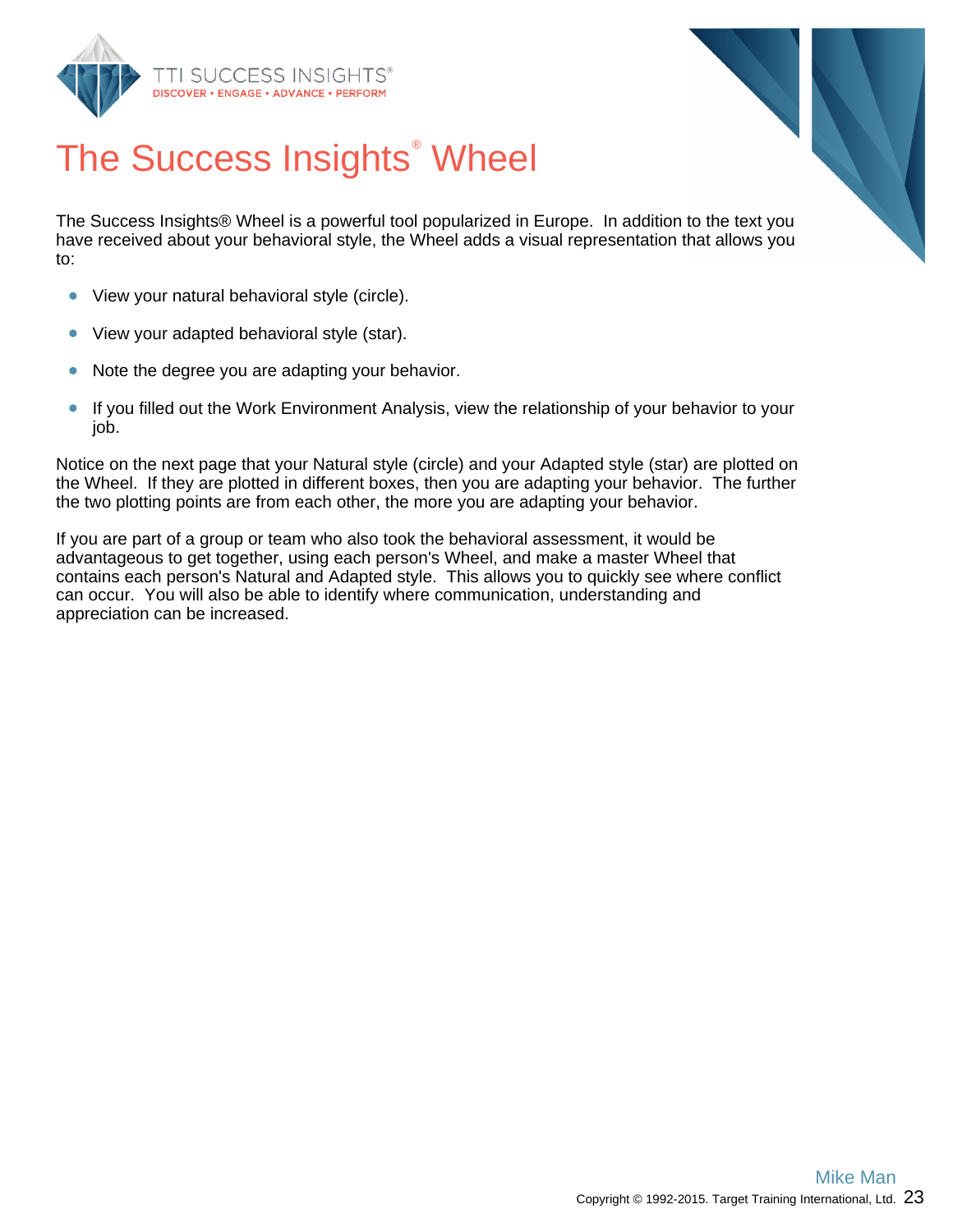



# The Success Insights<sup>®</sup> Wheel

The Success Insights® Wheel is a powerful tool popularized in Europe. In addition to the text you have received about your behavioral style, the Wheel adds a visual representation that allows you to:

- View your natural behavioral style (circle).  $\bullet$
- $\bullet$ View your adapted behavioral style (star).
- $\bullet$ Note the degree you are adapting your behavior.
- $\bullet$ If you filled out the Work Environment Analysis, view the relationship of your behavior to your job.

Notice on the next page that your Natural style (circle) and your Adapted style (star) are plotted on the Wheel. If they are plotted in different boxes, then you are adapting your behavior. The further the two plotting points are from each other, the more you are adapting your behavior.

If you are part of a group or team who also took the behavioral assessment, it would be advantageous to get together, using each person's Wheel, and make a master Wheel that contains each person's Natural and Adapted style. This allows you to quickly see where conflict can occur. You will also be able to identify where communication, understanding and appreciation can be increased.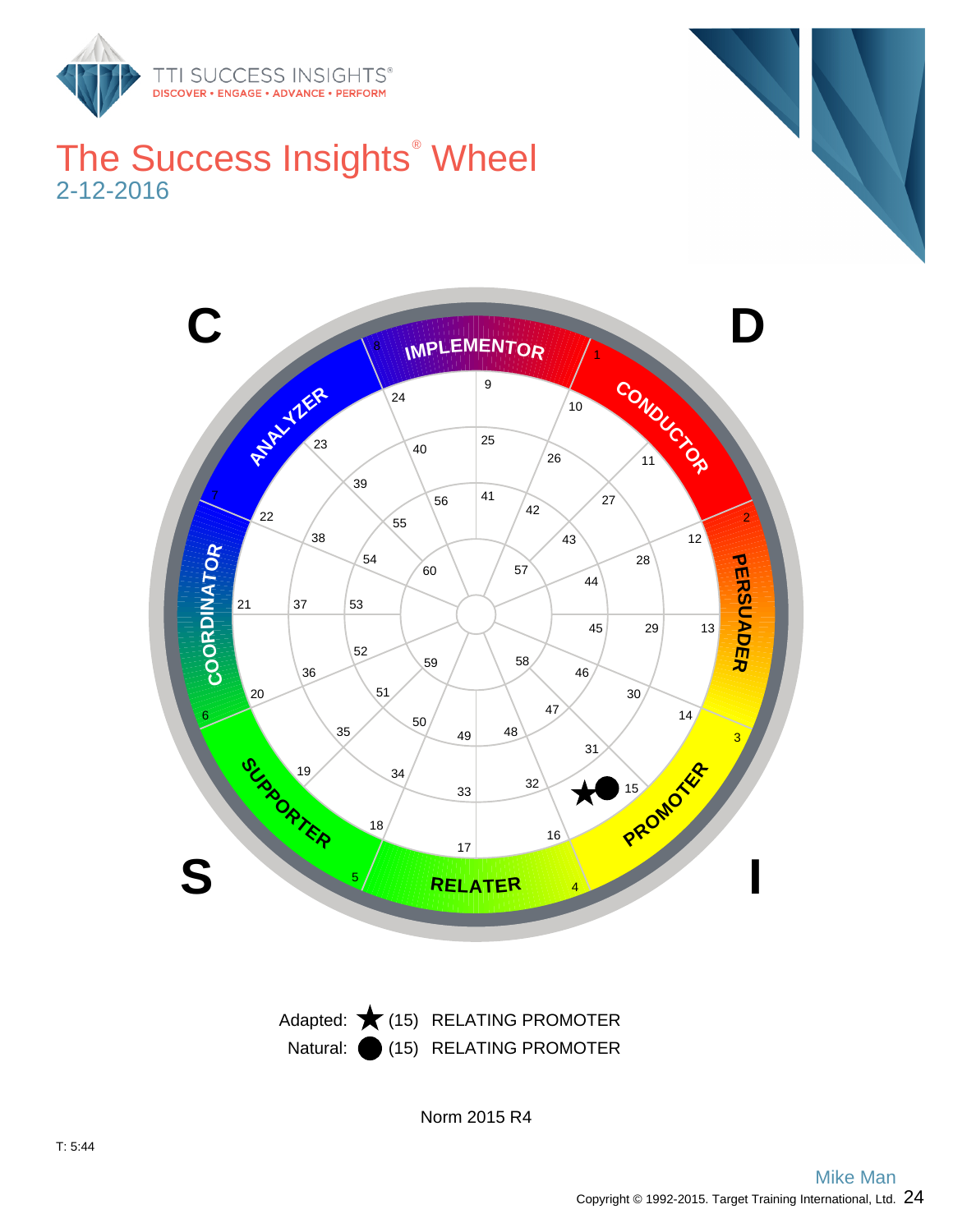

## The Success Insights<sup>®</sup> Wheel 2-12-2016





Norm 2015 R4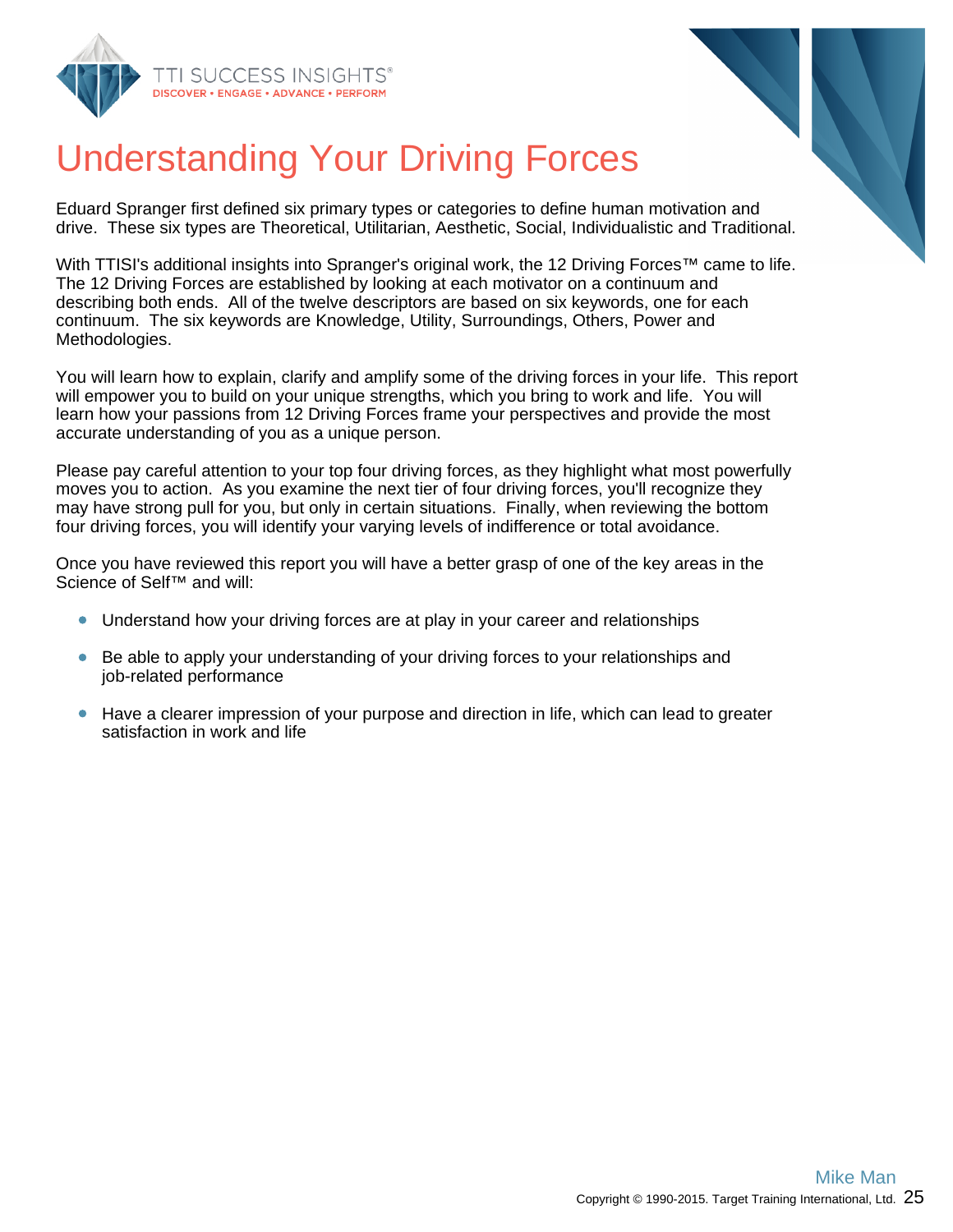



# Understanding Your Driving Forces

Eduard Spranger first defined six primary types or categories to define human motivation and drive. These six types are Theoretical, Utilitarian, Aesthetic, Social, Individualistic and Traditional.

With TTISI's additional insights into Spranger's original work, the 12 Driving Forces™ came to life. The 12 Driving Forces are established by looking at each motivator on a continuum and describing both ends. All of the twelve descriptors are based on six keywords, one for each continuum. The six keywords are Knowledge, Utility, Surroundings, Others, Power and Methodologies.

You will learn how to explain, clarify and amplify some of the driving forces in your life. This report will empower you to build on your unique strengths, which you bring to work and life. You will learn how your passions from 12 Driving Forces frame your perspectives and provide the most accurate understanding of you as a unique person.

Please pay careful attention to your top four driving forces, as they highlight what most powerfully moves you to action. As you examine the next tier of four driving forces, you'll recognize they may have strong pull for you, but only in certain situations. Finally, when reviewing the bottom four driving forces, you will identify your varying levels of indifference or total avoidance.

Once you have reviewed this report you will have a better grasp of one of the key areas in the Science of Self™ and will:

- Understand how your driving forces are at play in your career and relationships
- $\bullet$ Be able to apply your understanding of your driving forces to your relationships and job-related performance
- Have a clearer impression of your purpose and direction in life, which can lead to greater satisfaction in work and life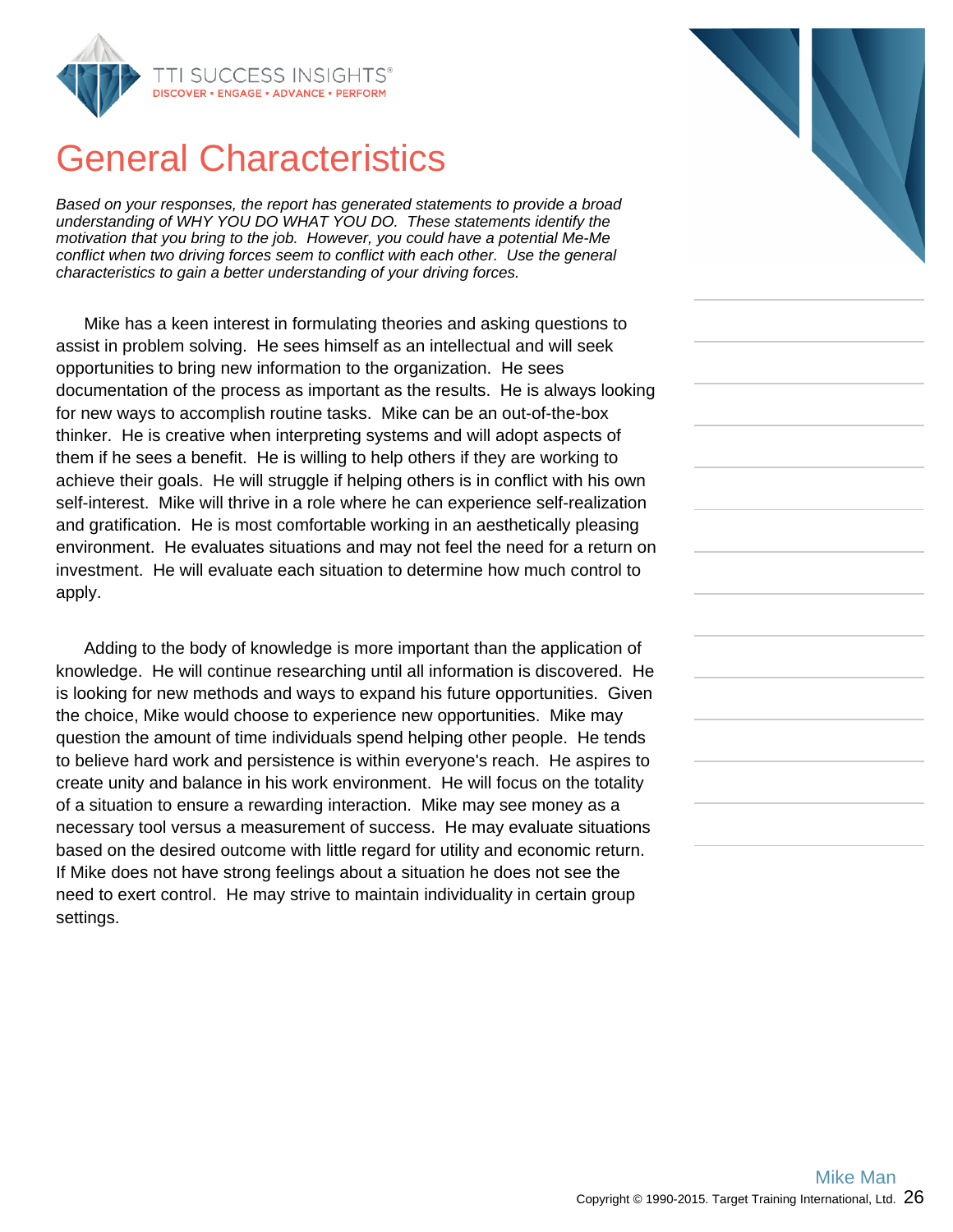

## General Characteristics

Based on your responses, the report has generated statements to provide a broad understanding of WHY YOU DO WHAT YOU DO. These statements identify the motivation that you bring to the job. However, you could have a potential Me-Me conflict when two driving forces seem to conflict with each other. Use the general characteristics to gain a better understanding of your driving forces.

Mike has a keen interest in formulating theories and asking questions to assist in problem solving. He sees himself as an intellectual and will seek opportunities to bring new information to the organization. He sees documentation of the process as important as the results. He is always looking for new ways to accomplish routine tasks. Mike can be an out-of-the-box thinker. He is creative when interpreting systems and will adopt aspects of them if he sees a benefit. He is willing to help others if they are working to achieve their goals. He will struggle if helping others is in conflict with his own self-interest. Mike will thrive in a role where he can experience self-realization and gratification. He is most comfortable working in an aesthetically pleasing environment. He evaluates situations and may not feel the need for a return on investment. He will evaluate each situation to determine how much control to apply.

Adding to the body of knowledge is more important than the application of knowledge. He will continue researching until all information is discovered. He is looking for new methods and ways to expand his future opportunities. Given the choice, Mike would choose to experience new opportunities. Mike may question the amount of time individuals spend helping other people. He tends to believe hard work and persistence is within everyone's reach. He aspires to create unity and balance in his work environment. He will focus on the totality of a situation to ensure a rewarding interaction. Mike may see money as a necessary tool versus a measurement of success. He may evaluate situations based on the desired outcome with little regard for utility and economic return. If Mike does not have strong feelings about a situation he does not see the need to exert control. He may strive to maintain individuality in certain group settings.

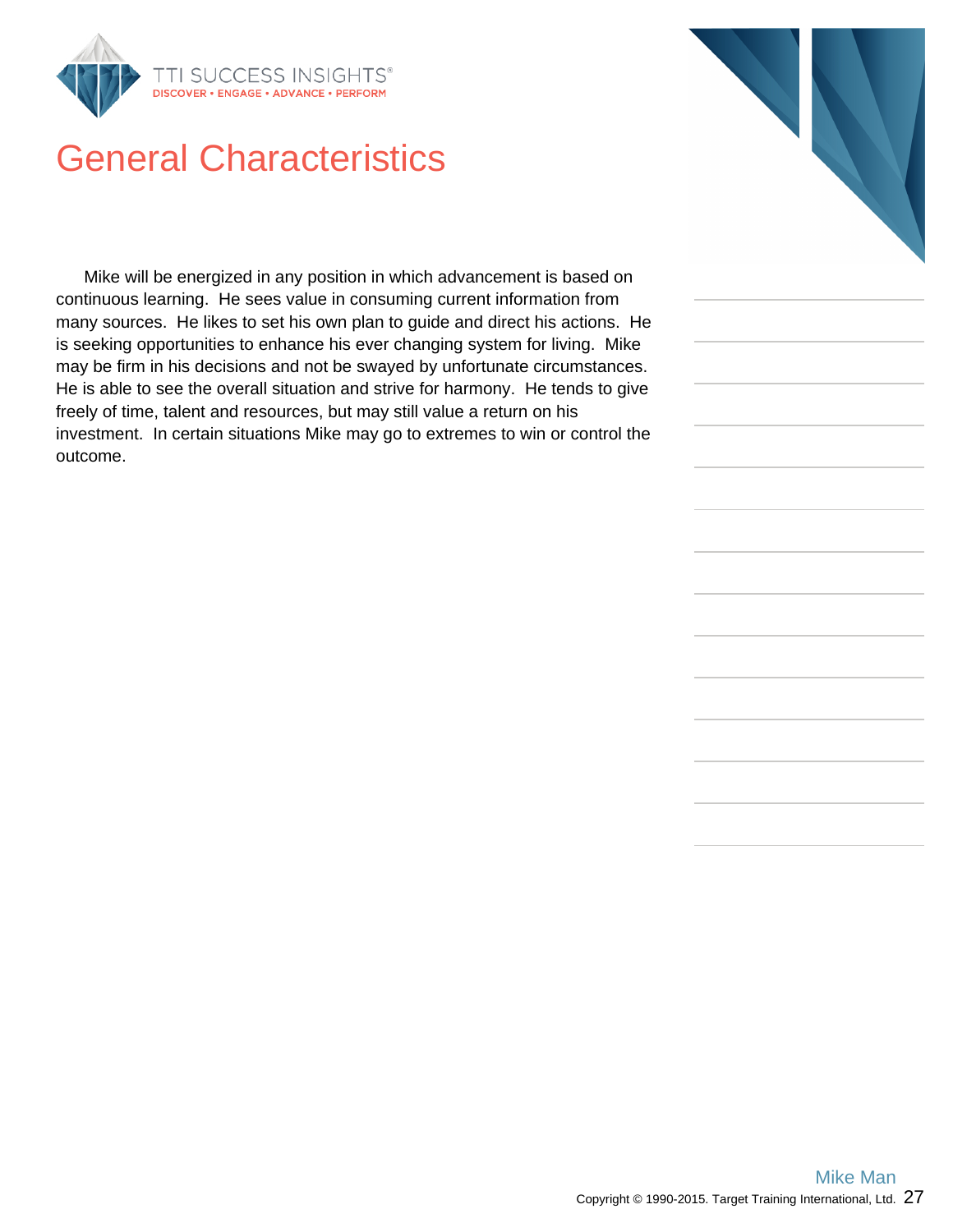

## General Characteristics

Mike will be energized in any position in which advancement is based on continuous learning. He sees value in consuming current information from many sources. He likes to set his own plan to guide and direct his actions. He is seeking opportunities to enhance his ever changing system for living. Mike may be firm in his decisions and not be swayed by unfortunate circumstances. He is able to see the overall situation and strive for harmony. He tends to give freely of time, talent and resources, but may still value a return on his investment. In certain situations Mike may go to extremes to win or control the outcome.

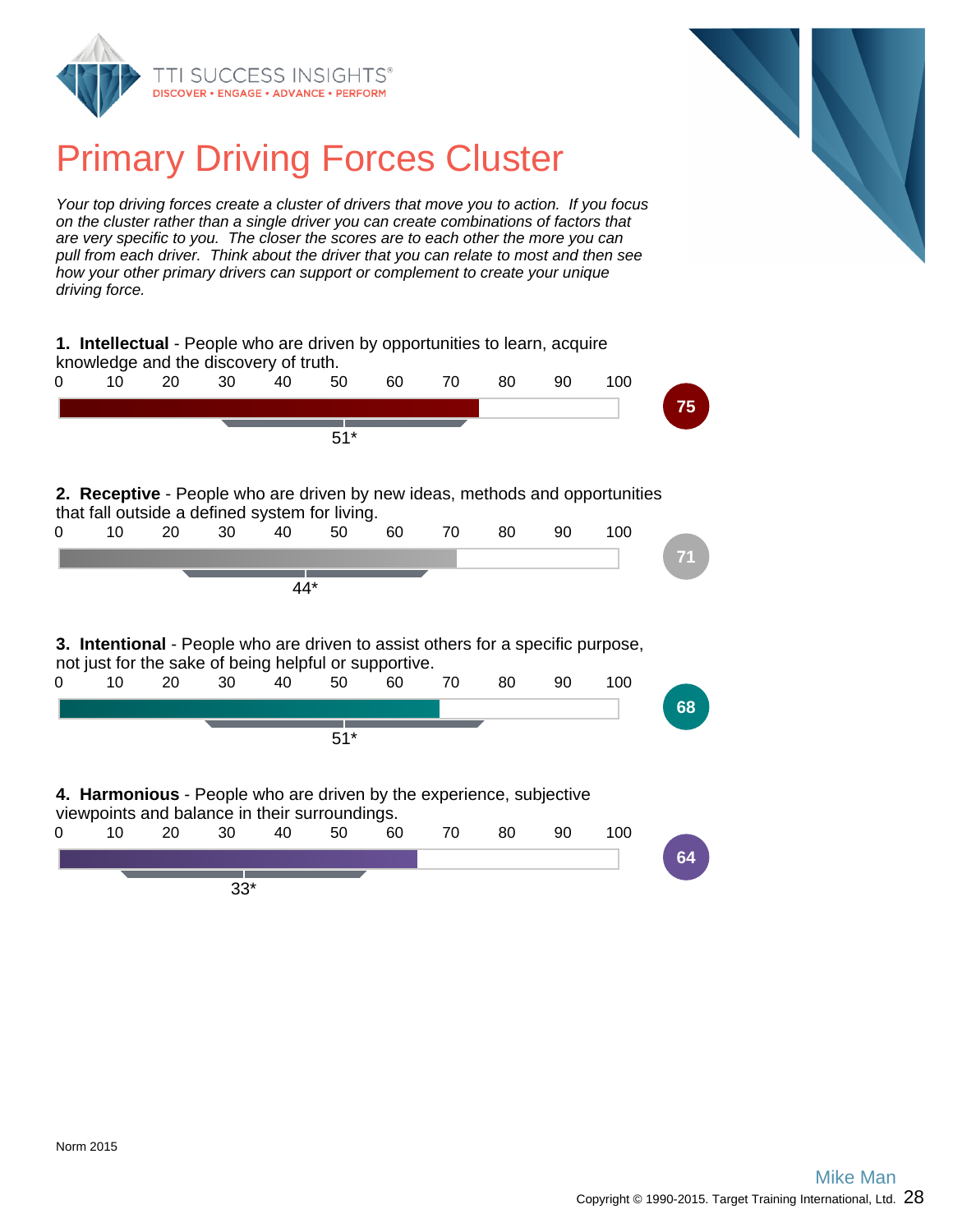



## Primary Driving Forces Cluster

Your top driving forces create a cluster of drivers that move you to action. If you focus on the cluster rather than a single driver you can create combinations of factors that are very specific to you. The closer the scores are to each other the more you can pull from each driver. Think about the driver that you can relate to most and then see how your other primary drivers can support or complement to create your unique driving force.

|   |    |    | 1. Intellectual - People who are driven by opportunities to learn, acquire<br>knowledge and the discovery of truth.  |     |       |    |    |    |    |                                                                              |    |
|---|----|----|----------------------------------------------------------------------------------------------------------------------|-----|-------|----|----|----|----|------------------------------------------------------------------------------|----|
| 0 | 10 | 20 | 30                                                                                                                   | 40  | 50    | 60 | 70 | 80 | 90 | 100                                                                          |    |
|   |    |    |                                                                                                                      |     |       |    |    |    |    |                                                                              | 75 |
|   |    |    |                                                                                                                      |     | $51*$ |    |    |    |    |                                                                              |    |
|   |    |    | that fall outside a defined system for living.                                                                       |     |       |    |    |    |    | 2. Receptive - People who are driven by new ideas, methods and opportunities |    |
| 0 | 10 | 20 | 30                                                                                                                   | 40  | 50    | 60 | 70 | 80 | 90 | 100                                                                          |    |
|   |    |    |                                                                                                                      |     |       |    |    |    |    |                                                                              | 71 |
|   |    |    |                                                                                                                      | 44* |       |    |    |    |    |                                                                              |    |
|   |    |    |                                                                                                                      |     |       |    |    |    |    |                                                                              |    |
|   |    |    |                                                                                                                      |     |       |    |    |    |    |                                                                              |    |
|   |    |    | <b>3. Intentional</b> - People who are driven to assist others for a specific purpose,                               |     |       |    |    |    |    |                                                                              |    |
| 0 | 10 | 20 | not just for the sake of being helpful or supportive.<br>30                                                          | 40  | 50    | 60 | 70 | 80 | 90 | 100                                                                          |    |
|   |    |    |                                                                                                                      |     |       |    |    |    |    |                                                                              | 68 |
|   |    |    |                                                                                                                      |     | $51*$ |    |    |    |    |                                                                              |    |
|   |    |    | 4. Harmonious - People who are driven by the experience, subjective<br>viewpoints and balance in their surroundings. |     |       |    |    |    |    |                                                                              |    |
| 0 | 10 | 20 | 30                                                                                                                   | 40  | 50    | 60 | 70 | 80 | 90 | 100                                                                          |    |
|   |    |    |                                                                                                                      |     |       |    |    |    |    |                                                                              | 64 |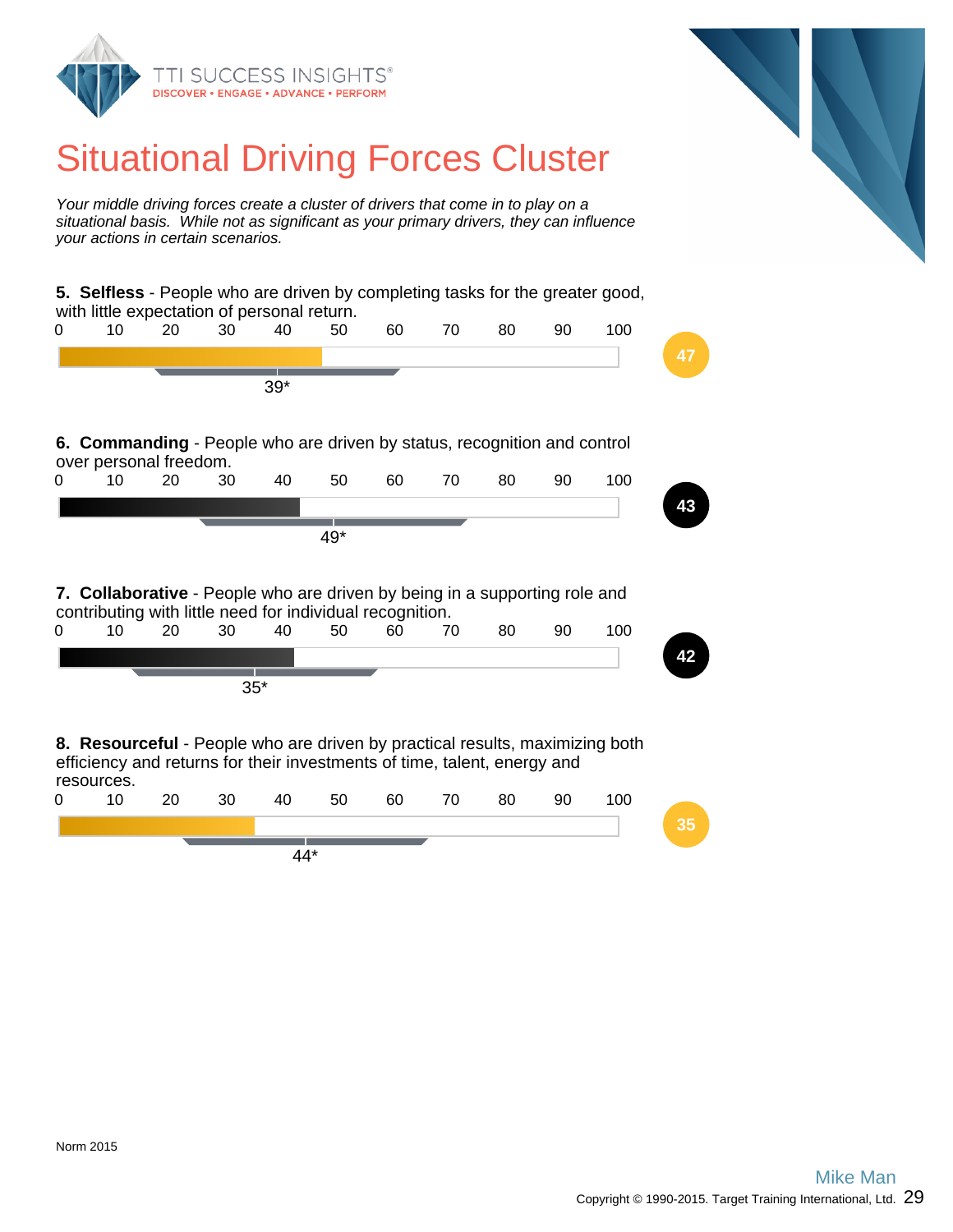

## Situational Driving Forces Cluster

Your middle driving forces create a cluster of drivers that come in to play on a situational basis. While not as significant as your primary drivers, they can influence your actions in certain scenarios.

**5. Selfless** - People who are driven by completing tasks for the greater good, with little expectation of personal return. 0 10 20 30 40 50 60 70 80 90 100 **47** 39\* **6. Commanding** - People who are driven by status, recognition and control over personal freedom. 0 10 20 30 40 50 60 70 80 90 100 **43** 49\* **7. Collaborative** - People who are driven by being in a supporting role and contributing with little need for individual recognition. 0 10 20 30 40 50 60 70 80 90 100 **42** 35\* **8. Resourceful** - People who are driven by practical results, maximizing both efficiency and returns for their investments of time, talent, energy and resources. 0 10 20 30 40 50 60 70 80 90 100 **35** 44\*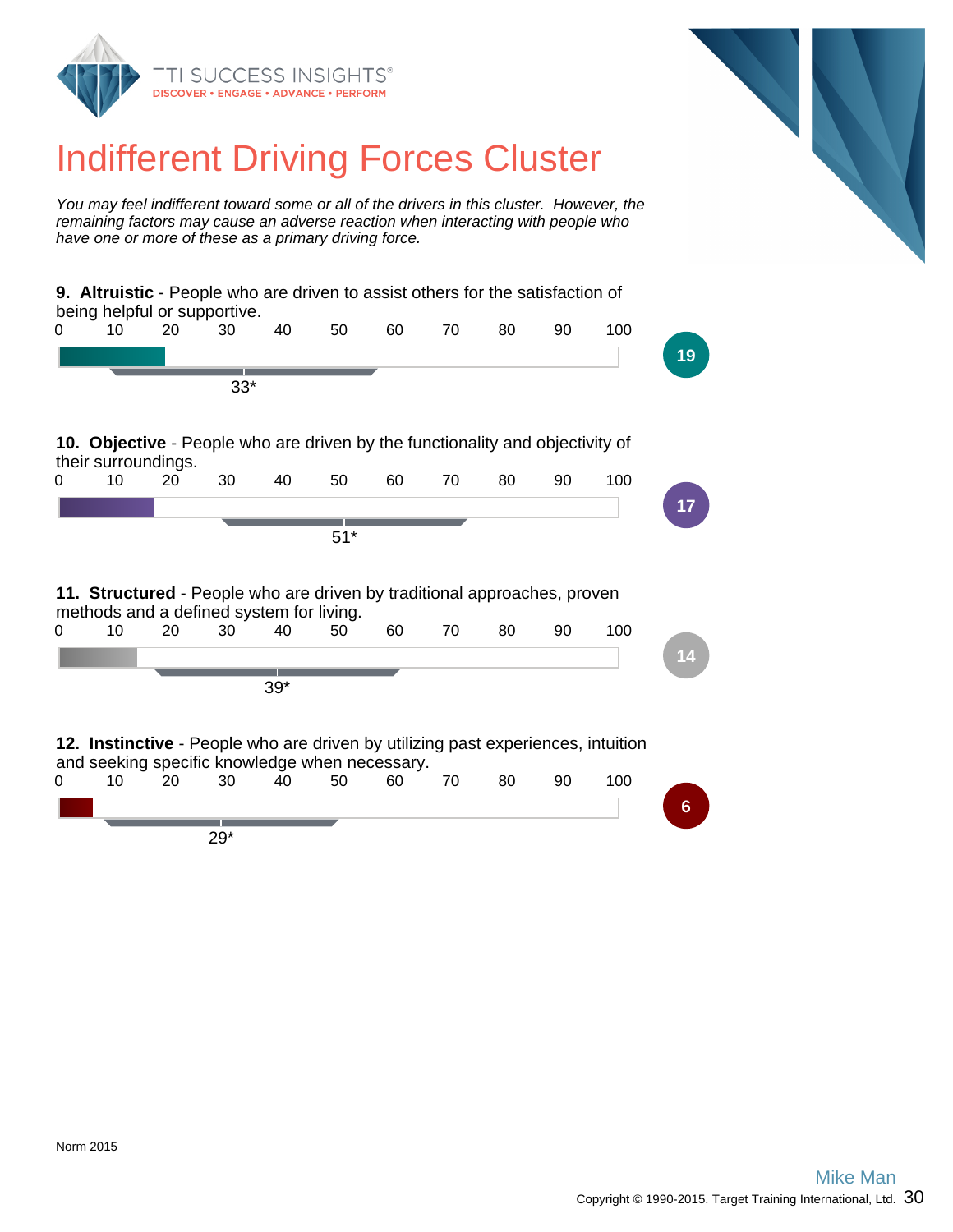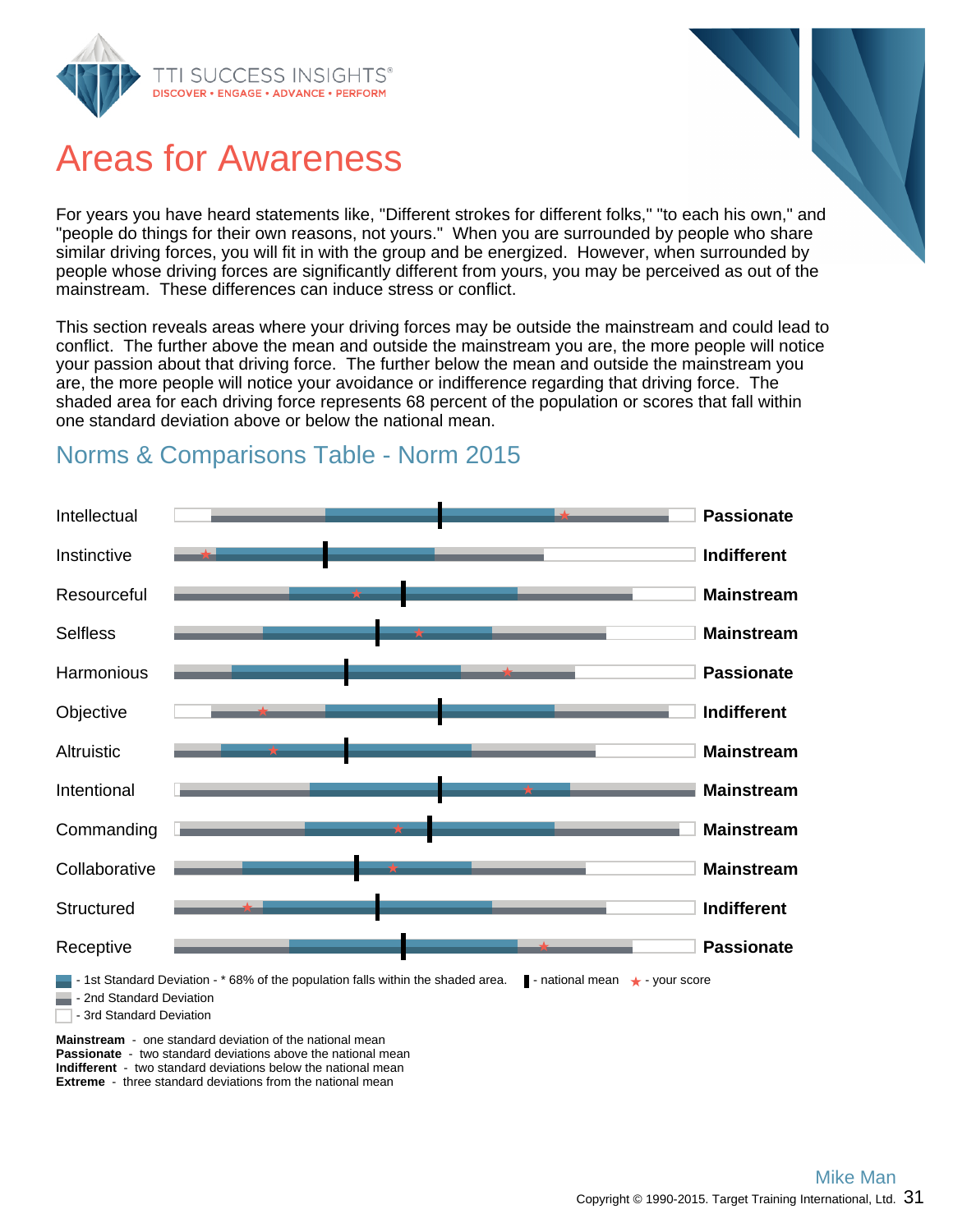

## Areas for Awareness

For years you have heard statements like, "Different strokes for different folks," "to each his own," and "people do things for their own reasons, not yours." When you are surrounded by people who share similar driving forces, you will fit in with the group and be energized. However, when surrounded by people whose driving forces are significantly different from yours, you may be perceived as out of the mainstream. These differences can induce stress or conflict.

This section reveals areas where your driving forces may be outside the mainstream and could lead to conflict. The further above the mean and outside the mainstream you are, the more people will notice your passion about that driving force. The further below the mean and outside the mainstream you are, the more people will notice your avoidance or indifference regarding that driving force. The shaded area for each driving force represents 68 percent of the population or scores that fall within one standard deviation above or below the national mean.



### Norms & Comparisons Table - Norm 2015

**Passionate** - two standard deviations above the national mean **Indifferent** - two standard deviations below the national mean **Extreme** - three standard deviations from the national mean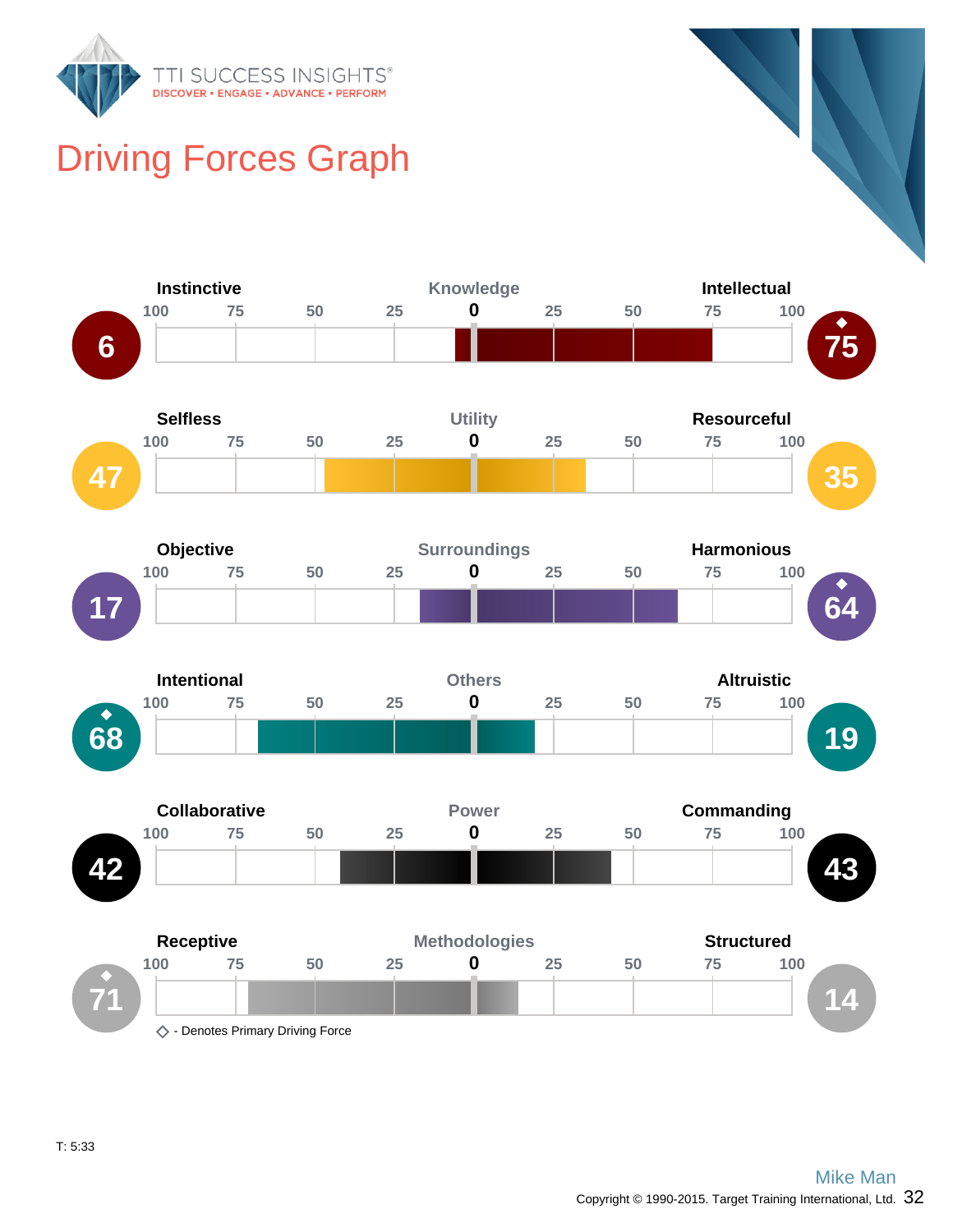

# Driving Forces Graph

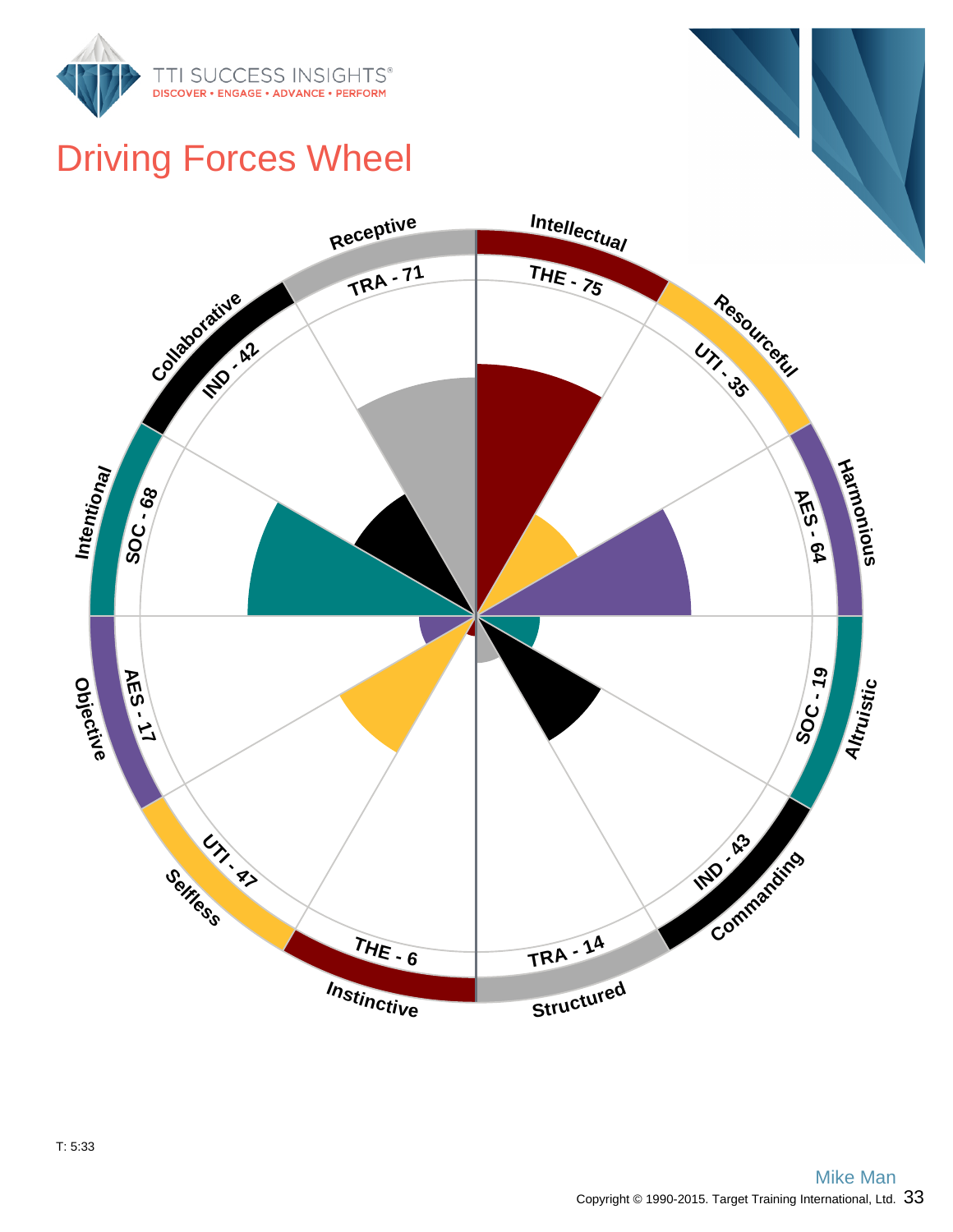

## Driving Forces Wheel

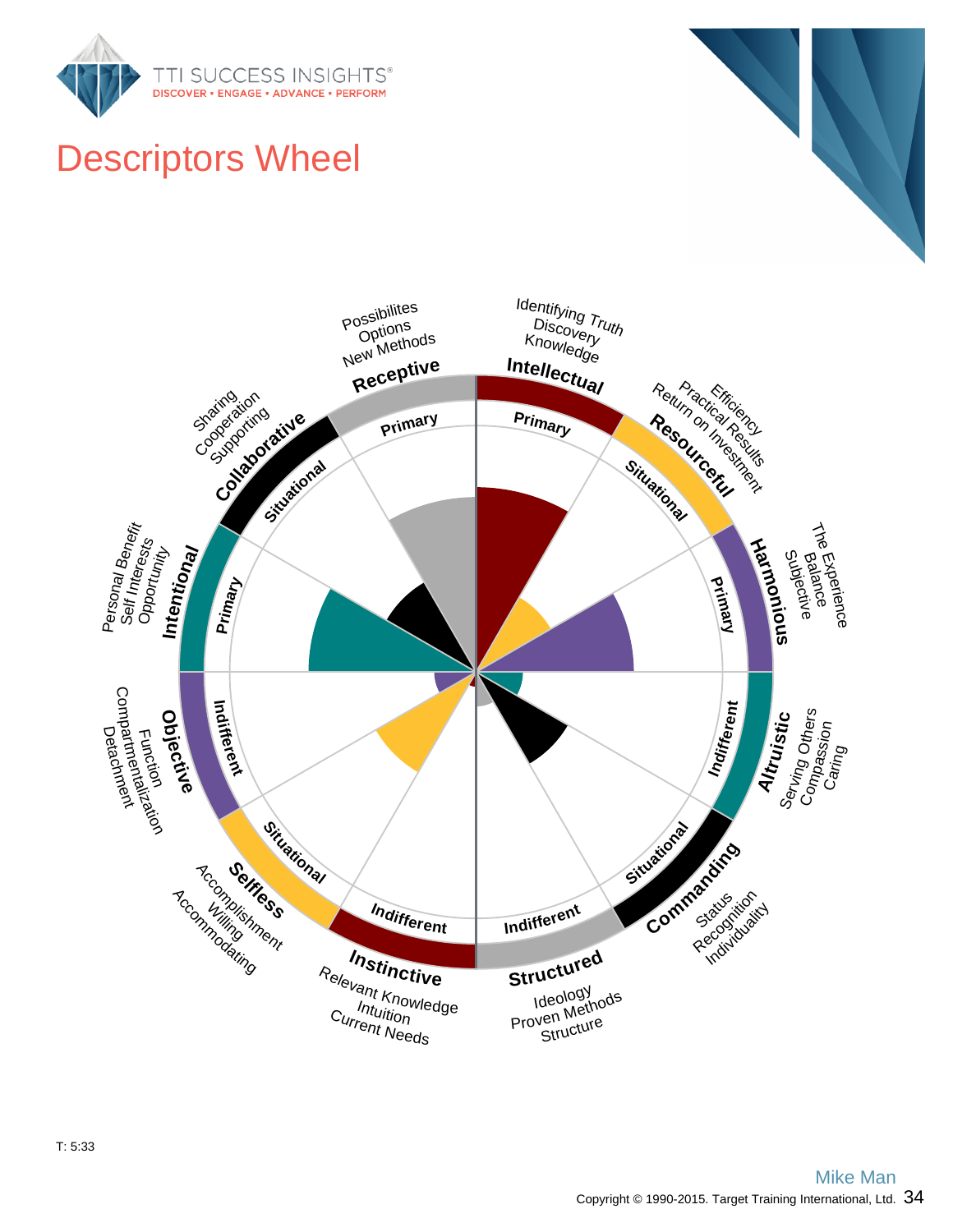

# Descriptors Wheel

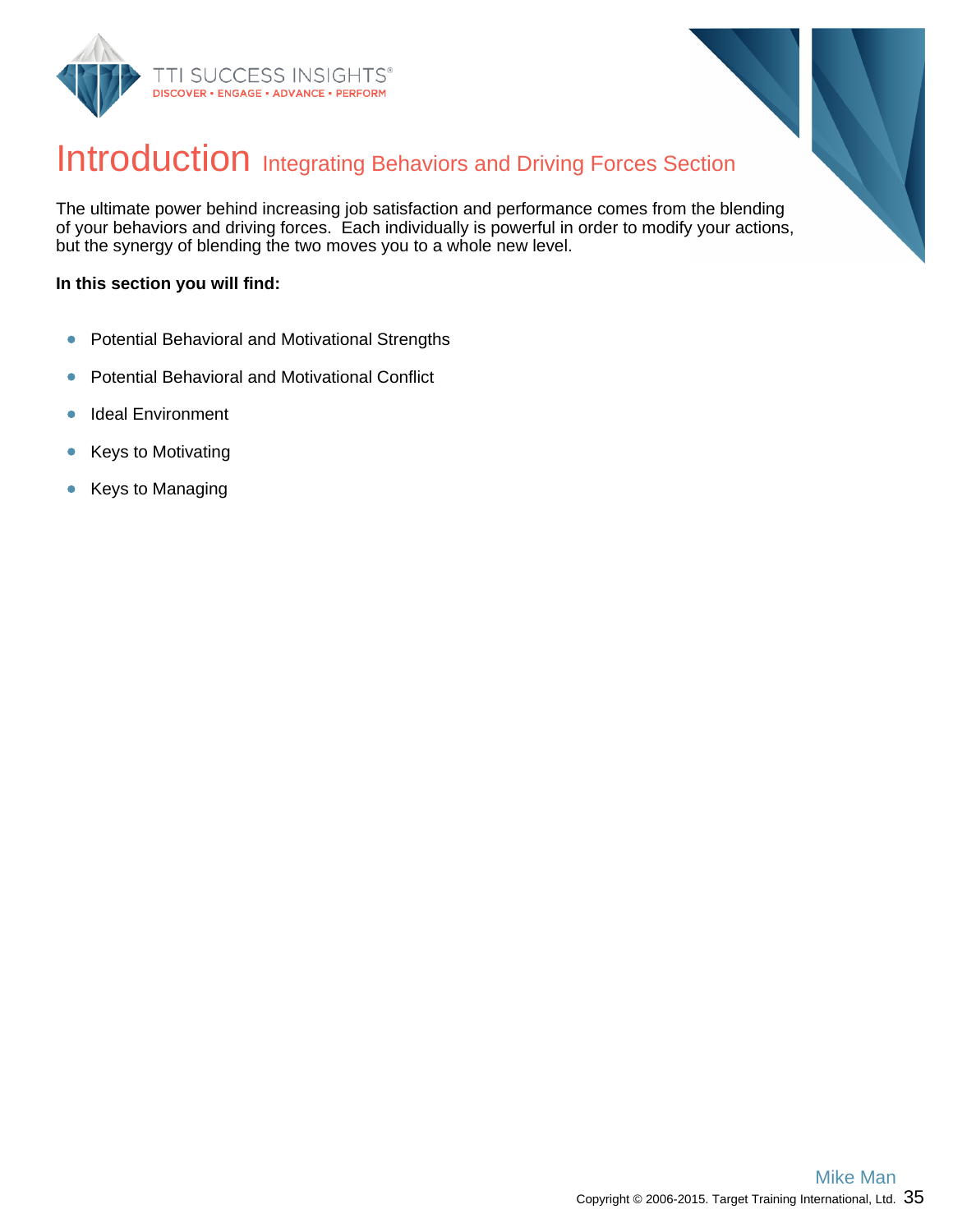



## Introduction Integrating Behaviors and Driving Forces Section

The ultimate power behind increasing job satisfaction and performance comes from the blending of your behaviors and driving forces. Each individually is powerful in order to modify your actions, but the synergy of blending the two moves you to a whole new level.

#### **In this section you will find:**

- Potential Behavioral and Motivational Strengths  $\bullet$
- Potential Behavioral and Motivational Conflict  $\bullet$
- Ideal Environment  $\bullet$
- Keys to Motivating  $\bullet$
- Keys to Managing  $\bullet$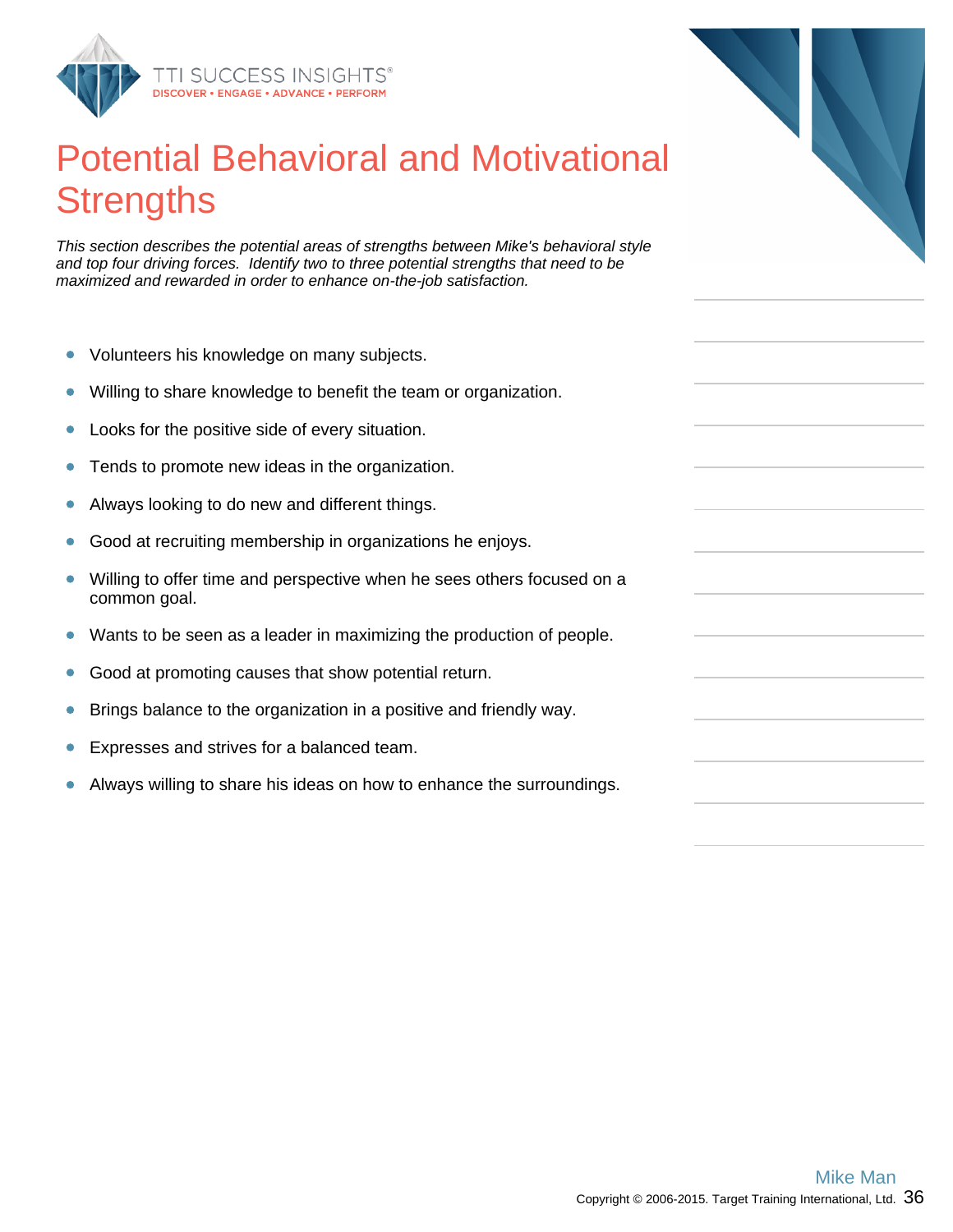

## Potential Behavioral and Motivational **Strengths**

This section describes the potential areas of strengths between Mike's behavioral style and top four driving forces. Identify two to three potential strengths that need to be maximized and rewarded in order to enhance on-the-job satisfaction.

- Volunteers his knowledge on many subjects.  $\bullet$
- Willing to share knowledge to benefit the team or organization.  $\bullet$
- Looks for the positive side of every situation.  $\bullet$
- Tends to promote new ideas in the organization.  $\bullet$
- Always looking to do new and different things.  $\bullet$
- Good at recruiting membership in organizations he enjoys.  $\bullet$
- $\bullet$ Willing to offer time and perspective when he sees others focused on a common goal.
- $\bullet$ Wants to be seen as a leader in maximizing the production of people.
- Good at promoting causes that show potential return.  $\bullet$
- Brings balance to the organization in a positive and friendly way.  $\bullet$
- Expresses and strives for a balanced team.
- $\bullet$ Always willing to share his ideas on how to enhance the surroundings.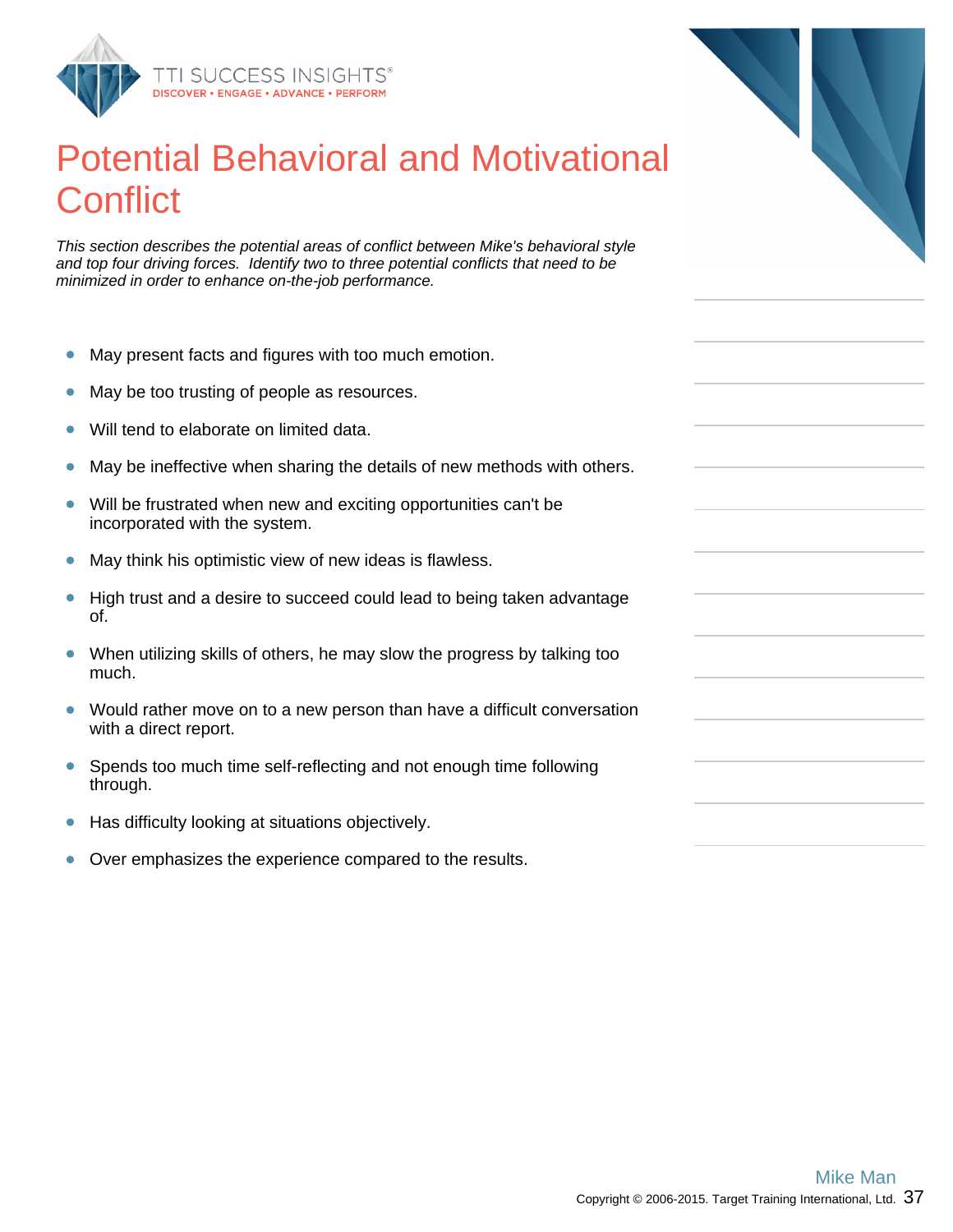

## Potential Behavioral and Motivational **Conflict**

This section describes the potential areas of conflict between Mike's behavioral style and top four driving forces. Identify two to three potential conflicts that need to be minimized in order to enhance on-the-job performance.

- May present facts and figures with too much emotion.  $\bullet$
- May be too trusting of people as resources.  $\bullet$
- Will tend to elaborate on limited data.  $\bullet$
- May be ineffective when sharing the details of new methods with others.  $\bullet$
- Will be frustrated when new and exciting opportunities can't be  $\bullet$ incorporated with the system.
- $\bullet$ May think his optimistic view of new ideas is flawless.
- $\bullet$ High trust and a desire to succeed could lead to being taken advantage of.
- $\bullet$ When utilizing skills of others, he may slow the progress by talking too much.
- $\bullet$ Would rather move on to a new person than have a difficult conversation with a direct report.
- Spends too much time self-reflecting and not enough time following  $\bullet$ through.
- Has difficulty looking at situations objectively.  $\bullet$
- Over emphasizes the experience compared to the results.  $\bullet$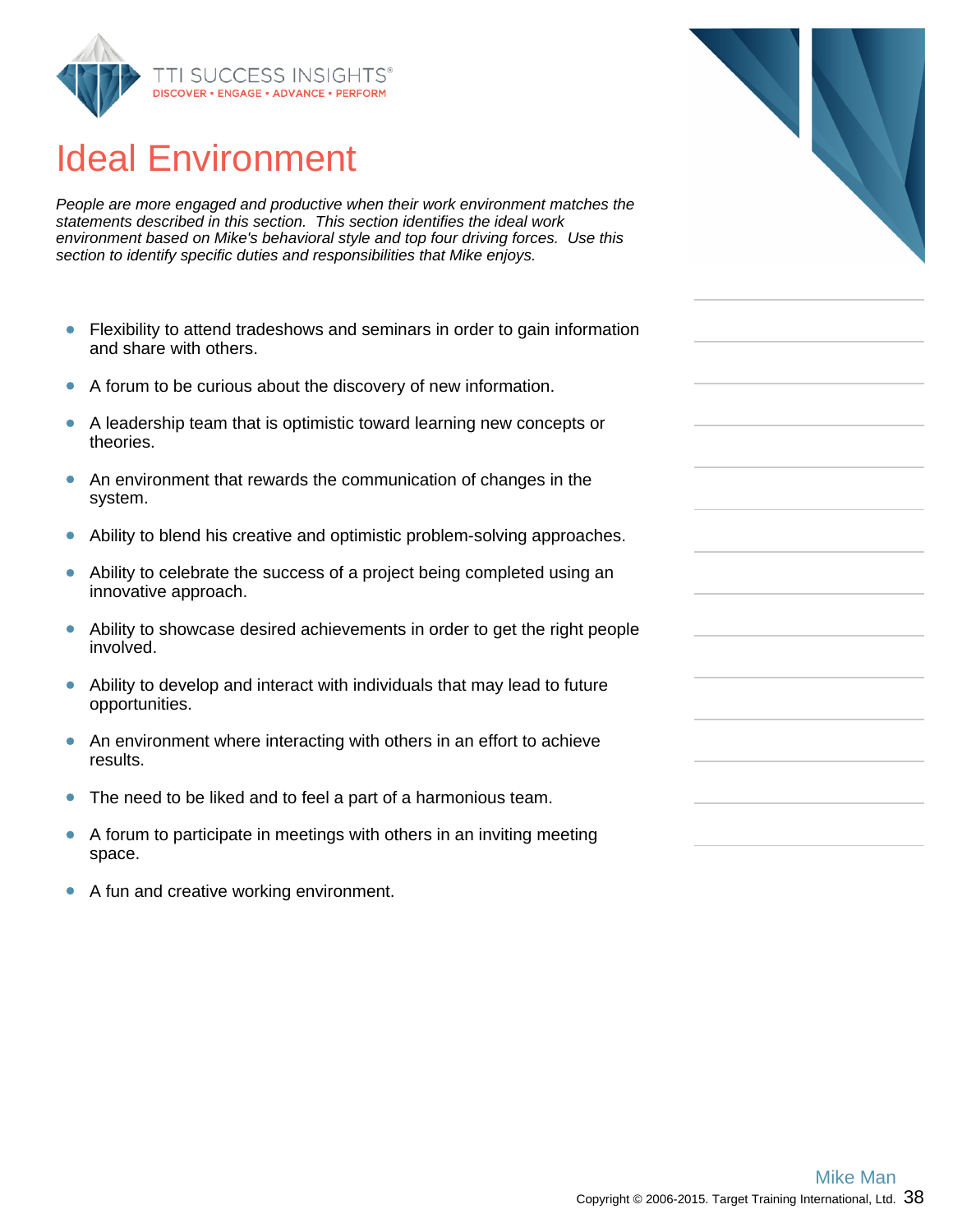

## Ideal Environment

People are more engaged and productive when their work environment matches the statements described in this section. This section identifies the ideal work environment based on Mike's behavioral style and top four driving forces. Use this section to identify specific duties and responsibilities that Mike enjoys.

- $\bullet$ Flexibility to attend tradeshows and seminars in order to gain information and share with others.
- A forum to be curious about the discovery of new information.  $\bullet$
- $\bullet$ A leadership team that is optimistic toward learning new concepts or theories.
- An environment that rewards the communication of changes in the  $\bullet$ system.
- Ability to blend his creative and optimistic problem-solving approaches.  $\bullet$
- Ability to celebrate the success of a project being completed using an  $\bullet$ innovative approach.
- Ability to showcase desired achievements in order to get the right people  $\bullet$ involved.
- Ability to develop and interact with individuals that may lead to future opportunities.
- $\bullet$ An environment where interacting with others in an effort to achieve results.
- $\bullet$ The need to be liked and to feel a part of a harmonious team.
- A forum to participate in meetings with others in an inviting meeting  $\bullet$ space.
- $\bullet$ A fun and creative working environment.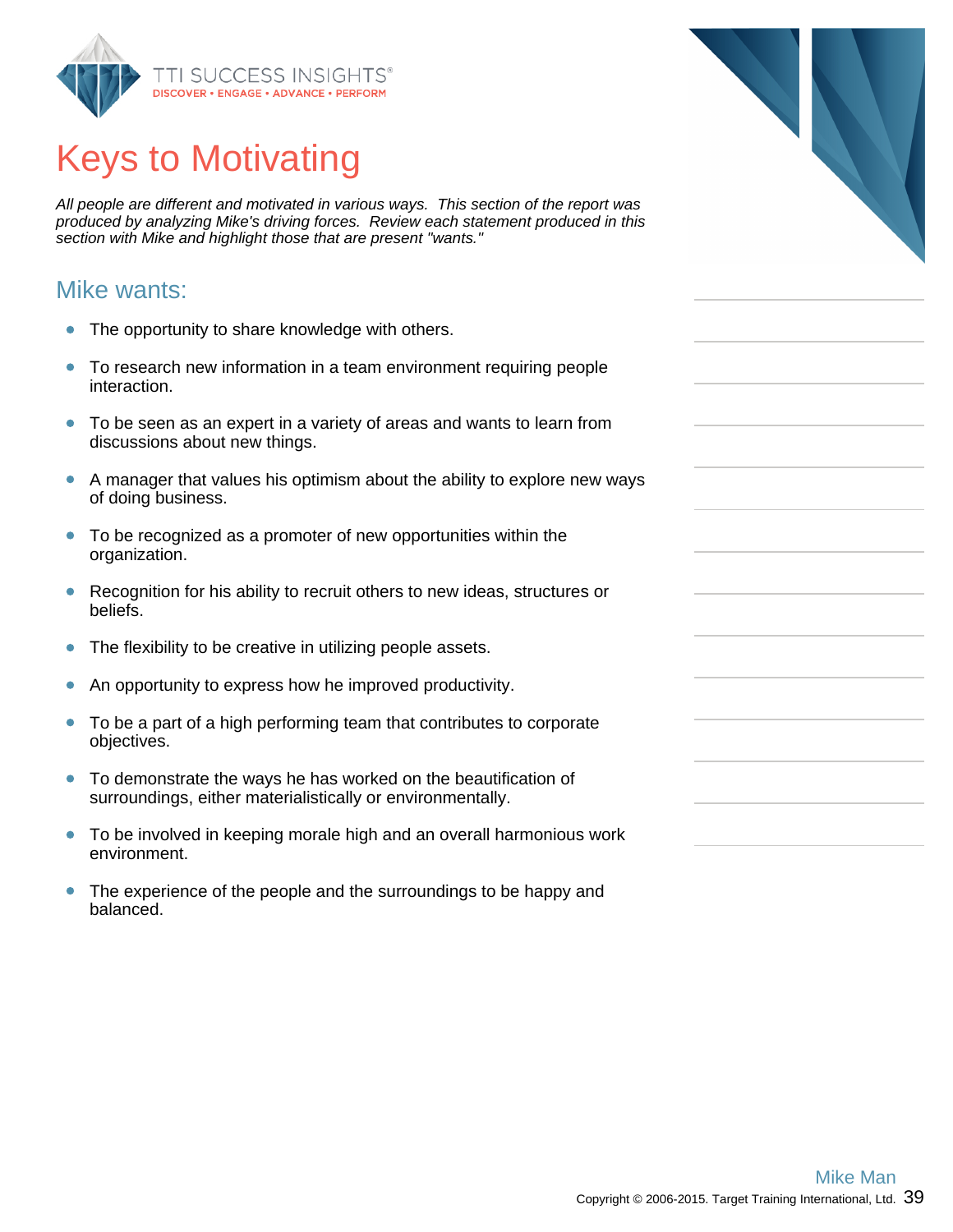

# Keys to Motivating

All people are different and motivated in various ways. This section of the report was produced by analyzing Mike's driving forces. Review each statement produced in this section with Mike and highlight those that are present "wants."

#### Mike wants:

- The opportunity to share knowledge with others.  $\bullet$
- To research new information in a team environment requiring people  $\bullet$ interaction.
- $\bullet$ To be seen as an expert in a variety of areas and wants to learn from discussions about new things.
- A manager that values his optimism about the ability to explore new ways of doing business.
- To be recognized as a promoter of new opportunities within the organization.
- Recognition for his ability to recruit others to new ideas, structures or  $\bullet$ beliefs.
- $\bullet$ The flexibility to be creative in utilizing people assets.
- An opportunity to express how he improved productivity.  $\bullet$
- To be a part of a high performing team that contributes to corporate  $\bullet$ objectives.
- To demonstrate the ways he has worked on the beautification of surroundings, either materialistically or environmentally.
- To be involved in keeping morale high and an overall harmonious work  $\bullet$ environment.
- $\bullet$ The experience of the people and the surroundings to be happy and balanced.

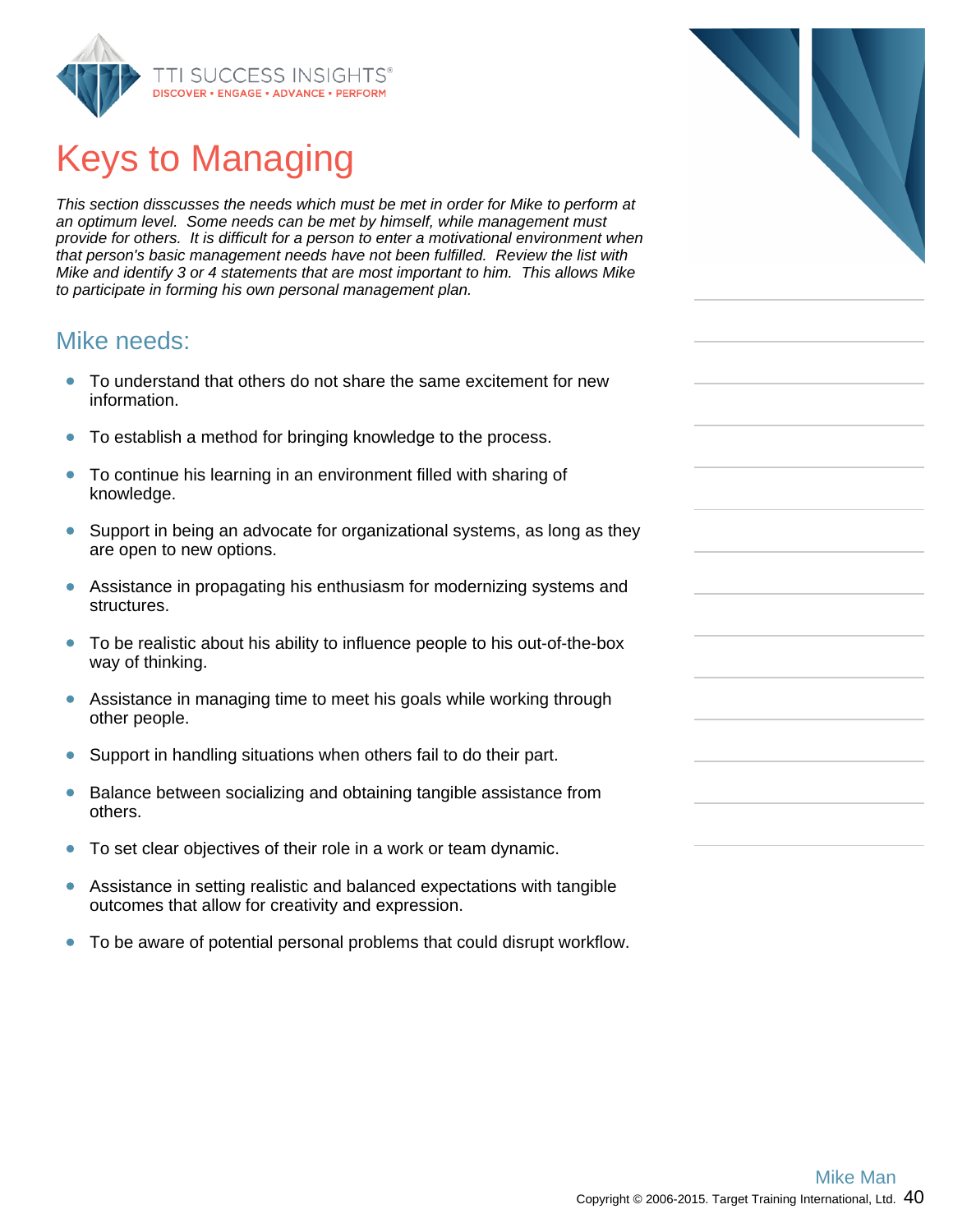

# Keys to Managing

This section disscusses the needs which must be met in order for Mike to perform at an optimum level. Some needs can be met by himself, while management must provide for others. It is difficult for a person to enter a motivational environment when that person's basic management needs have not been fulfilled. Review the list with Mike and identify 3 or 4 statements that are most important to him. This allows Mike to participate in forming his own personal management plan.

### Mike needs:

- To understand that others do not share the same excitement for new  $\bullet$ information.
- To establish a method for bringing knowledge to the process.  $\bullet$
- To continue his learning in an environment filled with sharing of  $\bullet$ knowledge.
- Support in being an advocate for organizational systems, as long as they  $\bullet$ are open to new options.
- $\bullet$ Assistance in propagating his enthusiasm for modernizing systems and structures.
- $\bullet$ To be realistic about his ability to influence people to his out-of-the-box way of thinking.
- Assistance in managing time to meet his goals while working through  $\bullet$ other people.
- $\bullet$ Support in handling situations when others fail to do their part.
- $\bullet$ Balance between socializing and obtaining tangible assistance from others.
- To set clear objectives of their role in a work or team dynamic.  $\bullet$
- $\bullet$ Assistance in setting realistic and balanced expectations with tangible outcomes that allow for creativity and expression.
- To be aware of potential personal problems that could disrupt workflow.  $\bullet$

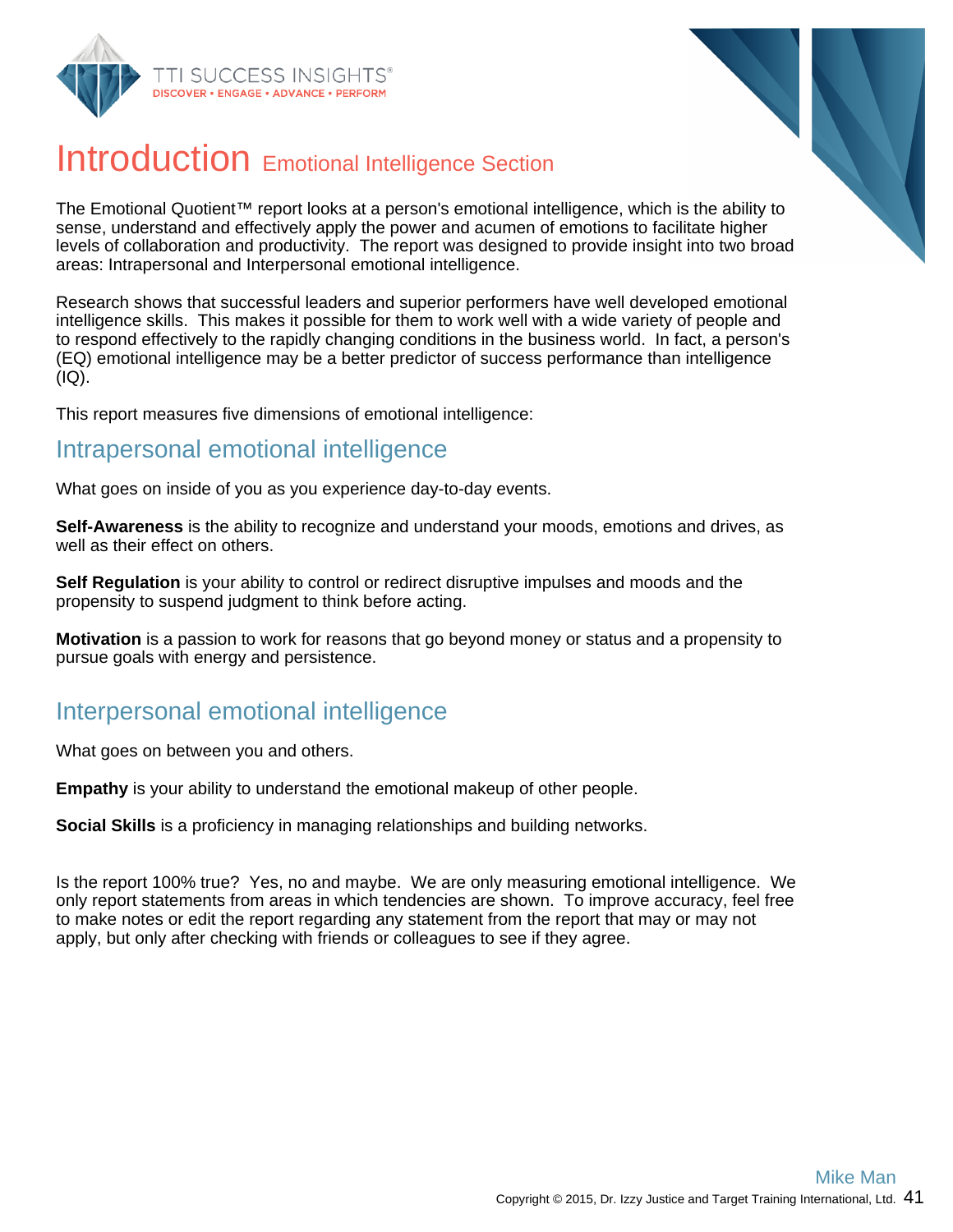



## Introduction Emotional Intelligence Section

The Emotional Quotient™ report looks at a person's emotional intelligence, which is the ability to sense, understand and effectively apply the power and acumen of emotions to facilitate higher levels of collaboration and productivity. The report was designed to provide insight into two broad areas: Intrapersonal and Interpersonal emotional intelligence.

Research shows that successful leaders and superior performers have well developed emotional intelligence skills. This makes it possible for them to work well with a wide variety of people and to respond effectively to the rapidly changing conditions in the business world. In fact, a person's (EQ) emotional intelligence may be a better predictor of success performance than intelligence (IQ).

This report measures five dimensions of emotional intelligence:

#### Intrapersonal emotional intelligence

What goes on inside of you as you experience day-to-day events.

**Self-Awareness** is the ability to recognize and understand your moods, emotions and drives, as well as their effect on others.

**Self Regulation** is your ability to control or redirect disruptive impulses and moods and the propensity to suspend judgment to think before acting.

**Motivation** is a passion to work for reasons that go beyond money or status and a propensity to pursue goals with energy and persistence.

### Interpersonal emotional intelligence

What goes on between you and others.

**Empathy** is your ability to understand the emotional makeup of other people.

**Social Skills** is a proficiency in managing relationships and building networks.

Is the report 100% true? Yes, no and maybe. We are only measuring emotional intelligence. We only report statements from areas in which tendencies are shown. To improve accuracy, feel free to make notes or edit the report regarding any statement from the report that may or may not apply, but only after checking with friends or colleagues to see if they agree.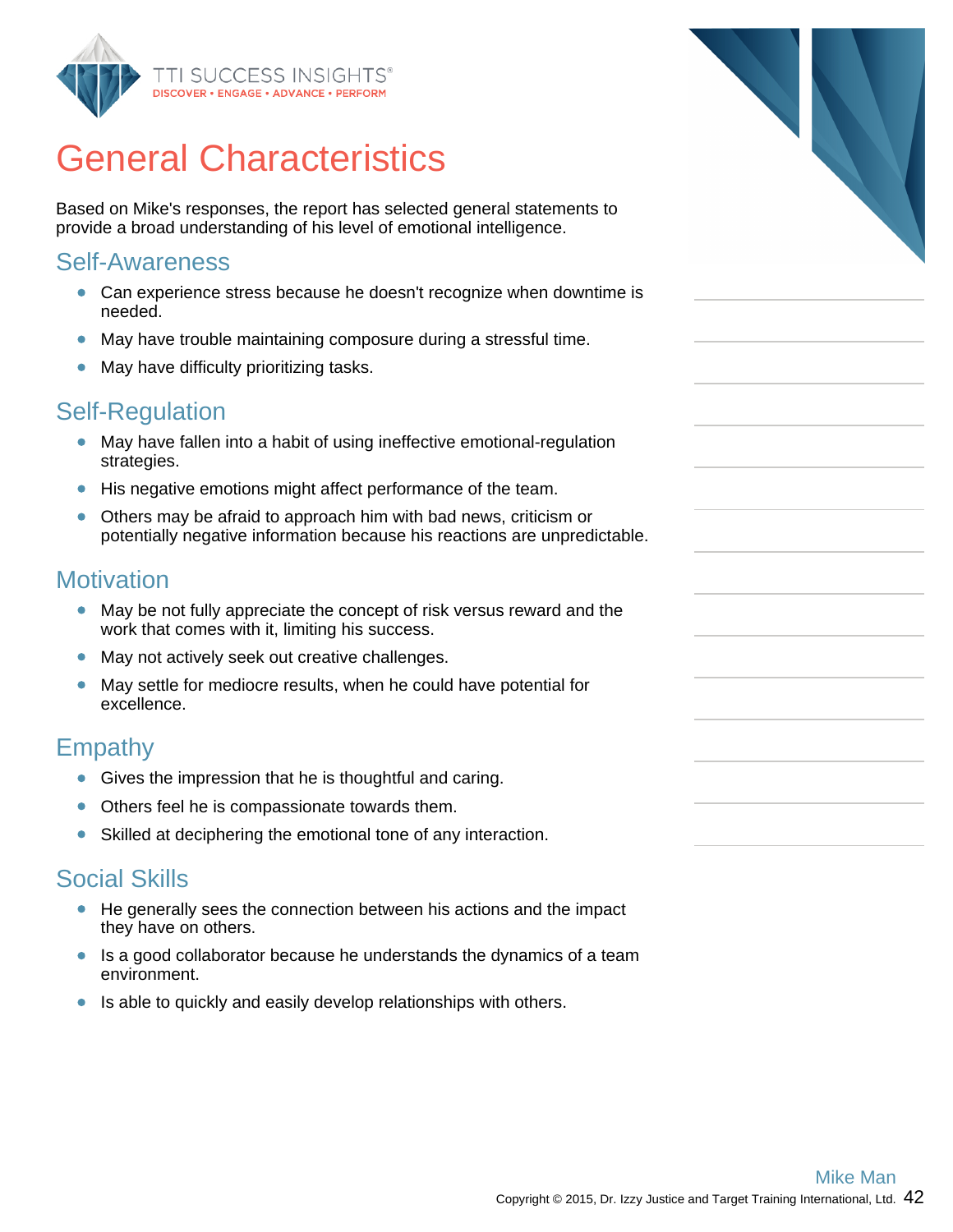

## General Characteristics

Based on Mike's responses, the report has selected general statements to provide a broad understanding of his level of emotional intelligence.

#### Self-Awareness

- Can experience stress because he doesn't recognize when downtime is needed.
- May have trouble maintaining composure during a stressful time.
- May have difficulty prioritizing tasks.

### Self-Regulation

- May have fallen into a habit of using ineffective emotional-regulation strategies.
- His negative emotions might affect performance of the team.
- Others may be afraid to approach him with bad news, criticism or potentially negative information because his reactions are unpredictable.

#### **Motivation**

- May be not fully appreciate the concept of risk versus reward and the work that comes with it, limiting his success.
- May not actively seek out creative challenges.
- May settle for mediocre results, when he could have potential for excellence.

### Empathy

- Gives the impression that he is thoughtful and caring.
- Others feel he is compassionate towards them.
- Skilled at deciphering the emotional tone of any interaction.  $\bullet$

### Social Skills

- He generally sees the connection between his actions and the impact they have on others.
- Is a good collaborator because he understands the dynamics of a team environment.
- Is able to quickly and easily develop relationships with others.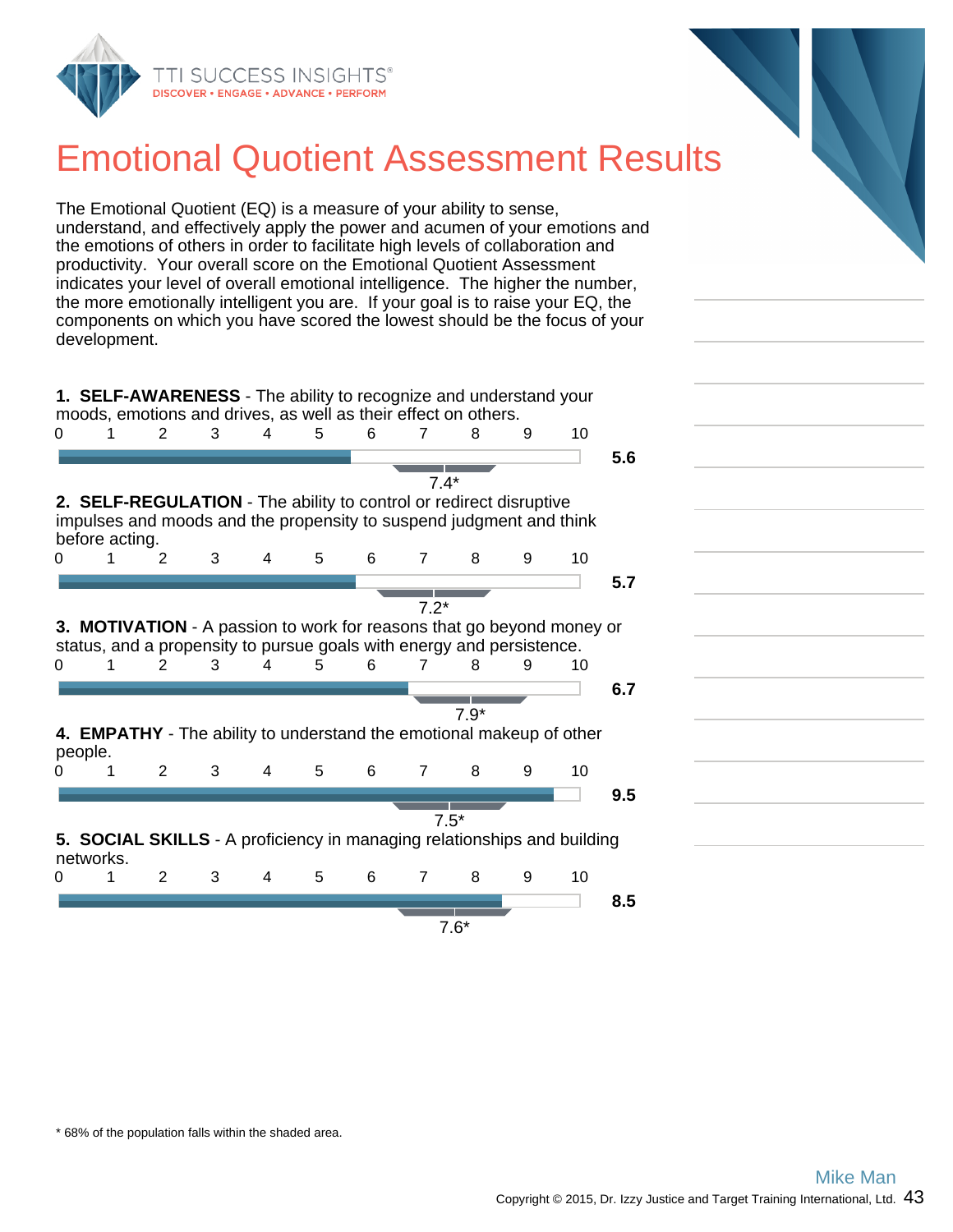

## Emotional Quotient Assessment Results

The Emotional Quotient (EQ) is a measure of your ability to sense, understand, and effectively apply the power and acumen of your emotions and the emotions of others in order to facilitate high levels of collaboration and productivity. Your overall score on the Emotional Quotient Assessment indicates your level of overall emotional intelligence. The higher the number, the more emotionally intelligent you are. If your goal is to raise your EQ, the components on which you have scored the lowest should be the focus of your development.

**1. SELF-AWARENESS** - The ability to recognize and understand your moods, emotions and drives, as well as their effect on others.





\* 68% of the population falls within the shaded area.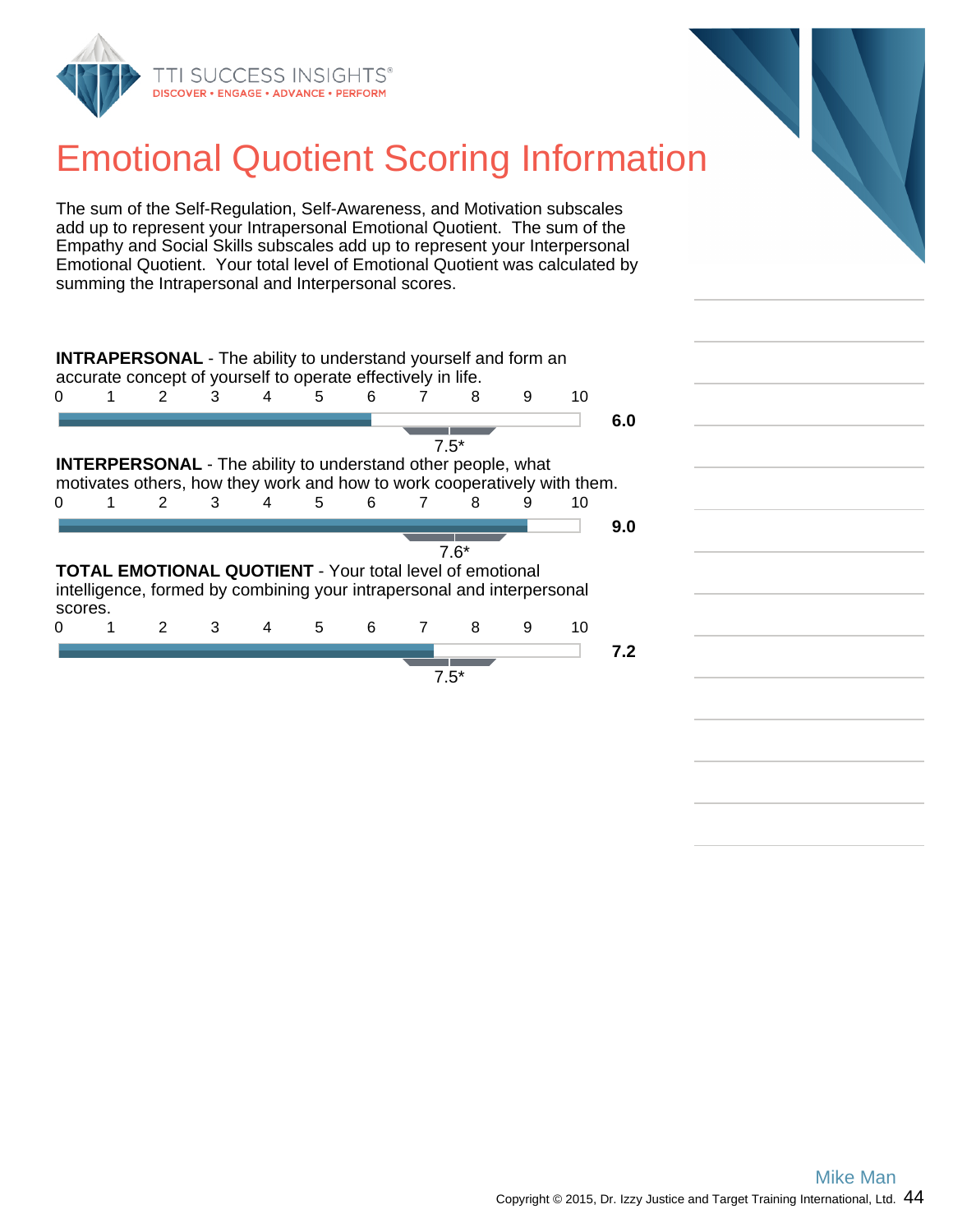

## Emotional Quotient Scoring Information

The sum of the Self-Regulation, Self-Awareness, and Motivation subscales add up to represent your Intrapersonal Emotional Quotient. The sum of the Empathy and Social Skills subscales add up to represent your Interpersonal Emotional Quotient. Your total level of Emotional Quotient was calculated by summing the Intrapersonal and Interpersonal scores.

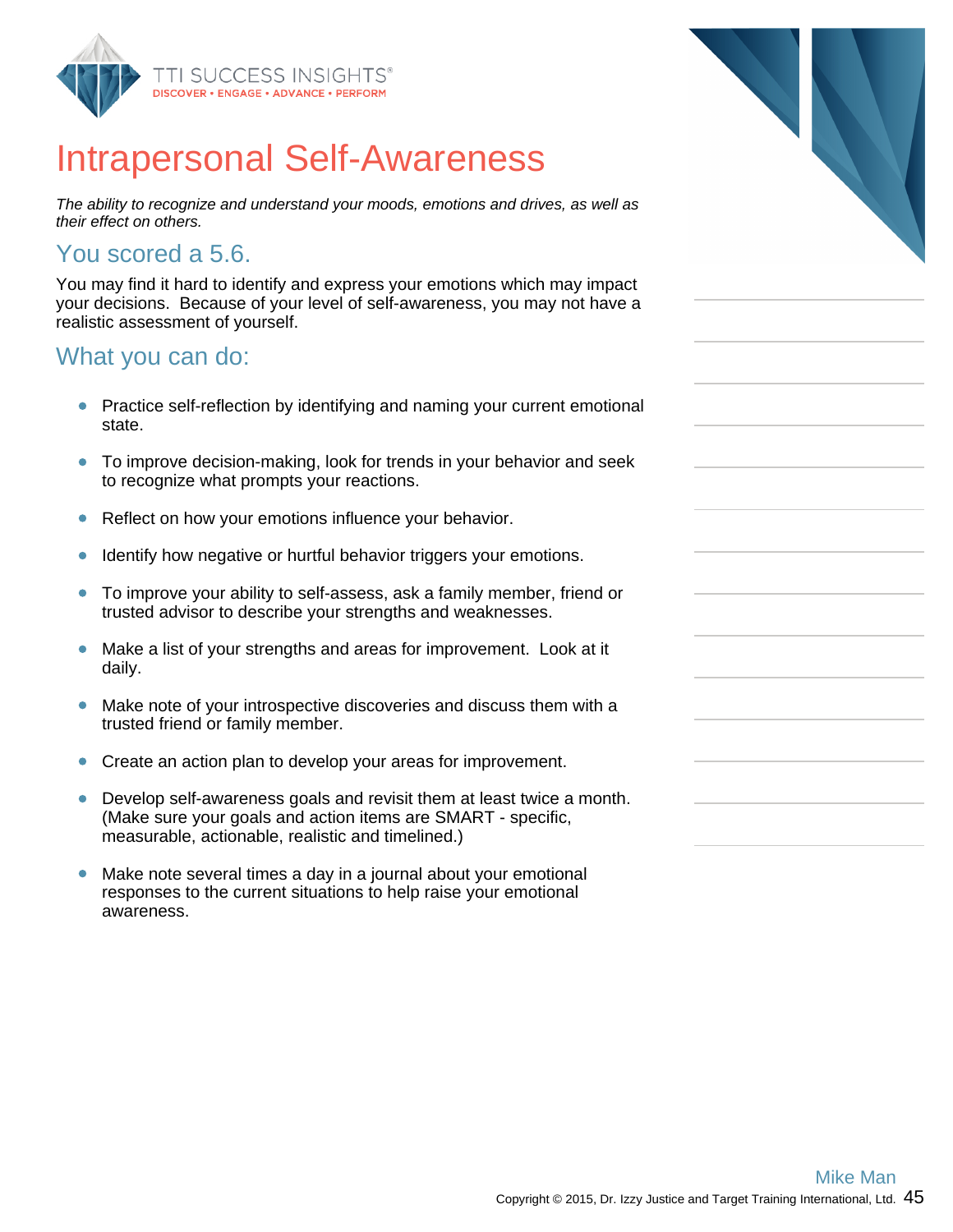

## Intrapersonal Self-Awareness

The ability to recognize and understand your moods, emotions and drives, as well as their effect on others.

### You scored a 5.6.

You may find it hard to identify and express your emotions which may impact your decisions. Because of your level of self-awareness, you may not have a realistic assessment of yourself.

### What you can do:

- $\bullet$ Practice self-reflection by identifying and naming your current emotional state.
- $\bullet$ To improve decision-making, look for trends in your behavior and seek to recognize what prompts your reactions.
- Reflect on how your emotions influence your behavior.  $\bullet$
- Identify how negative or hurtful behavior triggers your emotions.  $\bullet$
- $\bullet$ To improve your ability to self-assess, ask a family member, friend or trusted advisor to describe your strengths and weaknesses.
- Make a list of your strengths and areas for improvement. Look at it  $\bullet$ daily.
- $\bullet$ Make note of your introspective discoveries and discuss them with a trusted friend or family member.
- Create an action plan to develop your areas for improvement.  $\bullet$
- $\bullet$ Develop self-awareness goals and revisit them at least twice a month. (Make sure your goals and action items are SMART - specific, measurable, actionable, realistic and timelined.)
- $\bullet$ Make note several times a day in a journal about your emotional responses to the current situations to help raise your emotional awareness.

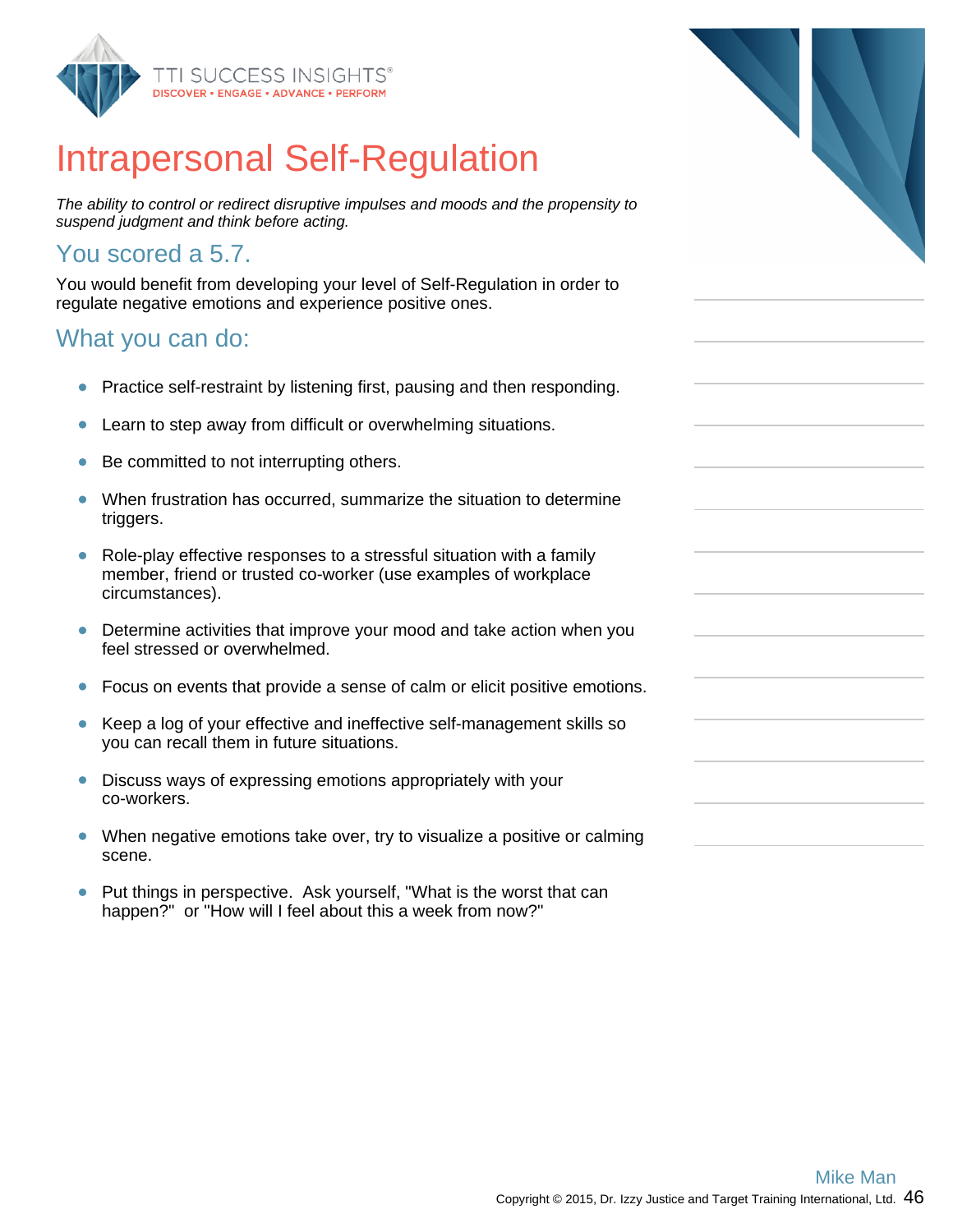

## Intrapersonal Self-Regulation

The ability to control or redirect disruptive impulses and moods and the propensity to suspend judgment and think before acting.

### You scored a 5.7.

You would benefit from developing your level of Self-Regulation in order to regulate negative emotions and experience positive ones.

### What you can do:

- Practice self-restraint by listening first, pausing and then responding.  $\bullet$
- Learn to step away from difficult or overwhelming situations.  $\bullet$
- Be committed to not interrupting others.  $\bullet$
- When frustration has occurred, summarize the situation to determine  $\bullet$ triggers.
- Role-play effective responses to a stressful situation with a family  $\bullet$ member, friend or trusted co-worker (use examples of workplace circumstances).
- $\bullet$ Determine activities that improve your mood and take action when you feel stressed or overwhelmed.
- Focus on events that provide a sense of calm or elicit positive emotions.  $\bullet$
- $\bullet$ Keep a log of your effective and ineffective self-management skills so you can recall them in future situations.
- $\bullet$ Discuss ways of expressing emotions appropriately with your co-workers.
- When negative emotions take over, try to visualize a positive or calming  $\bullet$ scene.
- Put things in perspective. Ask yourself, "What is the worst that can  $\bullet$ happen?" or "How will I feel about this a week from now?"

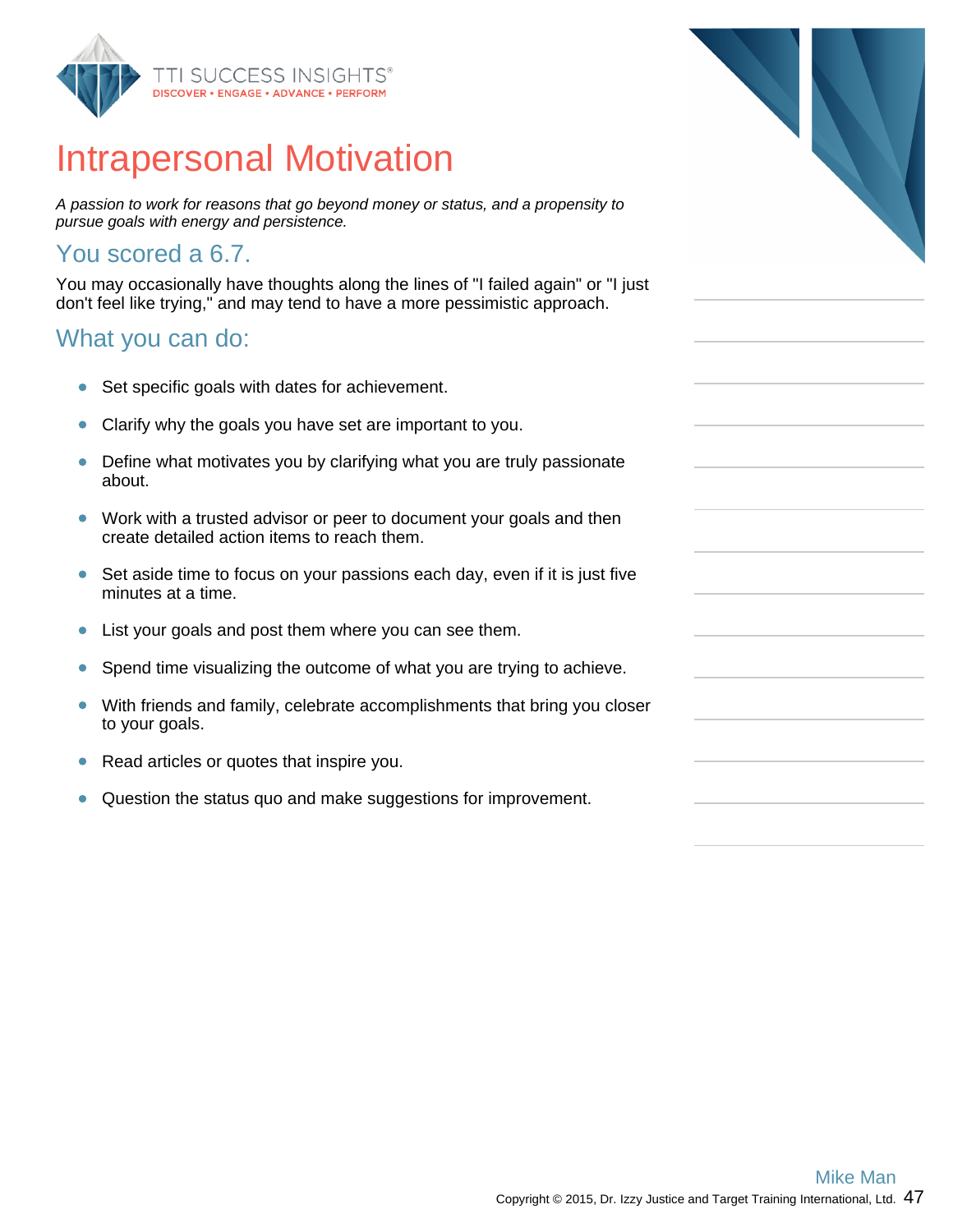

# **Intraperso**

A passion to work for reasons that go beyond money or status, and a propensity to pursue goals with energy and persistence.

### You scored a 6

You may occasionally don't feel like trying," a

#### What you can d

- Set specific goal  $\bullet$
- Clarify why the g  $\bullet$
- Define what moti  $\bullet$ about.
- Work with a trust  $\bullet$ create detailed a
- Set aside time to  $\bullet$ minutes at a time
- $\bullet$ List your goals a
- Spend time visual  $\bullet$
- With friends and  $\bullet$ to your goals.
- Read articles or  $\bullet$
- Question the sta  $\bullet$

| <b>CESS INSIGHTS®</b><br><b>NGAGE • ADVANCE • PERFORM</b>                                                         |  |
|-------------------------------------------------------------------------------------------------------------------|--|
| nal Motivation                                                                                                    |  |
| asons that go beyond money or status, and a propensity to<br>v and persistence.                                   |  |
| .7.                                                                                                               |  |
| have thoughts along the lines of "I failed again" or "I just<br>ind may tend to have a more pessimistic approach. |  |
| lo:                                                                                                               |  |
| ls with dates for achievement.                                                                                    |  |
| joals you have set are important to you.                                                                          |  |
| ivates you by clarifying what you are truly passionate                                                            |  |
| ted advisor or peer to document your goals and then<br>action items to reach them.                                |  |
| o focus on your passions each day, even if it is just five<br>е.                                                  |  |
| ind post them where you can see them.                                                                             |  |
| alizing the outcome of what you are trying to achieve.                                                            |  |
| family, celebrate accomplishments that bring you closer                                                           |  |
| quotes that inspire you.                                                                                          |  |
| tus quo and make suggestions for improvement.                                                                     |  |
|                                                                                                                   |  |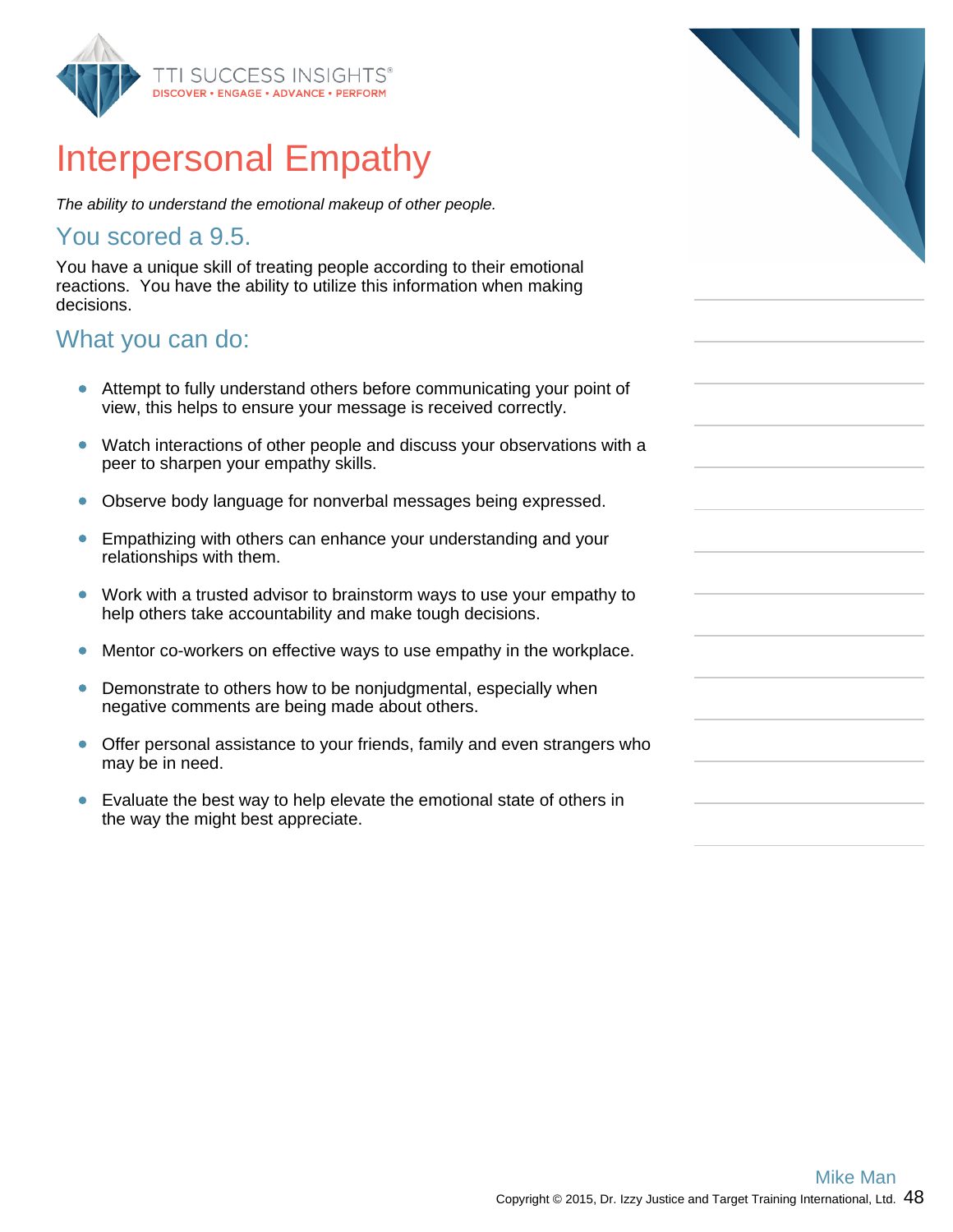

## Interpersonal Empathy

The ability to understand the emotional makeup of other people.

#### You scored a 9.5.

You have a unique skill of treating people according to their emotional reactions. You have the ability to utilize this information when making decisions.

#### What you can do:

- Attempt to fully understand others before communicating your point of view, this helps to ensure your message is received correctly.
- Watch interactions of other people and discuss your observations with a  $\bullet$ peer to sharpen your empathy skills.
- $\bullet$ Observe body language for nonverbal messages being expressed.
- Empathizing with others can enhance your understanding and your  $\bullet$ relationships with them.
- Work with a trusted advisor to brainstorm ways to use your empathy to help others take accountability and make tough decisions.
- Mentor co-workers on effective ways to use empathy in the workplace.  $\bullet$
- Demonstrate to others how to be nonjudgmental, especially when  $\bullet$ negative comments are being made about others.
- Offer personal assistance to your friends, family and even strangers who  $\bullet$ may be in need.
- Evaluate the best way to help elevate the emotional state of others in  $\bullet$ the way the might best appreciate.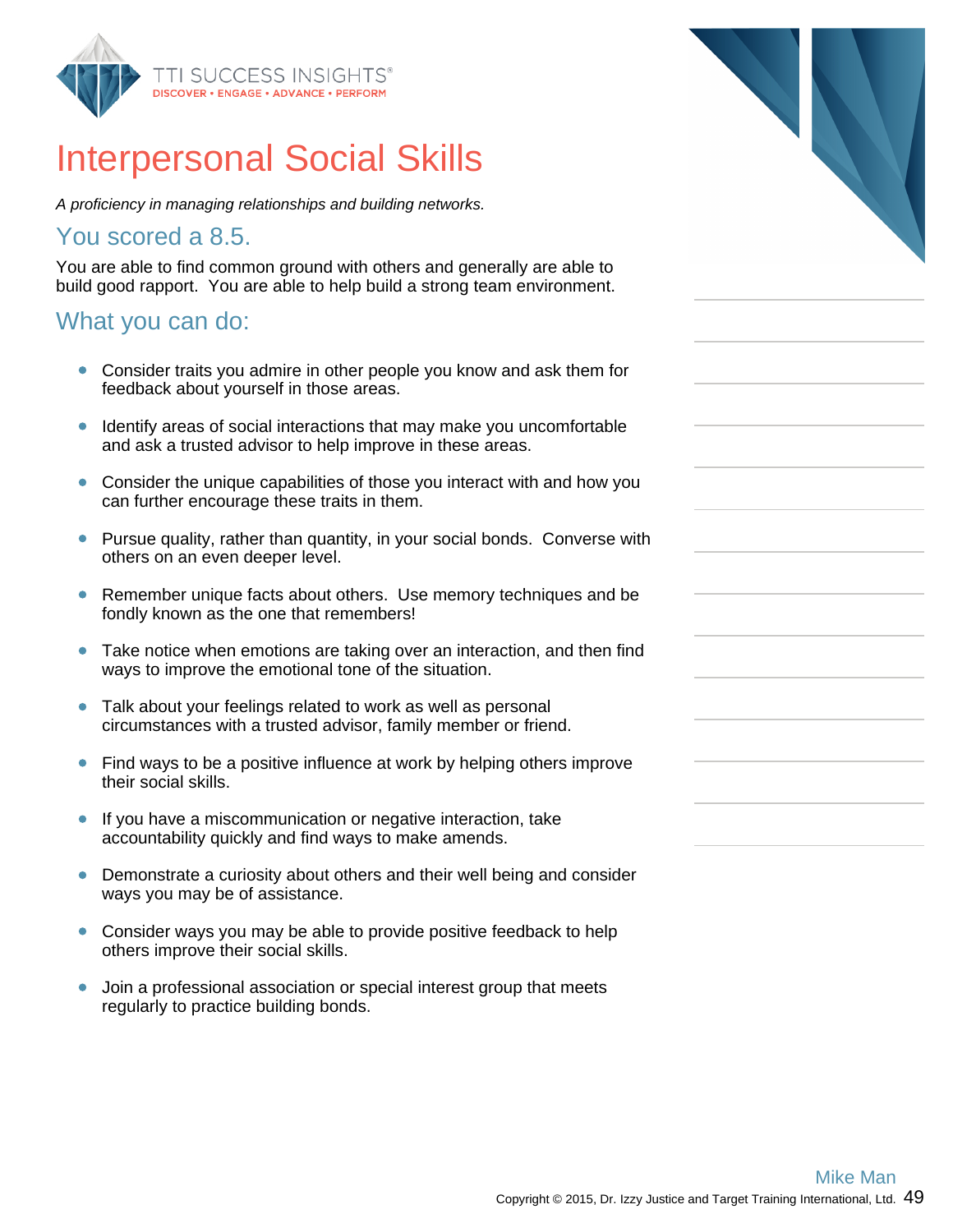

## Interpersonal Social Skills

A proficiency in managing relationships and building networks.

### You scored a 8.5.

You are able to find common ground with others and generally are able to build good rapport. You are able to help build a strong team environment.

### What you can do:

- Consider traits you admire in other people you know and ask them for feedback about yourself in those areas.
- Identify areas of social interactions that may make you uncomfortable and ask a trusted advisor to help improve in these areas.
- $\bullet$ Consider the unique capabilities of those you interact with and how you can further encourage these traits in them.
- Pursue quality, rather than quantity, in your social bonds. Converse with others on an even deeper level.
- $\bullet$ Remember unique facts about others. Use memory techniques and be fondly known as the one that remembers!
- Take notice when emotions are taking over an interaction, and then find  $\bullet$ ways to improve the emotional tone of the situation.
- Talk about your feelings related to work as well as personal circumstances with a trusted advisor, family member or friend.
- Find ways to be a positive influence at work by helping others improve their social skills.
- $\bullet$ If you have a miscommunication or negative interaction, take accountability quickly and find ways to make amends.
- Demonstrate a curiosity about others and their well being and consider ways you may be of assistance.
- Consider ways you may be able to provide positive feedback to help others improve their social skills.
- $\bullet$ Join a professional association or special interest group that meets regularly to practice building bonds.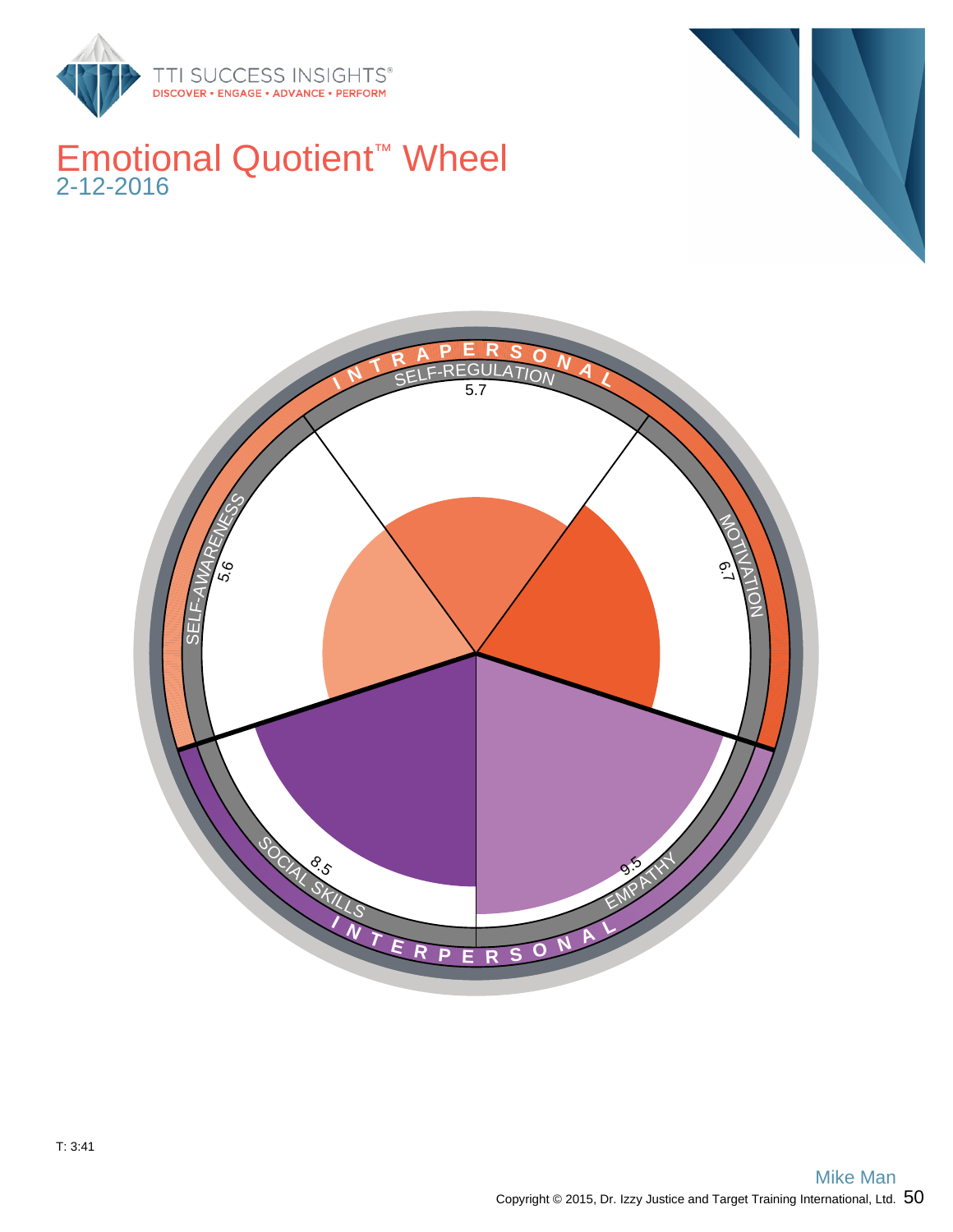

## Emotional Quotient™ Wheel 2-12-2016



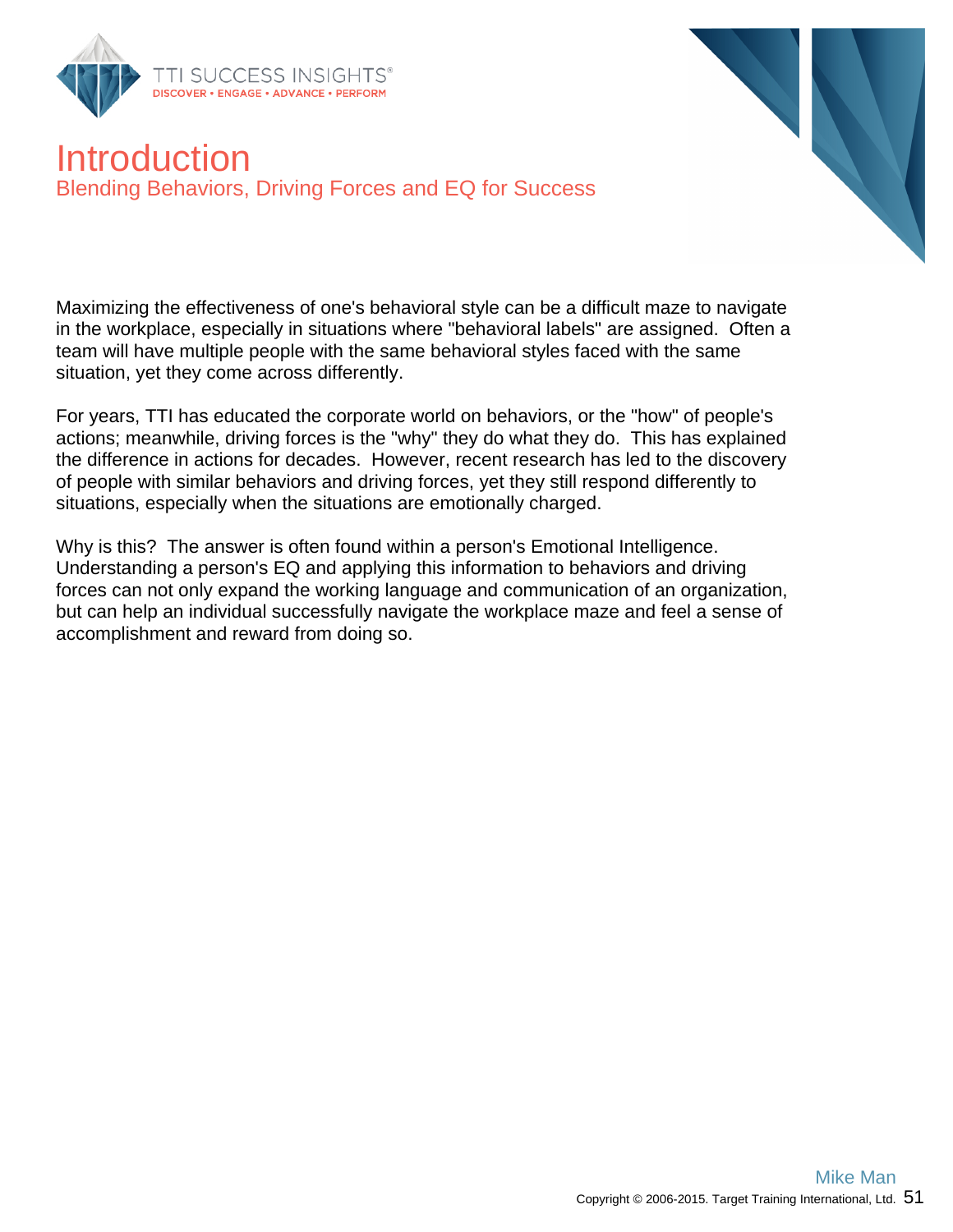



### Introduction Blending Behaviors, Driving Forces and EQ for Success

Maximizing the effectiveness of one's behavioral style can be a difficult maze to navigate in the workplace, especially in situations where "behavioral labels" are assigned. Often a team will have multiple people with the same behavioral styles faced with the same situation, yet they come across differently.

For years, TTI has educated the corporate world on behaviors, or the "how" of people's actions; meanwhile, driving forces is the "why" they do what they do. This has explained the difference in actions for decades. However, recent research has led to the discovery of people with similar behaviors and driving forces, yet they still respond differently to situations, especially when the situations are emotionally charged.

Why is this? The answer is often found within a person's Emotional Intelligence. Understanding a person's EQ and applying this information to behaviors and driving forces can not only expand the working language and communication of an organization, but can help an individual successfully navigate the workplace maze and feel a sense of accomplishment and reward from doing so.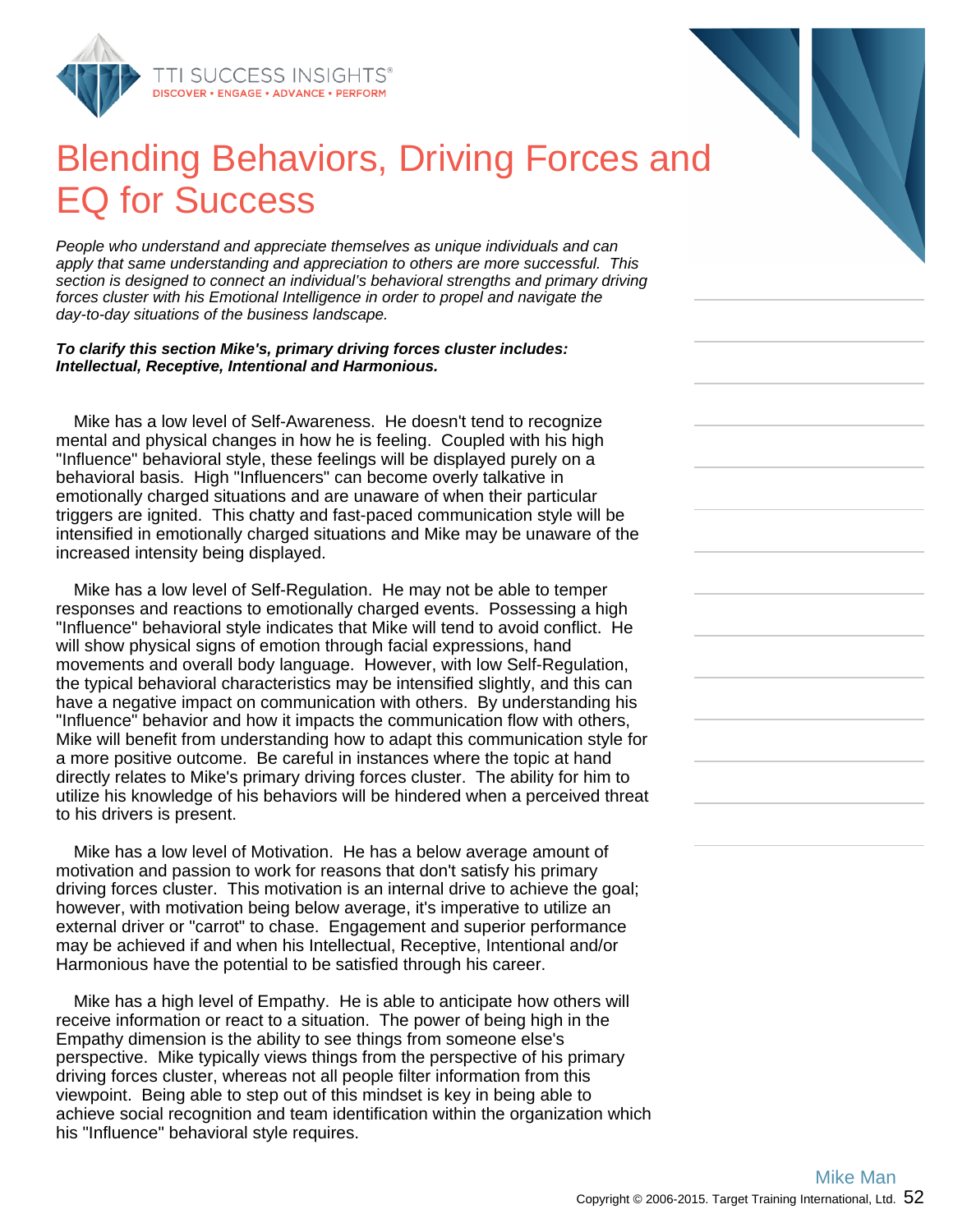

## Blending Behaviors, Driving Forces and EQ for Success

People who understand and appreciate themselves as unique individuals and can apply that same understanding and appreciation to others are more successful. This section is designed to connect an individual's behavioral strengths and primary driving forces cluster with his Emotional Intelligence in order to propel and navigate the day-to-day situations of the business landscape.

#### **To clarify this section Mike's, primary driving forces cluster includes: Intellectual, Receptive, Intentional and Harmonious.**

 Mike has a low level of Self-Awareness. He doesn't tend to recognize mental and physical changes in how he is feeling. Coupled with his high "Influence" behavioral style, these feelings will be displayed purely on a behavioral basis. High "Influencers" can become overly talkative in emotionally charged situations and are unaware of when their particular triggers are ignited. This chatty and fast-paced communication style will be intensified in emotionally charged situations and Mike may be unaware of the increased intensity being displayed.

 Mike has a low level of Self-Regulation. He may not be able to temper responses and reactions to emotionally charged events. Possessing a high "Influence" behavioral style indicates that Mike will tend to avoid conflict. He will show physical signs of emotion through facial expressions, hand movements and overall body language. However, with low Self-Regulation, the typical behavioral characteristics may be intensified slightly, and this can have a negative impact on communication with others. By understanding his "Influence" behavior and how it impacts the communication flow with others, Mike will benefit from understanding how to adapt this communication style for a more positive outcome. Be careful in instances where the topic at hand directly relates to Mike's primary driving forces cluster. The ability for him to utilize his knowledge of his behaviors will be hindered when a perceived threat to his drivers is present.

 Mike has a low level of Motivation. He has a below average amount of motivation and passion to work for reasons that don't satisfy his primary driving forces cluster. This motivation is an internal drive to achieve the goal; however, with motivation being below average, it's imperative to utilize an external driver or "carrot" to chase. Engagement and superior performance may be achieved if and when his Intellectual, Receptive, Intentional and/or Harmonious have the potential to be satisfied through his career.

 Mike has a high level of Empathy. He is able to anticipate how others will receive information or react to a situation. The power of being high in the Empathy dimension is the ability to see things from someone else's perspective. Mike typically views things from the perspective of his primary driving forces cluster, whereas not all people filter information from this viewpoint. Being able to step out of this mindset is key in being able to achieve social recognition and team identification within the organization which his "Influence" behavioral style requires.